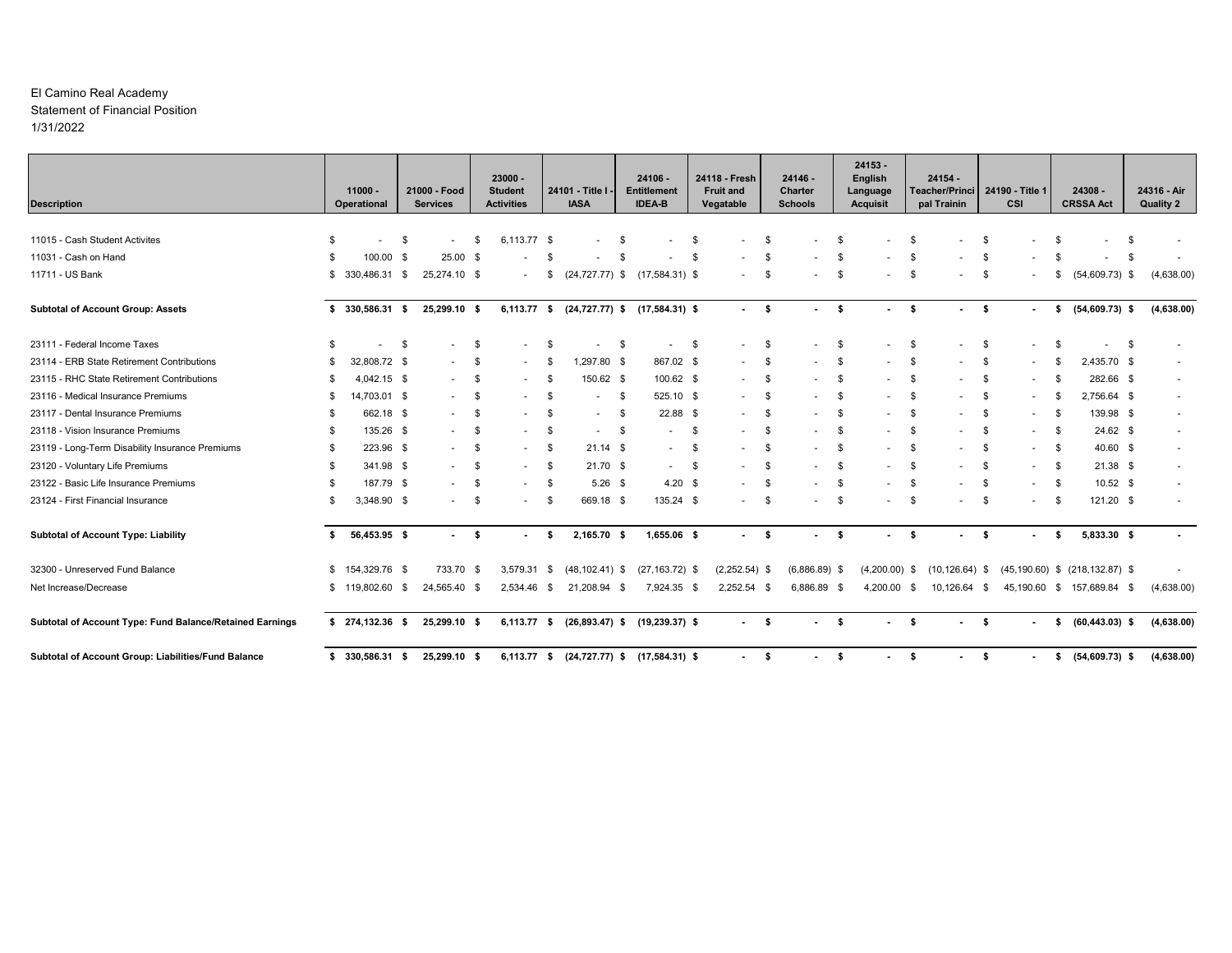#### El Camino Real Academy Statement of Financial Position1/31/2022

| <b>Description</b>                                       |      | $11000 -$<br>Operational |     | 21000 - Food<br><b>Services</b> |      | $23000 -$<br><b>Student</b><br><b>Activities</b> |      | 24101 - Title I<br><b>IASA</b> |      | 24106 -<br><b>Entitlement</b><br><b>IDEA-B</b> |      | 24118 - Fresh<br><b>Fruit and</b><br>Vegatable |      | $24146 -$<br>Charter<br><b>Schools</b> |           | 24153 -<br>English<br>Language<br><b>Acquisit</b> |      | $24154 -$<br>Teacher/Princi 24190 - Title 1<br>pal Trainin |      | CSI    |      | 24308 -<br><b>CRSSA Act</b>          | 24316 - Air<br><b>Quality 2</b> |
|----------------------------------------------------------|------|--------------------------|-----|---------------------------------|------|--------------------------------------------------|------|--------------------------------|------|------------------------------------------------|------|------------------------------------------------|------|----------------------------------------|-----------|---------------------------------------------------|------|------------------------------------------------------------|------|--------|------|--------------------------------------|---------------------------------|
|                                                          |      |                          |     |                                 |      |                                                  |      |                                |      |                                                |      |                                                |      |                                        |           |                                                   |      |                                                            |      |        |      |                                      |                                 |
| 11015 - Cash Student Activites                           | S    |                          | -\$ | $\sim$                          | \$.  | 6,113.77 \$                                      |      |                                | - \$ |                                                | -S   |                                                |      |                                        | - \$      |                                                   | - \$ |                                                            | - \$ |        |      |                                      |                                 |
| 11031 - Cash on Hand                                     | - \$ | 100.00 \$                |     | $25.00$ \$                      |      |                                                  |      |                                | -S   |                                                | - \$ |                                                | - \$ |                                        | - \$      |                                                   | \$   |                                                            | -9   |        |      | \$                                   |                                 |
| 11711 - US Bank                                          | \$   | 330,486.31 \$            |     | 25,274.10 \$                    |      |                                                  | - 35 | $(24, 727.77)$ \$              |      | $(17,584.31)$ \$                               |      |                                                | - \$ |                                        | -9        |                                                   | -S   |                                                            | - \$ |        |      | $(54,609.73)$ \$                     | (4,638.00)                      |
| <b>Subtotal of Account Group: Assets</b>                 | s.   | 330,586.31 \$            |     | 25,299.10 \$                    |      | 6,113.77 \$                                      |      | $(24, 727.77)$ \$              |      | $(17,584.31)$ \$                               |      | $-5$                                           |      |                                        | $\bullet$ | $\sim$                                            | \$   | $\sim$                                                     | - \$ |        | S.   | $(54,609.73)$ \$                     | (4,638.00)                      |
| 23111 - Federal Income Taxes                             | \$   |                          | -\$ | ٠                               | -\$  |                                                  |      |                                | \$   |                                                | \$   |                                                | \$   |                                        | \$        |                                                   | \$   | ٠                                                          | -\$  |        |      | \$                                   |                                 |
| 23114 - ERB State Retirement Contributions               | \$.  | 32,808.72 \$             |     | $\sim$                          | -\$  |                                                  |      | 1,297.80 \$                    |      | 867.02 \$                                      |      |                                                | -S   |                                        | - \$      |                                                   | \$   |                                                            | -\$  |        |      | 2,435.70 \$                          |                                 |
| 23115 - RHC State Retirement Contributions               | \$   | 4,042.15 \$              |     | $\sim$                          | - \$ | $\sim$                                           | - \$ | 150.62 \$                      |      | 100.62 \$                                      |      |                                                | - \$ |                                        | -\$       |                                                   | \$   | ٠                                                          | - \$ | $\sim$ | -\$  | 282.66 \$                            |                                 |
| 23116 - Medical Insurance Premiums                       | \$.  | 14,703.01 \$             |     | $\sim$                          | -\$  |                                                  |      | ٠                              | \$   | 525.10 \$                                      |      |                                                | -\$  |                                        | - \$      |                                                   | \$   |                                                            | - \$ |        |      | 2,756.64 \$                          |                                 |
| 23117 - Dental Insurance Premiums                        | \$.  | 662.18 \$                |     | $\sim$                          | - \$ |                                                  |      | $\sim$                         | \$   | 22.88 \$                                       |      |                                                | - \$ |                                        | - \$      |                                                   | \$   |                                                            | - \$ | $\sim$ | - \$ | 139.98 \$                            |                                 |
| 23118 - Vision Insurance Premiums                        | - \$ | 135.26 \$                |     | $\sim$                          | -\$  |                                                  | - \$ | $\sim$                         | - \$ |                                                | \$   |                                                | \$   |                                        | - \$      |                                                   | \$   |                                                            | -\$  |        | - \$ | $24.62$ \$                           |                                 |
| 23119 - Long-Term Disability Insurance Premiums          | - \$ | 223.96 \$                |     | $\sim$                          | - \$ | $\sim$                                           | - \$ | $21.14$ \$                     |      | $\sim$                                         | - \$ |                                                | - \$ | $\sim$                                 | - \$      | $\sim$                                            | \$   | ٠                                                          | - \$ | $\sim$ | - \$ | 40.60 \$                             | $\sim$                          |
| 23120 - Voluntary Life Premiums                          | \$.  | 341.98 \$                |     | $\sim$                          | -\$  |                                                  | \$   | $21.70$ \$                     |      | $\sim$                                         | \$   |                                                | \$   |                                        | - \$      |                                                   | \$   |                                                            | - \$ |        | - \$ | $21.38$ \$                           |                                 |
| 23122 - Basic Life Insurance Premiums                    | - \$ | 187.79 \$                |     | $\sim$                          | -\$  | $\sim$                                           | - \$ | $5.26$ \$                      |      | $4.20$ \$                                      |      |                                                | - \$ |                                        | - \$      | $\sim$                                            | \$   | ٠                                                          | - \$ | $\sim$ | - \$ | $10.52$ \$                           |                                 |
| 23124 - First Financial Insurance                        | \$   | 3,348.90 \$              |     | $\sim$                          | - \$ | $\sim$                                           | - \$ | 669.18 \$                      |      | 135.24 \$                                      |      | $\sim$                                         | \$   |                                        | - \$      | $\sim$                                            | \$   | ٠                                                          | - \$ | $\sim$ | - \$ | 121.20 \$                            | $\overline{\phantom{a}}$        |
| <b>Subtotal of Account Type: Liability</b>               | s.   | 56,453.95 \$             |     | $\sim 100$                      | - \$ |                                                  | -S   | 2,165.70 \$                    |      | 1,655.06 \$                                    |      | $-5$                                           |      |                                        | - \$      | $\sim$                                            | - \$ |                                                            | - \$ |        | - \$ | 5,833.30 \$                          | $\sim$                          |
| 32300 - Unreserved Fund Balance                          | \$   | 154,329.76 \$            |     | 733.70 \$                       |      | 3,579.31                                         | \$   | $(48, 102.41)$ \$              |      | $(27, 163.72)$ \$                              |      | $(2,252.54)$ \$                                |      | $(6,886.89)$ \$                        |           | $(4,200.00)$ \$                                   |      | $(10, 126.64)$ \$                                          |      |        |      | $(45, 190.60)$ \$ $(218, 132.87)$ \$ |                                 |
| Net Increase/Decrease                                    | \$   | 119,802.60 \$            |     | 24,565.40 \$                    |      | 2,534.46 \$                                      |      | 21,208.94 \$                   |      | 7,924.35 \$                                    |      | $2,252.54$ \$                                  |      | 6,886.89 \$                            |           | 4,200.00 \$                                       |      | 10,126.64 \$                                               |      |        |      | 45,190.60 \$ 157,689.84 \$           | (4,638.00)                      |
| Subtotal of Account Type: Fund Balance/Retained Earnings |      | $$274,132.36$ \$         |     | 25,299.10 \$                    |      | 6,113.77 \$                                      |      |                                |      | $(26,893.47)$ \$ $(19,239.37)$ \$              |      | $\sim 100$                                     | - \$ | $\blacksquare$                         | $\bullet$ |                                                   | \$   | $\blacksquare$                                             | - \$ |        | s.   | $(60, 443.03)$ \$                    | (4,638.00)                      |
| Subtotal of Account Group: Liabilities/Fund Balance      | s.   | 330,586.31 \$            |     | 25,299.10 \$                    |      |                                                  |      |                                |      | 6,113.77 \$ (24,727.77) \$ (17,584.31) \$      |      |                                                | -\$  |                                        | $\sim$    |                                                   | \$   |                                                            | - \$ |        | s.   | $(54,609.73)$ \$                     | (4,638.00)                      |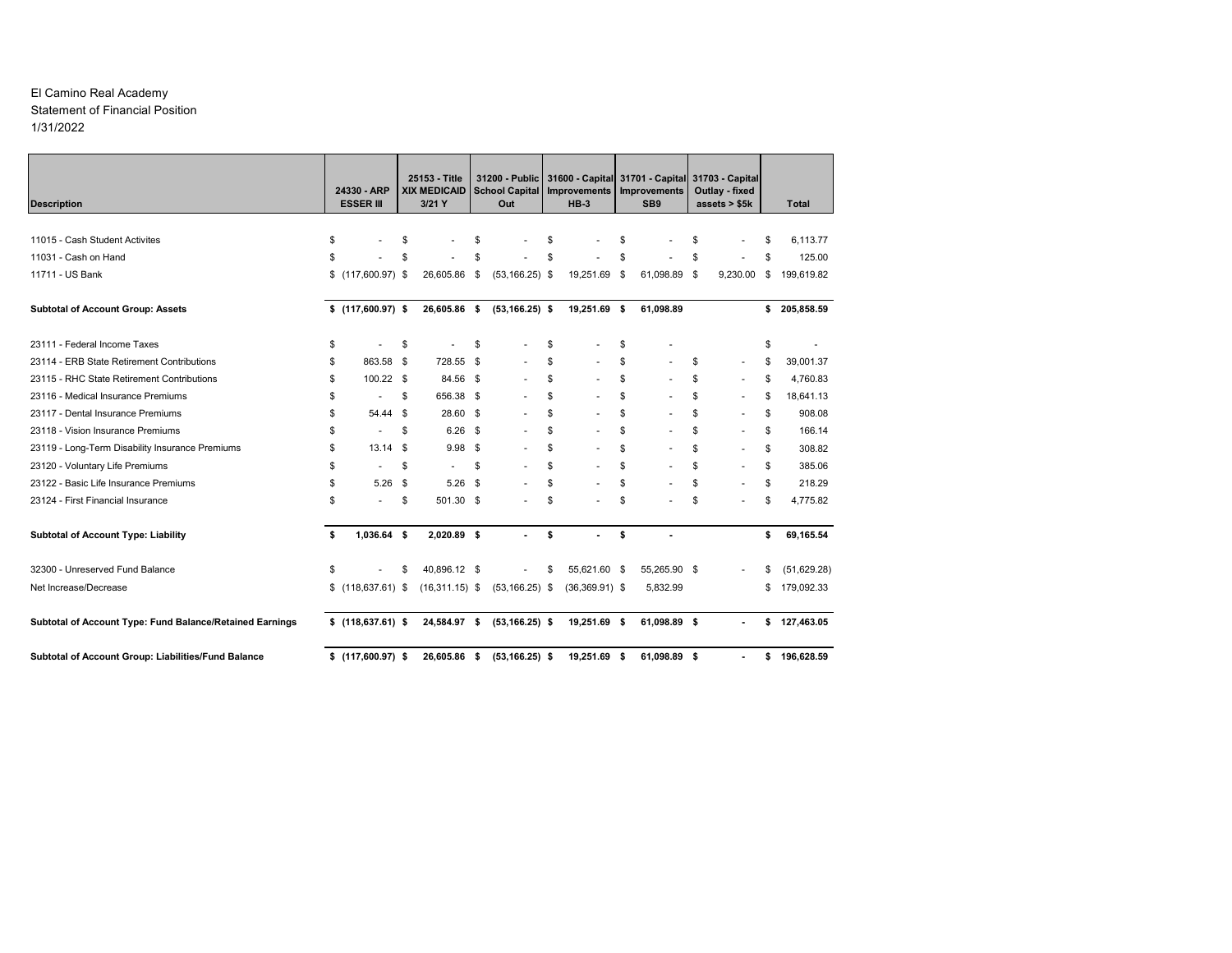#### El Camino Real Academy Statement of Financial Position1/31/2022

| <b>Description</b>                                       | 24330 - ARP<br><b>ESSER III</b> | 25153 - Title<br><b>XIX MEDICAID</b><br>3/21 Y |            | 31200 - Public<br><b>School Capital</b><br>Out | 31600 - Capital 31701 - Capital 31703 - Capital<br>Improvements<br>$HB-3$ | Improvements<br>SB <sub>9</sub> | Outlay - fixed<br>assets $> $5k$ | Total              |
|----------------------------------------------------------|---------------------------------|------------------------------------------------|------------|------------------------------------------------|---------------------------------------------------------------------------|---------------------------------|----------------------------------|--------------------|
|                                                          |                                 |                                                |            |                                                |                                                                           |                                 |                                  |                    |
| 11015 - Cash Student Activites                           | \$                              | \$                                             | \$         |                                                | \$                                                                        | \$                              | \$                               | \$<br>6,113.77     |
| 11031 - Cash on Hand                                     | \$                              | \$                                             | \$         |                                                | \$                                                                        | \$                              | \$                               | \$<br>125.00       |
| 11711 - US Bank                                          | $$(117,600.97)$ \$              | 26,605.86                                      | \$         | $(53, 166.25)$ \$                              | 19,251.69                                                                 | \$<br>61,098.89 \$              | 9,230.00                         | \$<br>199,619.82   |
| <b>Subtotal of Account Group: Assets</b>                 | $$(117,600.97)$ \$              | 26,605.86 \$                                   |            | $(53, 166.25)$ \$                              | 19,251.69 \$                                                              | 61,098.89                       |                                  | \$<br>205,858.59   |
| 23111 - Federal Income Taxes                             | \$                              | \$                                             | \$         |                                                | \$                                                                        | \$                              |                                  | \$                 |
| 23114 - ERB State Retirement Contributions               | \$<br>863.58                    | \$<br>728.55                                   | $^{\circ}$ |                                                | \$<br>÷.                                                                  | \$                              | \$<br>$\sim$                     | \$<br>39,001.37    |
| 23115 - RHC State Retirement Contributions               | \$<br>$100.22$ \$               | 84.56 \$                                       |            |                                                | \$                                                                        | \$                              | \$<br>÷.                         | \$<br>4,760.83     |
| 23116 - Medical Insurance Premiums                       | \$<br>٠                         | \$<br>656.38 \$                                |            |                                                | \$<br>÷.                                                                  | \$                              | \$<br>٠                          | \$<br>18.641.13    |
| 23117 - Dental Insurance Premiums                        | \$<br>54.44                     | \$<br>28.60 \$                                 |            |                                                | \$<br>÷.                                                                  | \$                              | \$<br>٠                          | \$<br>908.08       |
| 23118 - Vision Insurance Premiums                        | \$<br>$\overline{a}$            | \$<br>$6.26$ \$                                |            |                                                | \$                                                                        | \$                              | \$                               | \$<br>166.14       |
| 23119 - Long-Term Disability Insurance Premiums          | \$<br>$13.14$ \$                | 9.98                                           | <b>S</b>   |                                                | \$                                                                        | \$                              | \$                               | \$<br>308.82       |
| 23120 - Voluntary Life Premiums                          | \$<br>$\sim$                    | \$<br>٠                                        | \$         |                                                | \$                                                                        | \$                              | \$<br>٠                          | \$<br>385.06       |
| 23122 - Basic Life Insurance Premiums                    | \$<br>5.26                      | \$<br>5.26                                     | - \$       |                                                | \$<br>ä,                                                                  | \$                              | \$<br>٠                          | \$<br>218.29       |
| 23124 - First Financial Insurance                        | \$<br>٠                         | \$<br>501.30 \$                                |            |                                                | \$                                                                        | \$                              | \$<br>٠                          | \$<br>4,775.82     |
| <b>Subtotal of Account Type: Liability</b>               | \$<br>1,036.64 \$               | 2,020.89 \$                                    |            |                                                | \$                                                                        | \$                              |                                  | \$<br>69,165.54    |
| 32300 - Unreserved Fund Balance                          | \$                              | \$<br>40,896.12 \$                             |            |                                                | \$<br>55,621.60 \$                                                        | 55,265.90 \$                    |                                  | \$<br>(51, 629.28) |
| Net Increase/Decrease                                    | $$$ (118,637.61) \$             | $(16,311.15)$ \$                               |            | $(53, 166.25)$ \$                              | $(36,369.91)$ \$                                                          | 5,832.99                        |                                  | \$<br>179,092.33   |
| Subtotal of Account Type: Fund Balance/Retained Earnings | $$$ (118,637.61) \$             | 24,584.97 \$                                   |            | $(53, 166.25)$ \$                              | 19,251.69 \$                                                              | 61,098.89 \$                    |                                  | \$<br>127,463.05   |
| Subtotal of Account Group: Liabilities/Fund Balance      | $$(117,600.97)$ \$              | 26,605.86 \$                                   |            | $(53, 166.25)$ \$                              | 19,251.69 \$                                                              | 61.098.89 \$                    |                                  | \$<br>196.628.59   |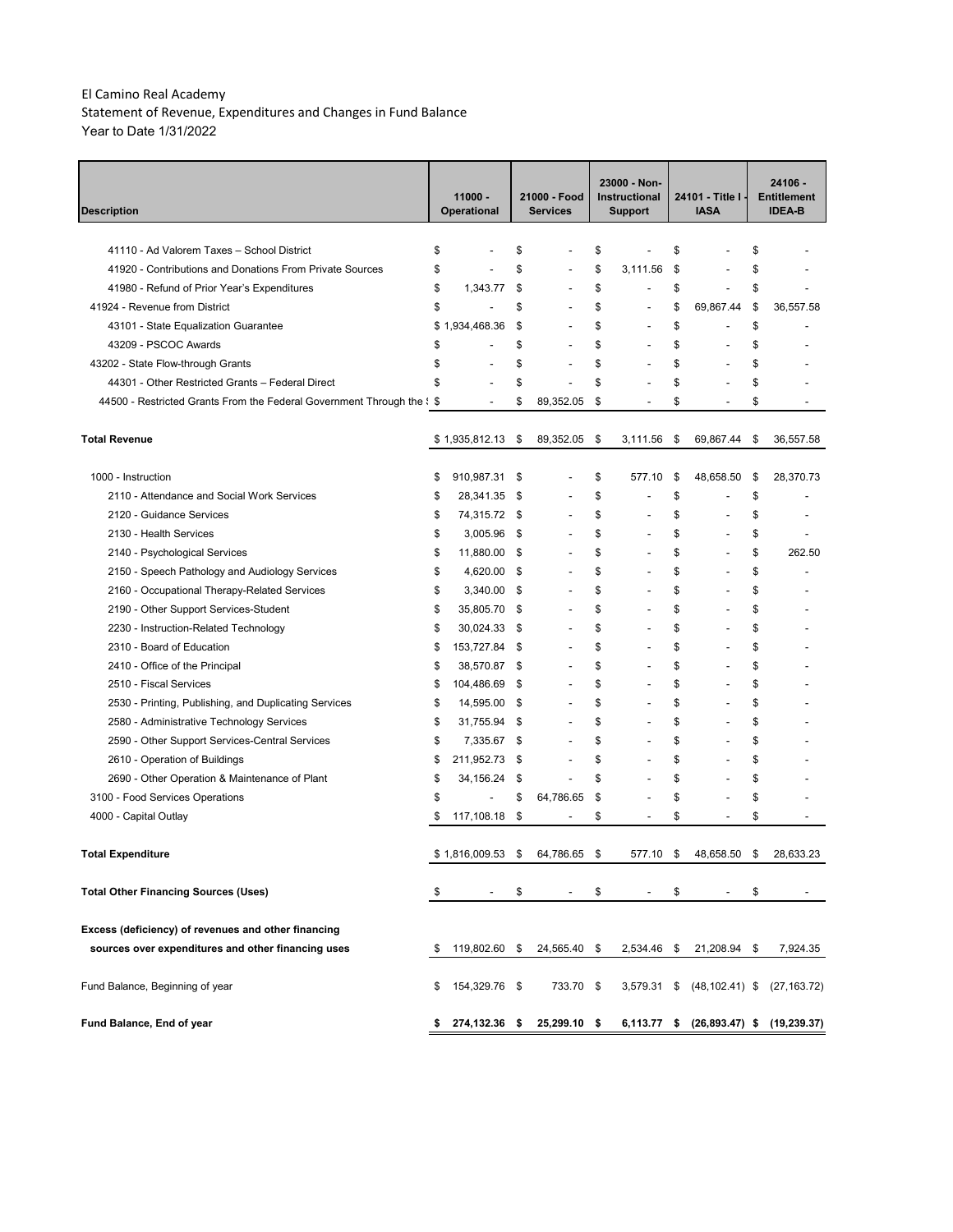Statement of Revenue, Expenditures and Changes in Fund Balance Year to Date 1/31/2022

| <b>Description</b>                                                     |    | $11000 -$<br><b>Operational</b> |      | 21000 - Food<br><b>Services</b> |     | 23000 - Non-<br>Instructional<br><b>Support</b> | 24101 - Title I<br><b>IASA</b>         | 24106 -<br><b>Entitlement</b><br><b>IDEA-B</b> |
|------------------------------------------------------------------------|----|---------------------------------|------|---------------------------------|-----|-------------------------------------------------|----------------------------------------|------------------------------------------------|
|                                                                        |    |                                 |      |                                 |     |                                                 |                                        |                                                |
| 41110 - Ad Valorem Taxes - School District                             | \$ |                                 | \$   |                                 | \$  |                                                 | \$                                     | \$                                             |
| 41920 - Contributions and Donations From Private Sources               | \$ |                                 | \$   |                                 | \$  | 3,111.56                                        | \$                                     | \$                                             |
| 41980 - Refund of Prior Year's Expenditures                            | \$ | 1,343.77                        | \$   |                                 | \$  |                                                 | \$<br>$\overline{a}$                   | \$                                             |
| 41924 - Revenue from District                                          | \$ |                                 | \$   |                                 | \$  | $\overline{a}$                                  | \$<br>69,867.44                        | \$<br>36,557.58                                |
| 43101 - State Equalization Guarantee                                   | \$ | 1,934,468.36                    | \$   |                                 | \$  | Ĭ.                                              | \$                                     | \$                                             |
| 43209 - PSCOC Awards                                                   | \$ |                                 | \$   |                                 | \$  | $\overline{a}$                                  | \$                                     | \$                                             |
| 43202 - State Flow-through Grants                                      | \$ |                                 | \$   |                                 | \$  |                                                 | \$                                     | \$                                             |
| 44301 - Other Restricted Grants - Federal Direct                       | \$ |                                 | \$   |                                 | \$  |                                                 | \$                                     | \$                                             |
| 44500 - Restricted Grants From the Federal Government Through the \$\$ |    |                                 | \$   | 89,352.05                       | \$  |                                                 | \$                                     | \$                                             |
| <b>Total Revenue</b>                                                   |    | \$1,935,812.13                  | \$   | 89,352.05                       | -\$ | 3,111.56                                        | \$<br>69,867.44                        | \$<br>36,557.58                                |
| 1000 - Instruction                                                     | \$ | 910,987.31                      | \$   |                                 | \$  | 577.10                                          | \$<br>48,658.50                        | \$<br>28,370.73                                |
| 2110 - Attendance and Social Work Services                             | \$ | 28,341.35 \$                    |      |                                 | \$  |                                                 | \$                                     | \$                                             |
| 2120 - Guidance Services                                               | \$ | 74,315.72 \$                    |      |                                 | \$  | $\overline{a}$                                  | \$                                     | \$                                             |
| 2130 - Health Services                                                 | \$ | 3,005.96                        | - \$ |                                 | \$  | $\overline{a}$                                  | \$<br>÷                                | \$                                             |
| 2140 - Psychological Services                                          | \$ | 11,880.00                       | - \$ |                                 | \$  | $\overline{a}$                                  | \$                                     | \$<br>262.50                                   |
| 2150 - Speech Pathology and Audiology Services                         | \$ | 4,620.00 \$                     |      |                                 | \$  | $\overline{a}$                                  | \$                                     | \$                                             |
| 2160 - Occupational Therapy-Related Services                           | \$ | 3,340.00 \$                     |      |                                 | \$  | $\overline{a}$                                  | \$                                     | \$                                             |
| 2190 - Other Support Services-Student                                  | \$ | 35,805.70 \$                    |      | ÷,                              | \$  | $\overline{a}$                                  | \$                                     | \$                                             |
| 2230 - Instruction-Related Technology                                  | \$ | 30,024.33 \$                    |      | ÷,                              | \$  | $\overline{a}$                                  | \$                                     | \$                                             |
| 2310 - Board of Education                                              | \$ | 153,727.84 \$                   |      | ÷,                              | \$  | $\overline{a}$                                  | \$                                     | \$                                             |
| 2410 - Office of the Principal                                         | \$ | 38,570.87 \$                    |      | $\overline{a}$                  | \$  | $\overline{\phantom{0}}$                        | \$<br>$\overline{a}$                   | \$                                             |
| 2510 - Fiscal Services                                                 | \$ | 104,486.69                      | \$   | $\overline{a}$                  | \$  | $\overline{\phantom{0}}$                        | \$<br>$\overline{\phantom{a}}$         | \$                                             |
| 2530 - Printing, Publishing, and Duplicating Services                  | \$ | 14,595.00                       | - \$ | $\overline{a}$                  | \$  | $\overline{\phantom{0}}$                        | \$<br>$\overline{\phantom{a}}$         | \$                                             |
| 2580 - Administrative Technology Services                              | \$ | 31,755.94 \$                    |      | $\overline{a}$                  | \$  | $\overline{\phantom{0}}$                        | \$<br>$\overline{a}$                   | \$                                             |
| 2590 - Other Support Services-Central Services                         | \$ | 7,335.67 \$                     |      |                                 | \$  | $\overline{a}$                                  | \$<br>$\overline{a}$                   | \$                                             |
| 2610 - Operation of Buildings                                          | \$ | 211,952.73                      | \$   | ÷,                              | \$  | $\overline{a}$                                  | \$<br>$\overline{a}$                   | \$                                             |
| 2690 - Other Operation & Maintenance of Plant                          | \$ | 34,156.24                       | \$   | ÷,                              | \$  | $\overline{a}$                                  | \$<br>L,                               | \$                                             |
| 3100 - Food Services Operations                                        | \$ | $\overline{\phantom{a}}$        | \$   | 64,786.65                       | \$  | $\overline{a}$                                  | \$                                     | \$                                             |
| 4000 - Capital Outlay                                                  | \$ | 117,108.18                      | \$   | $\overline{a}$                  | \$  | $\overline{\phantom{a}}$                        | \$<br>÷,                               | \$                                             |
| Total Expenditure                                                      |    | \$1,816,009.53                  | \$   | 64,786.65                       |     | 577.10                                          | \$<br>48,658.50                        | 28,633.23                                      |
| <b>Total Other Financing Sources (Uses)</b>                            | \$ |                                 | \$   |                                 | \$  |                                                 | \$                                     | \$                                             |
| Excess (deficiency) of revenues and other financing                    |    |                                 |      |                                 |     |                                                 |                                        |                                                |
| sources over expenditures and other financing uses                     | \$ | 119,802.60 \$                   |      | 24,565.40 \$                    |     | 2,534.46 \$                                     | 21,208.94 \$                           | 7,924.35                                       |
| Fund Balance, Beginning of year                                        | \$ | 154,329.76 \$                   |      | 733.70 \$                       |     | 3,579.31 \$                                     | $(48, 102.41)$ \$                      | (27, 163.72)                                   |
| Fund Balance, End of year                                              | \$ | 274,132.36 \$                   |      | 25,299.10 \$                    |     |                                                 | 6,113.77 \$ (26,893.47) \$ (19,239.37) |                                                |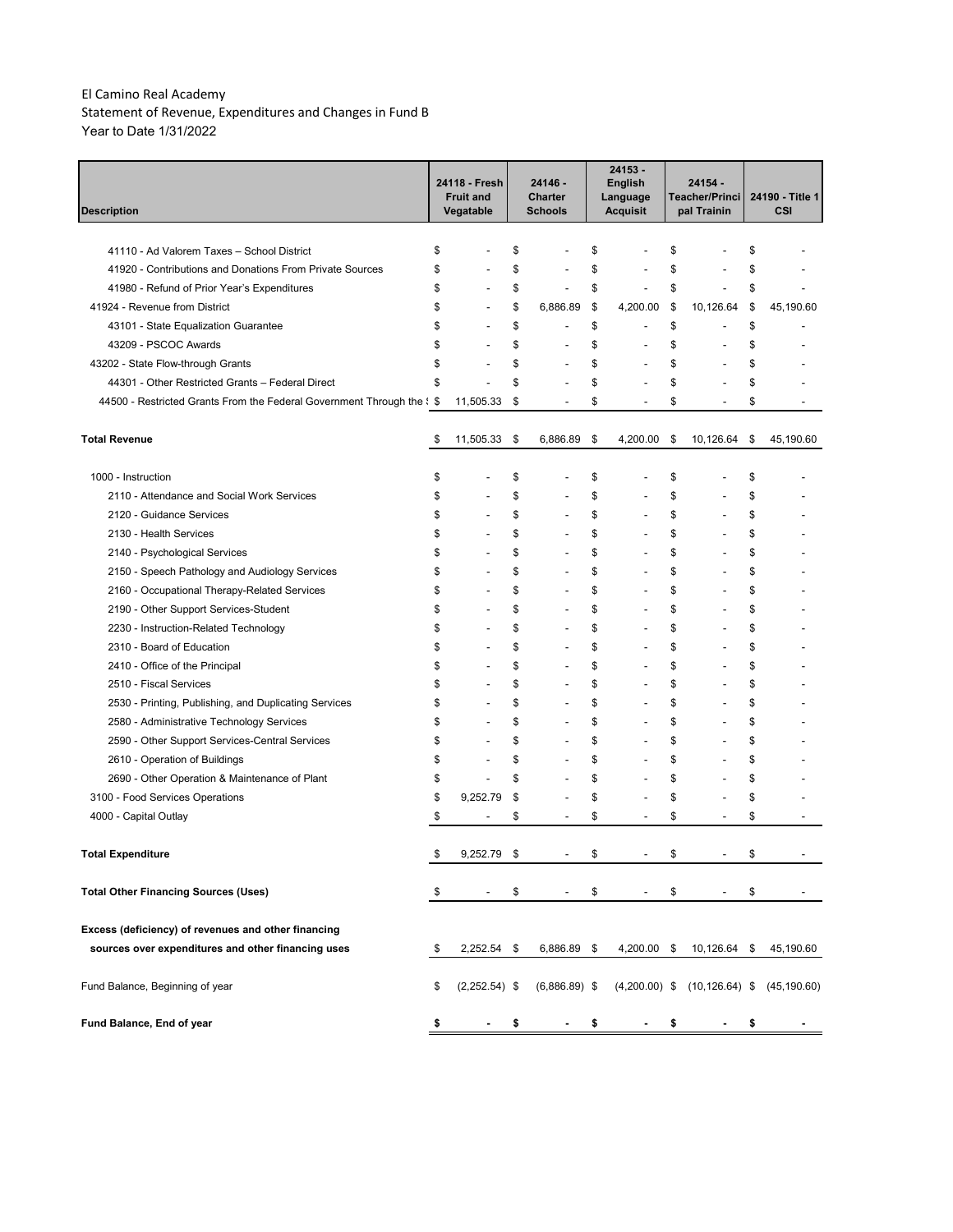Statement of Revenue, Expenditures and Changes in Fund B Year to Date 1/31/2022

| Description                                                                     |    | 24118 - Fresh<br><b>Fruit and</b><br>Vegatable | 24146 -<br><b>Charter</b><br><b>Schools</b> |    | 24153 -<br><b>English</b><br>Language<br><b>Acquisit</b> | 24154<br>Teacher/Princi<br>pal Trainin |    | 24190 - Title 1<br>CSI |
|---------------------------------------------------------------------------------|----|------------------------------------------------|---------------------------------------------|----|----------------------------------------------------------|----------------------------------------|----|------------------------|
|                                                                                 |    |                                                |                                             |    |                                                          |                                        |    |                        |
| 41110 - Ad Valorem Taxes - School District                                      | \$ |                                                | \$                                          | \$ |                                                          | \$                                     | \$ |                        |
| 41920 - Contributions and Donations From Private Sources                        | \$ |                                                | \$                                          | \$ |                                                          | \$                                     | \$ |                        |
| 41980 - Refund of Prior Year's Expenditures                                     | \$ | L,                                             | \$<br>$\overline{a}$                        | \$ |                                                          | \$<br>$\overline{a}$                   | \$ |                        |
| 41924 - Revenue from District                                                   | \$ | L,                                             | \$<br>6,886.89                              | \$ | 4,200.00                                                 | \$<br>10,126.64                        | \$ | 45,190.60              |
| 43101 - State Equalization Guarantee                                            | \$ |                                                | \$                                          | \$ |                                                          | \$                                     | \$ |                        |
| 43209 - PSCOC Awards                                                            | \$ |                                                | \$                                          | \$ |                                                          | \$                                     | \$ |                        |
| 43202 - State Flow-through Grants                                               | \$ |                                                | \$                                          | \$ |                                                          | \$                                     | \$ |                        |
| 44301 - Other Restricted Grants - Federal Direct                                | \$ |                                                | \$                                          | \$ |                                                          | \$                                     | \$ |                        |
| 44500 - Restricted Grants From the Federal Government Through the $\frac{1}{5}$ |    | 11,505.33                                      | \$                                          | \$ |                                                          | \$                                     | \$ |                        |
| <b>Total Revenue</b>                                                            | \$ | 11,505.33                                      | \$<br>6,886.89                              | \$ | 4,200.00                                                 | \$<br>10,126.64                        | \$ | 45,190.60              |
| 1000 - Instruction                                                              | \$ |                                                | \$                                          | \$ |                                                          | \$                                     | \$ |                        |
| 2110 - Attendance and Social Work Services                                      | \$ |                                                | \$                                          | \$ |                                                          | \$                                     | \$ |                        |
| 2120 - Guidance Services                                                        | \$ |                                                | \$<br>$\overline{a}$                        | \$ |                                                          | \$                                     | \$ |                        |
| 2130 - Health Services                                                          | \$ |                                                | \$                                          | \$ |                                                          | \$                                     | \$ |                        |
| 2140 - Psychological Services                                                   | \$ |                                                | \$                                          | \$ |                                                          | \$                                     | \$ |                        |
| 2150 - Speech Pathology and Audiology Services                                  | \$ | ÷                                              | \$                                          | \$ |                                                          | \$                                     | \$ |                        |
| 2160 - Occupational Therapy-Related Services                                    | \$ | ÷                                              | \$                                          | \$ |                                                          | \$                                     | \$ |                        |
| 2190 - Other Support Services-Student                                           | \$ |                                                | \$                                          | \$ |                                                          | \$                                     | \$ |                        |
| 2230 - Instruction-Related Technology                                           | \$ | ÷                                              | \$<br>÷,                                    | \$ |                                                          | \$                                     | \$ |                        |
| 2310 - Board of Education                                                       | \$ | ÷                                              | \$<br>÷,                                    | \$ |                                                          | \$                                     | \$ |                        |
| 2410 - Office of the Principal                                                  | \$ | ÷                                              | \$<br>$\overline{a}$                        | \$ |                                                          | \$                                     | \$ |                        |
| 2510 - Fiscal Services                                                          | \$ | ÷                                              | \$<br>$\overline{a}$                        | \$ |                                                          | \$                                     | \$ |                        |
| 2530 - Printing, Publishing, and Duplicating Services                           | \$ | ÷                                              | \$<br>$\overline{a}$                        | \$ |                                                          | \$                                     | \$ |                        |
| 2580 - Administrative Technology Services                                       | \$ | ÷                                              | \$<br>$\overline{a}$                        | \$ |                                                          | \$                                     | \$ |                        |
| 2590 - Other Support Services-Central Services                                  | \$ | ÷                                              | \$<br>$\overline{a}$                        | \$ |                                                          | \$                                     | \$ |                        |
| 2610 - Operation of Buildings                                                   | \$ | Ĭ.                                             | \$<br>$\overline{a}$                        | \$ |                                                          | \$                                     | \$ |                        |
| 2690 - Other Operation & Maintenance of Plant                                   | \$ | $\overline{a}$                                 | \$<br>L.                                    | \$ |                                                          | \$                                     | \$ |                        |
| 3100 - Food Services Operations                                                 | \$ | 9,252.79                                       | \$                                          | \$ |                                                          | \$                                     | \$ |                        |
| 4000 - Capital Outlay                                                           | \$ | -                                              | \$<br>÷                                     | \$ | $\overline{\phantom{a}}$                                 | \$<br>÷                                | \$ |                        |
| Total Expenditure                                                               |    | 9,252.79                                       | \$                                          |    |                                                          | \$                                     | ፍ  |                        |
| <b>Total Other Financing Sources (Uses)</b>                                     | \$ |                                                | \$                                          | \$ |                                                          | \$                                     | \$ |                        |
| Excess (deficiency) of revenues and other financing                             |    |                                                |                                             |    |                                                          |                                        |    |                        |
| sources over expenditures and other financing uses                              | \$ | $2,252.54$ \$                                  | 6,886.89 \$                                 |    | 4,200.00 \$                                              | 10,126.64 \$                           |    | 45,190.60              |
| Fund Balance, Beginning of year                                                 | \$ | $(2,252.54)$ \$                                | $(6,886.89)$ \$                             |    |                                                          | $(4,200.00)$ \$ $(10,126.64)$ \$       |    | (45, 190.60)           |
| Fund Balance, End of year                                                       | \$ |                                                | \$                                          | \$ |                                                          | \$                                     | \$ |                        |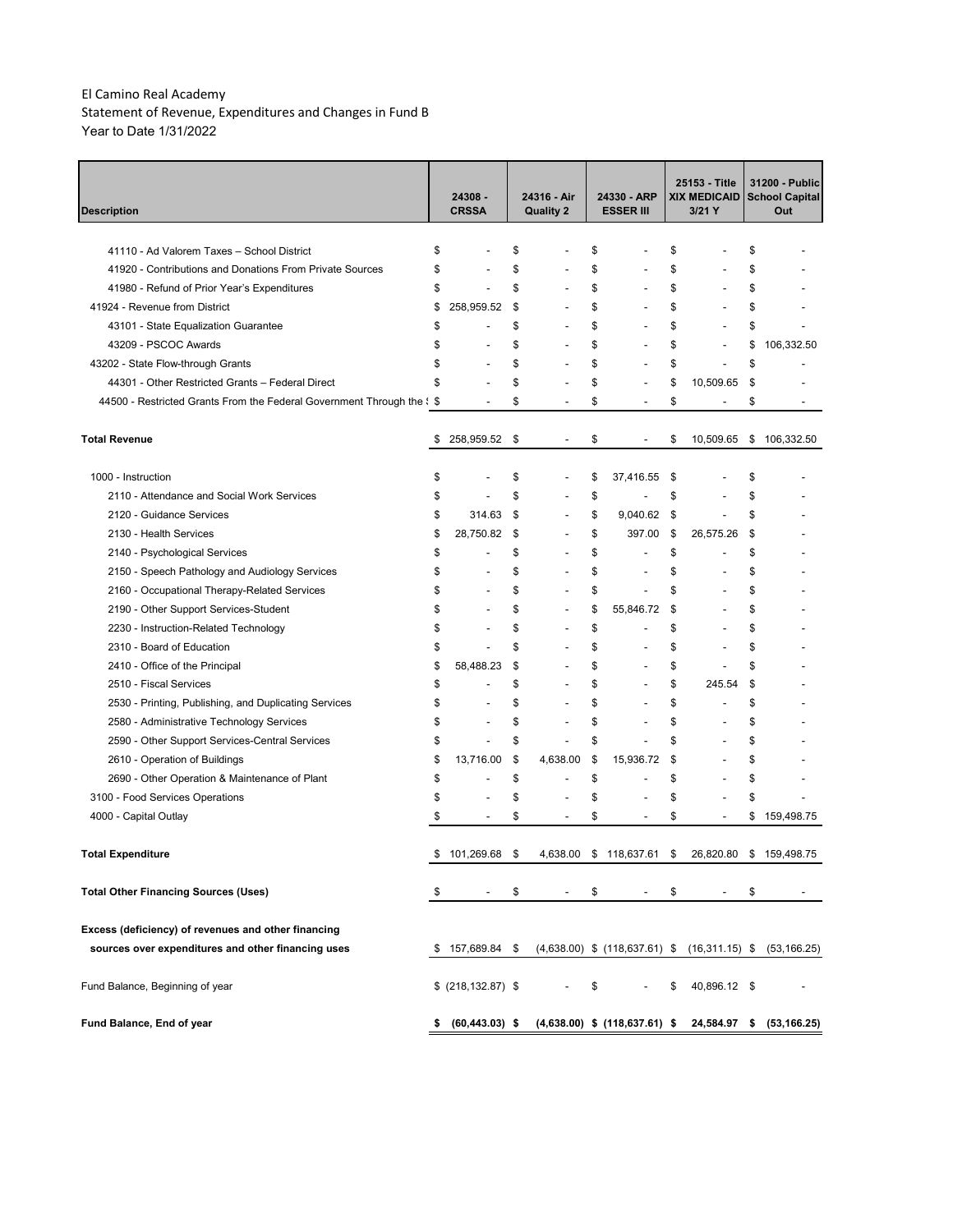Statement of Revenue, Expenditures and Changes in Fund B Year to Date 1/31/2022

| <b>Description</b>                                                              |    | 24308 -<br><b>CRSSA</b>  |    | 24316 - Air<br><b>Quality 2</b> | 24330 - ARP<br><b>ESSER III</b> |                                                                  |     | 25153 - Title<br><b>XIX MEDICAID</b><br>$3/21$ Y | 31200 - Public<br><b>School Capital</b><br>Out |
|---------------------------------------------------------------------------------|----|--------------------------|----|---------------------------------|---------------------------------|------------------------------------------------------------------|-----|--------------------------------------------------|------------------------------------------------|
|                                                                                 |    |                          |    |                                 |                                 |                                                                  |     |                                                  |                                                |
| 41110 - Ad Valorem Taxes - School District                                      | \$ |                          | \$ |                                 | \$                              |                                                                  | \$  |                                                  | \$                                             |
| 41920 - Contributions and Donations From Private Sources                        | \$ |                          | \$ |                                 | \$                              |                                                                  | \$  |                                                  | \$                                             |
| 41980 - Refund of Prior Year's Expenditures                                     | \$ |                          | \$ | ÷                               | \$                              |                                                                  | \$  |                                                  | \$                                             |
| 41924 - Revenue from District                                                   | \$ | 258,959.52               | \$ | ÷                               | \$                              |                                                                  | \$  |                                                  | \$                                             |
| 43101 - State Equalization Guarantee                                            | \$ |                          | \$ | Ĭ.                              | \$                              |                                                                  | \$  |                                                  | \$                                             |
| 43209 - PSCOC Awards                                                            | \$ |                          | \$ | Ĭ.                              | \$                              |                                                                  | \$  |                                                  | \$<br>106,332.50                               |
| 43202 - State Flow-through Grants                                               | \$ | $\overline{a}$           | \$ | Ĭ.                              | \$                              | $\overline{a}$                                                   | \$  |                                                  | \$                                             |
| 44301 - Other Restricted Grants - Federal Direct                                | S  |                          | \$ |                                 | \$                              |                                                                  | \$  | 10,509.65                                        | \$                                             |
| 44500 - Restricted Grants From the Federal Government Through the $\frac{1}{5}$ |    | $\overline{\phantom{a}}$ | \$ | $\overline{\phantom{0}}$        | \$                              | $\overline{\phantom{a}}$                                         | \$  | $\overline{\phantom{a}}$                         | \$<br>$\overline{\phantom{a}}$                 |
| <b>Total Revenue</b>                                                            | \$ | 258,959.52               | \$ | $\overline{\phantom{a}}$        | \$                              | $\overline{\phantom{a}}$                                         | \$  | 10,509.65                                        | \$106,332.50                                   |
| 1000 - Instruction                                                              | \$ |                          | \$ |                                 | \$                              | 37,416.55                                                        | \$  |                                                  | \$                                             |
| 2110 - Attendance and Social Work Services                                      | \$ | ÷                        | \$ | ÷                               | \$                              |                                                                  | \$  |                                                  | \$                                             |
| 2120 - Guidance Services                                                        | \$ | 314.63                   | \$ | $\overline{\phantom{a}}$        | \$                              | 9.040.62                                                         | -\$ | $\overline{a}$                                   | \$                                             |
| 2130 - Health Services                                                          | \$ | 28,750.82                | \$ | $\overline{\phantom{a}}$        | \$                              | 397.00                                                           | \$  | 26,575.26                                        | \$                                             |
| 2140 - Psychological Services                                                   | \$ | $\overline{a}$           | \$ | $\overline{a}$                  | \$                              | $\overline{a}$                                                   | \$  |                                                  | \$                                             |
| 2150 - Speech Pathology and Audiology Services                                  | \$ |                          | \$ | Ĭ.                              | \$                              | $\overline{a}$                                                   | \$  |                                                  | \$                                             |
| 2160 - Occupational Therapy-Related Services                                    | \$ | $\overline{a}$           | \$ | Ĭ.                              | \$                              | $\overline{a}$                                                   | \$  |                                                  | \$                                             |
| 2190 - Other Support Services-Student                                           | \$ | $\overline{a}$           | \$ | $\overline{a}$                  | \$                              | 55,846.72                                                        | \$  |                                                  | \$                                             |
| 2230 - Instruction-Related Technology                                           | \$ | $\overline{a}$           | \$ | Ĭ.                              | \$                              |                                                                  | \$  |                                                  | \$                                             |
| 2310 - Board of Education                                                       | \$ | Ĭ.                       | \$ | Ĭ.                              | \$                              |                                                                  | \$  |                                                  | \$                                             |
| 2410 - Office of the Principal                                                  | \$ | 58,488.23                | \$ | Ĭ.                              | \$                              | $\overline{a}$                                                   | \$  |                                                  | \$                                             |
| 2510 - Fiscal Services                                                          | \$ |                          | \$ | ÷,                              | \$                              | $\overline{a}$                                                   | \$  | 245.54                                           | \$                                             |
| 2530 - Printing, Publishing, and Duplicating Services                           | \$ |                          | \$ | L,                              | \$                              | $\overline{a}$                                                   | \$  |                                                  | \$                                             |
| 2580 - Administrative Technology Services                                       | \$ | Ĭ.                       | \$ | L,                              | \$                              | $\overline{a}$                                                   | \$  |                                                  | \$                                             |
| 2590 - Other Support Services-Central Services                                  | \$ | $\overline{a}$           | \$ | L,                              | \$                              |                                                                  | \$  |                                                  | \$                                             |
| 2610 - Operation of Buildings                                                   | \$ | 13,716.00                | \$ | 4,638.00                        | \$                              | 15,936.72                                                        | \$  |                                                  | \$                                             |
| 2690 - Other Operation & Maintenance of Plant                                   | \$ | $\overline{a}$           | \$ | ÷                               | \$                              |                                                                  | \$  |                                                  | \$                                             |
| 3100 - Food Services Operations                                                 | \$ |                          | \$ |                                 | \$                              |                                                                  | \$  |                                                  | \$                                             |
| 4000 - Capital Outlay                                                           |    |                          | \$ | ÷,                              | \$                              | $\overline{\phantom{a}}$                                         | \$  |                                                  | \$<br>159,498.75                               |
| <b>Total Expenditure</b>                                                        |    | 101,269.68               |    | 4,638.00                        |                                 | \$118,637.61                                                     | \$  | 26,820.80                                        | \$<br>159,498.75                               |
| <b>Total Other Financing Sources (Uses)</b>                                     | \$ |                          | \$ |                                 | \$                              |                                                                  | \$  |                                                  | \$                                             |
| Excess (deficiency) of revenues and other financing                             |    |                          |    |                                 |                                 |                                                                  |     |                                                  |                                                |
| sources over expenditures and other financing uses                              | \$ | 157,689.84 \$            |    |                                 |                                 | $(4,638.00)$ \$ $(118,637.61)$ \$ $(16,311.15)$ \$ $(53,166.25)$ |     |                                                  |                                                |
| Fund Balance, Beginning of year                                                 |    | \$ (218, 132.87) \$      |    |                                 | \$                              |                                                                  | \$  | 40,896.12 \$                                     |                                                |
| Fund Balance, End of year                                                       | \$ | $(60, 443.03)$ \$        |    |                                 |                                 | $(4,638.00)$ \$ $(118,637.61)$ \$                                |     | 24,584.97 \$                                     | (53, 166.25)                                   |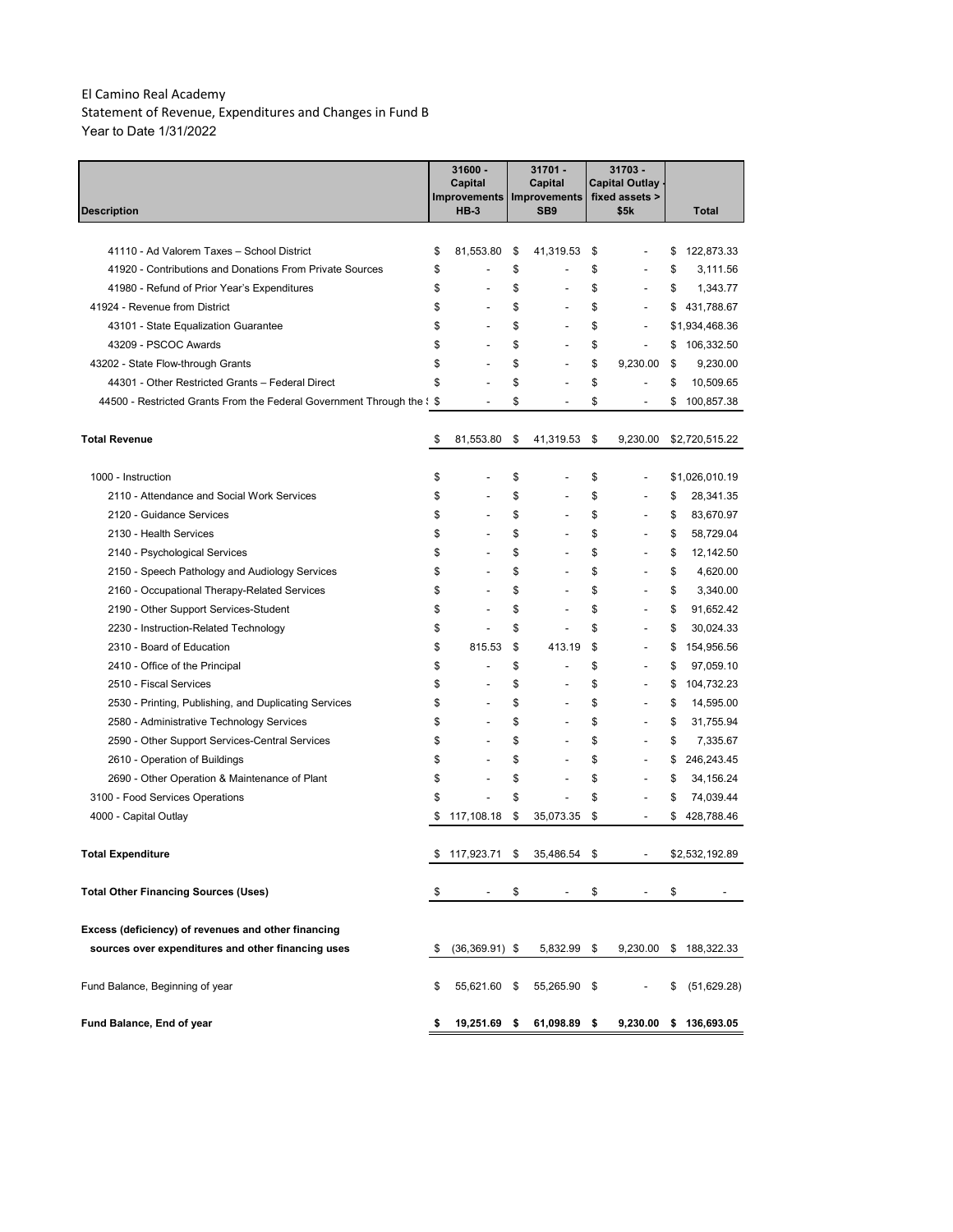Statement of Revenue, Expenditures and Changes in Fund B Year to Date 1/31/2022

|                                                                                 | 31600 -<br>Capital<br><b>Improvements</b><br><b>HB-3</b> |    | 31701 -<br>Capital<br><b>Improvements</b> | 31703 -<br>Capital Outlay .<br>fixed assets > |                   |
|---------------------------------------------------------------------------------|----------------------------------------------------------|----|-------------------------------------------|-----------------------------------------------|-------------------|
| <b>Description</b>                                                              |                                                          |    | SB <sub>9</sub>                           | \$5k                                          | Total             |
|                                                                                 |                                                          |    |                                           |                                               |                   |
| 41110 - Ad Valorem Taxes - School District                                      | \$<br>81,553.80                                          | \$ | 41,319.53                                 | \$                                            | \$<br>122,873.33  |
| 41920 - Contributions and Donations From Private Sources                        | \$                                                       | \$ | $\overline{a}$                            | \$                                            | \$<br>3,111.56    |
| 41980 - Refund of Prior Year's Expenditures                                     | \$                                                       | \$ | $\overline{a}$                            | \$                                            | \$<br>1,343.77    |
| 41924 - Revenue from District                                                   | \$                                                       | \$ | $\overline{a}$                            | \$                                            | \$<br>431,788.67  |
| 43101 - State Equalization Guarantee                                            | \$                                                       | \$ | $\overline{a}$                            | \$<br>$\overline{a}$                          | \$1,934,468.36    |
| 43209 - PSCOC Awards                                                            | \$                                                       | \$ | $\overline{a}$                            | \$<br>$\overline{a}$                          | \$<br>106,332.50  |
| 43202 - State Flow-through Grants                                               | \$                                                       | \$ | $\overline{a}$                            | \$<br>9,230.00                                | \$<br>9,230.00    |
| 44301 - Other Restricted Grants - Federal Direct                                | \$                                                       | \$ |                                           | \$                                            | \$<br>10,509.65   |
| 44500 - Restricted Grants From the Federal Government Through the $\frac{1}{5}$ |                                                          | \$ | $\overline{a}$                            | \$<br>$\overline{a}$                          | \$<br>100,857.38  |
| <b>Total Revenue</b>                                                            | \$<br>81,553.80                                          | \$ | 41,319.53                                 | \$<br>9,230.00                                | \$2,720,515.22    |
| 1000 - Instruction                                                              | \$                                                       | \$ |                                           | \$                                            | \$1,026,010.19    |
| 2110 - Attendance and Social Work Services                                      | \$                                                       | \$ |                                           | \$                                            | \$<br>28,341.35   |
| 2120 - Guidance Services                                                        | \$                                                       | \$ |                                           | \$                                            | \$<br>83,670.97   |
| 2130 - Health Services                                                          | \$                                                       | \$ |                                           | \$                                            | \$<br>58,729.04   |
| 2140 - Psychological Services                                                   | \$                                                       | \$ |                                           | \$                                            | \$<br>12,142.50   |
| 2150 - Speech Pathology and Audiology Services                                  | \$                                                       | \$ |                                           | \$                                            | \$<br>4,620.00    |
| 2160 - Occupational Therapy-Related Services                                    | \$                                                       | \$ | $\overline{a}$                            | \$                                            | \$<br>3,340.00    |
| 2190 - Other Support Services-Student                                           | \$                                                       | \$ |                                           | \$                                            | \$<br>91,652.42   |
| 2230 - Instruction-Related Technology                                           | \$                                                       | \$ |                                           | \$                                            | \$<br>30,024.33   |
| 2310 - Board of Education                                                       | \$<br>815.53                                             | \$ | 413.19                                    | \$                                            | \$<br>154,956.56  |
| 2410 - Office of the Principal                                                  | \$                                                       | \$ | $\overline{a}$                            | \$                                            | \$<br>97,059.10   |
| 2510 - Fiscal Services                                                          | \$                                                       | \$ | $\overline{a}$                            | \$                                            | \$<br>104,732.23  |
| 2530 - Printing, Publishing, and Duplicating Services                           | \$                                                       | \$ | $\overline{\phantom{0}}$                  | \$<br>-                                       | \$<br>14,595.00   |
| 2580 - Administrative Technology Services                                       | \$                                                       | \$ | $\overline{a}$                            | \$                                            | \$<br>31,755.94   |
| 2590 - Other Support Services-Central Services                                  | \$                                                       | \$ | $\overline{a}$                            | \$<br>$\overline{a}$                          | \$<br>7,335.67    |
| 2610 - Operation of Buildings                                                   | \$                                                       | \$ | $\overline{a}$                            | \$                                            | \$<br>246,243.45  |
| 2690 - Other Operation & Maintenance of Plant                                   | \$                                                       | \$ | $\overline{a}$                            | \$                                            | \$<br>34,156.24   |
| 3100 - Food Services Operations                                                 | \$                                                       | \$ | $\overline{a}$                            | \$                                            | \$<br>74,039.44   |
| 4000 - Capital Outlay                                                           | \$<br>117,108.18                                         | \$ | 35,073.35                                 | \$<br>$\overline{a}$                          | \$<br>428,788.46  |
|                                                                                 |                                                          |    |                                           |                                               |                   |
| <b>Total Expenditure</b>                                                        | 117,923.71                                               | S  | 35,486.54                                 | \$                                            | \$2.532.192.89    |
| <b>Total Other Financing Sources (Uses)</b>                                     | \$                                                       | \$ |                                           | \$                                            | \$                |
| Excess (deficiency) of revenues and other financing                             |                                                          |    |                                           |                                               |                   |
| sources over expenditures and other financing uses                              | \$<br>$(36,369.91)$ \$                                   |    | 5,832.99 \$                               | 9,230.00                                      | \$188,322.33      |
| Fund Balance, Beginning of year                                                 | \$<br>55,621.60                                          | \$ | 55,265.90 \$                              |                                               | \$<br>(51,629.28) |
| Fund Balance, End of year                                                       | \$<br>19,251.69                                          | \$ | 61,098.89 \$                              | 9,230.00                                      | \$136,693.05      |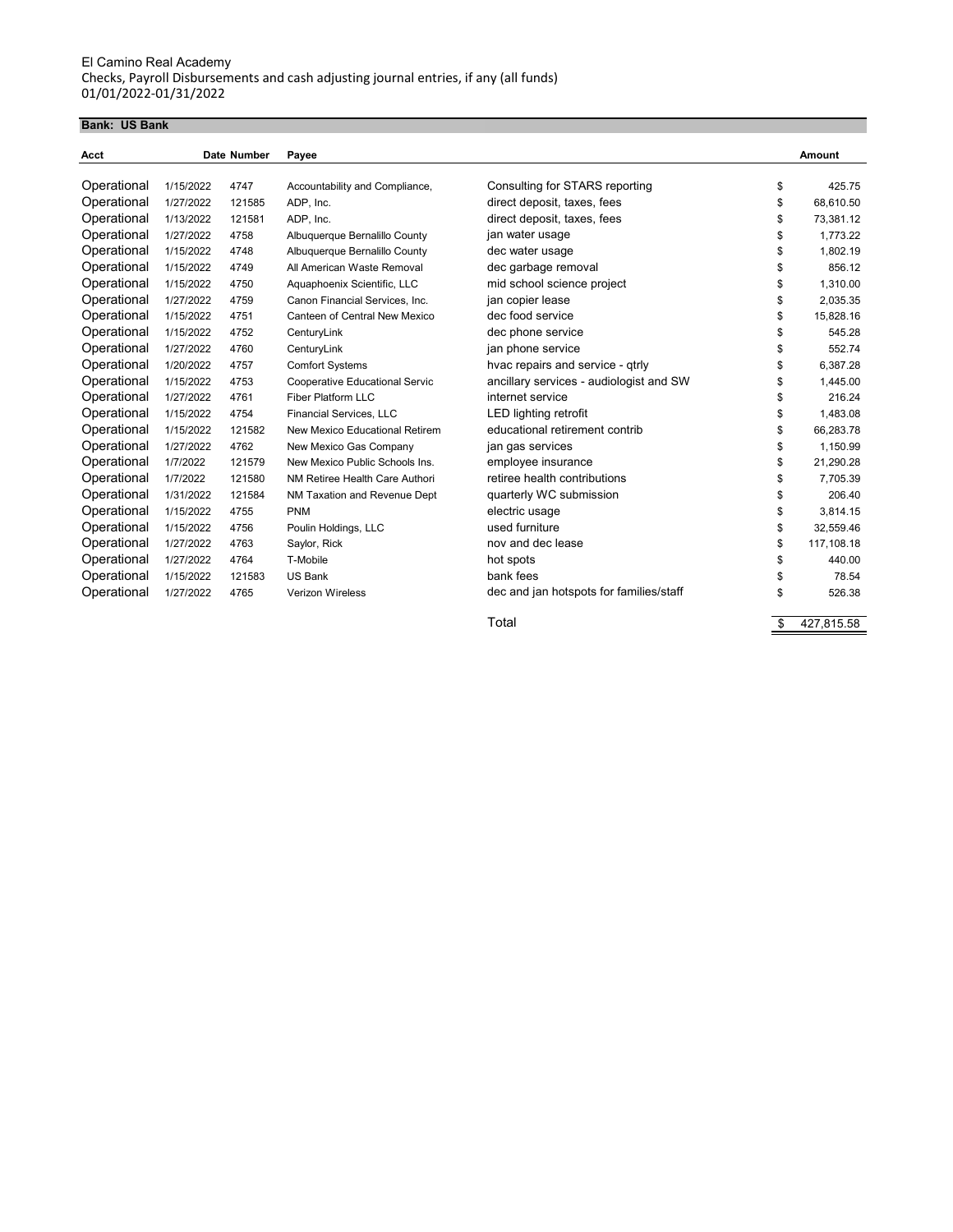#### **Bank: US Bank**

| Acct        |           | Date Number | Payee                                 |                                         |    | Amount     |
|-------------|-----------|-------------|---------------------------------------|-----------------------------------------|----|------------|
|             |           |             |                                       |                                         |    |            |
| Operational | 1/15/2022 | 4747        | Accountability and Compliance,        | Consulting for STARS reporting          | \$ | 425.75     |
| Operational | 1/27/2022 | 121585      | ADP, Inc.                             | direct deposit, taxes, fees             | \$ | 68,610.50  |
| Operational | 1/13/2022 | 121581      | ADP, Inc.                             | direct deposit, taxes, fees             | \$ | 73,381.12  |
| Operational | 1/27/2022 | 4758        | Albuquerque Bernalillo County         | jan water usage                         | \$ | 1.773.22   |
| Operational | 1/15/2022 | 4748        | Albuquerque Bernalillo County         | dec water usage                         | \$ | 1,802.19   |
| Operational | 1/15/2022 | 4749        | All American Waste Removal            | dec garbage removal                     | \$ | 856.12     |
| Operational | 1/15/2022 | 4750        | Aquaphoenix Scientific, LLC           | mid school science project              | \$ | 1,310.00   |
| Operational | 1/27/2022 | 4759        | Canon Financial Services, Inc.        | jan copier lease                        | \$ | 2.035.35   |
| Operational | 1/15/2022 | 4751        | Canteen of Central New Mexico         | dec food service                        | \$ | 15,828.16  |
| Operational | 1/15/2022 | 4752        | CenturyLink                           | dec phone service                       | \$ | 545.28     |
| Operational | 1/27/2022 | 4760        | CenturyLink                           | jan phone service                       | \$ | 552.74     |
| Operational | 1/20/2022 | 4757        | <b>Comfort Systems</b>                | hvac repairs and service - qtrly        | \$ | 6.387.28   |
| Operational | 1/15/2022 | 4753        | <b>Cooperative Educational Servic</b> | ancillary services - audiologist and SW | \$ | 1.445.00   |
| Operational | 1/27/2022 | 4761        | Fiber Platform LLC                    | internet service                        | \$ | 216.24     |
| Operational | 1/15/2022 | 4754        | <b>Financial Services, LLC</b>        | LED lighting retrofit                   | \$ | 1,483.08   |
| Operational | 1/15/2022 | 121582      | New Mexico Educational Retirem        | educational retirement contrib          | \$ | 66,283.78  |
| Operational | 1/27/2022 | 4762        | New Mexico Gas Company                | jan gas services                        | \$ | 1,150.99   |
| Operational | 1/7/2022  | 121579      | New Mexico Public Schools Ins.        | employee insurance                      | \$ | 21,290.28  |
| Operational | 1/7/2022  | 121580      | NM Retiree Health Care Authori        | retiree health contributions            | \$ | 7.705.39   |
| Operational | 1/31/2022 | 121584      | NM Taxation and Revenue Dept          | quarterly WC submission                 | S  | 206.40     |
| Operational | 1/15/2022 | 4755        | <b>PNM</b>                            | electric usage                          | \$ | 3.814.15   |
| Operational | 1/15/2022 | 4756        | Poulin Holdings, LLC                  | used furniture                          | \$ | 32,559.46  |
| Operational | 1/27/2022 | 4763        | Saylor, Rick                          | nov and dec lease                       | \$ | 117,108.18 |
| Operational | 1/27/2022 | 4764        | T-Mobile                              | hot spots                               | \$ | 440.00     |
| Operational | 1/15/2022 | 121583      | <b>US Bank</b>                        | bank fees                               | \$ | 78.54      |
| Operational | 1/27/2022 | 4765        | <b>Verizon Wireless</b>               | dec and jan hotspots for families/staff | \$ | 526.38     |

Total \$ 427,815.58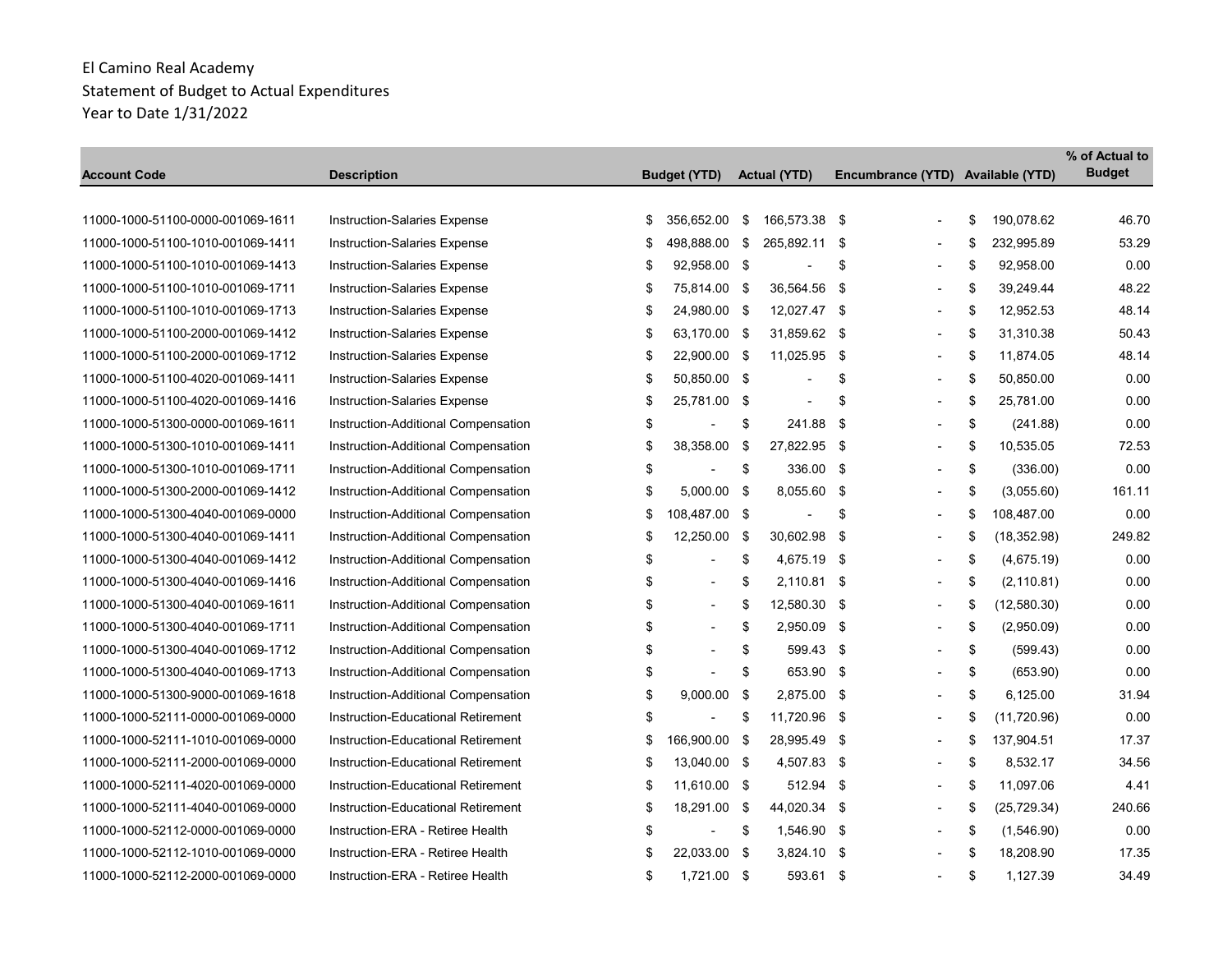|                                   |                                     |                                |                          |                                   |                    | % of Actual to |
|-----------------------------------|-------------------------------------|--------------------------------|--------------------------|-----------------------------------|--------------------|----------------|
| Account Code                      | <b>Description</b>                  | <b>Budget (YTD)</b>            | <b>Actual (YTD)</b>      | Encumbrance (YTD) Available (YTD) |                    | <b>Budget</b>  |
|                                   |                                     |                                |                          |                                   |                    |                |
| 11000-1000-51100-0000-001069-1611 | Instruction-Salaries Expense        | \$<br>356,652.00               | \$<br>166,573.38 \$      |                                   | \$<br>190,078.62   | 46.70          |
| 11000-1000-51100-1010-001069-1411 | Instruction-Salaries Expense        | \$<br>498,888.00               | \$<br>265,892.11         | \$<br>$\blacksquare$              | \$<br>232,995.89   | 53.29          |
| 11000-1000-51100-1010-001069-1413 | Instruction-Salaries Expense        | \$<br>92,958.00 \$             |                          | \$                                | \$<br>92,958.00    | 0.00           |
| 11000-1000-51100-1010-001069-1711 | Instruction-Salaries Expense        | \$<br>75,814.00 \$             | 36,564.56                | \$<br>$\overline{\phantom{a}}$    | \$<br>39,249.44    | 48.22          |
| 11000-1000-51100-1010-001069-1713 | Instruction-Salaries Expense        | \$<br>24,980.00 \$             | 12,027.47 \$             | $\overline{\phantom{0}}$          | \$<br>12,952.53    | 48.14          |
| 11000-1000-51100-2000-001069-1412 | <b>Instruction-Salaries Expense</b> | \$<br>63,170.00 \$             | 31,859.62                | \$<br>$\blacksquare$              | \$<br>31,310.38    | 50.43          |
| 11000-1000-51100-2000-001069-1712 | Instruction-Salaries Expense        | \$<br>22,900.00 \$             | 11.025.95                | \$<br>$\blacksquare$              | \$<br>11,874.05    | 48.14          |
| 11000-1000-51100-4020-001069-1411 | <b>Instruction-Salaries Expense</b> | \$<br>50,850.00 \$             | $\overline{\phantom{a}}$ | \$                                | \$<br>50,850.00    | 0.00           |
| 11000-1000-51100-4020-001069-1416 | <b>Instruction-Salaries Expense</b> | \$<br>25,781.00 \$             | $\blacksquare$           | \$<br>$\blacksquare$              | \$<br>25,781.00    | 0.00           |
| 11000-1000-51300-0000-001069-1611 | Instruction-Additional Compensation | \$                             | \$<br>241.88             | \$<br>$\overline{a}$              | \$<br>(241.88)     | 0.00           |
| 11000-1000-51300-1010-001069-1411 | Instruction-Additional Compensation | \$<br>38,358.00                | \$<br>27,822.95 \$       | $\overline{a}$                    | \$<br>10,535.05    | 72.53          |
| 11000-1000-51300-1010-001069-1711 | Instruction-Additional Compensation | \$<br>$\overline{\phantom{a}}$ | \$<br>336.00 \$          |                                   | \$<br>(336.00)     | 0.00           |
| 11000-1000-51300-2000-001069-1412 | Instruction-Additional Compensation | \$<br>5,000.00 \$              | 8,055.60                 | \$<br>$\overline{a}$              | \$<br>(3,055.60)   | 161.11         |
| 11000-1000-51300-4040-001069-0000 | Instruction-Additional Compensation | \$<br>108,487.00 \$            | $\blacksquare$           | \$                                | \$<br>108,487.00   | 0.00           |
| 11000-1000-51300-4040-001069-1411 | Instruction-Additional Compensation | \$<br>12,250.00                | \$<br>30,602.98          | \$<br>$\blacksquare$              | \$<br>(18, 352.98) | 249.82         |
| 11000-1000-51300-4040-001069-1412 | Instruction-Additional Compensation | \$<br>÷,                       | \$<br>4,675.19 \$        |                                   | \$<br>(4,675.19)   | 0.00           |
| 11000-1000-51300-4040-001069-1416 | Instruction-Additional Compensation | \$<br>$\overline{a}$           | \$<br>2,110.81 \$        | $\overline{a}$                    | \$<br>(2, 110.81)  | 0.00           |
| 11000-1000-51300-4040-001069-1611 | Instruction-Additional Compensation | \$<br>$\blacksquare$           | \$<br>12,580.30 \$       | $\blacksquare$                    | \$<br>(12,580.30)  | 0.00           |
| 11000-1000-51300-4040-001069-1711 | Instruction-Additional Compensation | \$<br>$\overline{\phantom{a}}$ | \$<br>2,950.09 \$        | L,                                | \$<br>(2,950.09)   | 0.00           |
| 11000-1000-51300-4040-001069-1712 | Instruction-Additional Compensation | \$<br>$\overline{a}$           | \$<br>599.43 \$          | $\blacksquare$                    | \$<br>(599.43)     | 0.00           |
| 11000-1000-51300-4040-001069-1713 | Instruction-Additional Compensation | \$                             | \$<br>653.90 \$          |                                   | \$<br>(653.90)     | 0.00           |
| 11000-1000-51300-9000-001069-1618 | Instruction-Additional Compensation | \$<br>9,000.00                 | \$<br>2,875.00 \$        | $\overline{\phantom{a}}$          | \$<br>6,125.00     | 31.94          |
| 11000-1000-52111-0000-001069-0000 | Instruction-Educational Retirement  | \$<br>$\overline{\phantom{a}}$ | \$<br>11,720.96 \$       |                                   | \$<br>(11, 720.96) | 0.00           |
| 11000-1000-52111-1010-001069-0000 | Instruction-Educational Retirement  | \$<br>166,900.00 \$            | 28,995.49                | \$<br>$\blacksquare$              | \$<br>137,904.51   | 17.37          |
| 11000-1000-52111-2000-001069-0000 | Instruction-Educational Retirement  | \$<br>13,040.00 \$             | 4,507.83 \$              | $\blacksquare$                    | \$<br>8,532.17     | 34.56          |
| 11000-1000-52111-4020-001069-0000 | Instruction-Educational Retirement  | \$<br>11,610.00 \$             | 512.94 \$                |                                   | \$<br>11,097.06    | 4.41           |
| 11000-1000-52111-4040-001069-0000 | Instruction-Educational Retirement  | \$<br>18,291.00 \$             | 44,020.34 \$             | $\overline{\phantom{a}}$          | \$<br>(25, 729.34) | 240.66         |
| 11000-1000-52112-0000-001069-0000 | Instruction-ERA - Retiree Health    | \$                             | \$<br>1,546.90           | \$<br>$\overline{a}$              | \$<br>(1,546.90)   | 0.00           |
| 11000-1000-52112-1010-001069-0000 | Instruction-ERA - Retiree Health    | \$<br>22,033.00 \$             | $3,824.10$ \$            | $\overline{a}$                    | \$<br>18,208.90    | 17.35          |
| 11000-1000-52112-2000-001069-0000 | Instruction-ERA - Retiree Health    | \$<br>1,721.00 \$              | 593.61 \$                |                                   | \$<br>1,127.39     | 34.49          |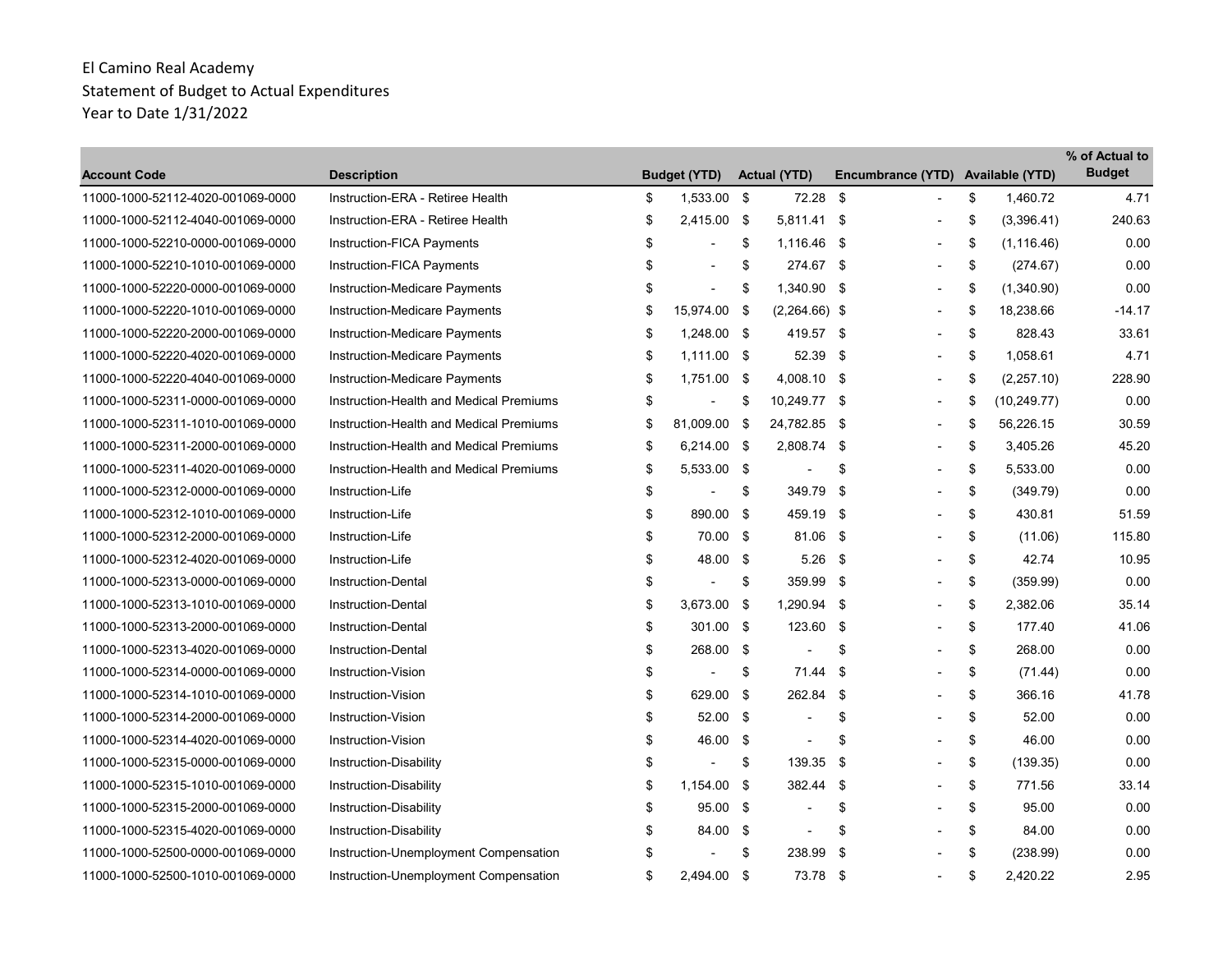| <b>Account Code</b>               | <b>Description</b>                      |    | <b>Budget (YTD)</b>      |     | <b>Actual (YTD)</b>      | Encumbrance (YTD) Available (YTD) |                    | % of Actual to<br><b>Budget</b> |
|-----------------------------------|-----------------------------------------|----|--------------------------|-----|--------------------------|-----------------------------------|--------------------|---------------------------------|
| 11000-1000-52112-4020-001069-0000 | Instruction-ERA - Retiree Health        | \$ | 1,533.00 \$              |     | 72.28                    | \$                                | \$<br>1.460.72     | 4.71                            |
| 11000-1000-52112-4040-001069-0000 | Instruction-ERA - Retiree Health        | \$ | 2,415.00 \$              |     | 5,811.41 \$              | $\overline{\phantom{0}}$          | \$<br>(3,396.41)   | 240.63                          |
| 11000-1000-52210-0000-001069-0000 | Instruction-FICA Payments               | \$ |                          | \$  | 1,116.46 \$              | $\blacksquare$                    | \$<br>(1, 116.46)  | 0.00                            |
| 11000-1000-52210-1010-001069-0000 | Instruction-FICA Payments               | \$ | $\overline{a}$           | \$  | 274.67 \$                |                                   | \$<br>(274.67)     | 0.00                            |
| 11000-1000-52220-0000-001069-0000 | Instruction-Medicare Payments           | \$ | ÷,                       | \$  | 1,340.90 \$              |                                   | \$<br>(1,340.90)   | 0.00                            |
| 11000-1000-52220-1010-001069-0000 | Instruction-Medicare Payments           | \$ | 15,974.00 \$             |     | $(2,264.66)$ \$          | $\blacksquare$                    | \$<br>18,238.66    | $-14.17$                        |
| 11000-1000-52220-2000-001069-0000 | Instruction-Medicare Payments           | \$ | 1,248.00 \$              |     | 419.57 \$                | $\blacksquare$                    | \$<br>828.43       | 33.61                           |
| 11000-1000-52220-4020-001069-0000 | <b>Instruction-Medicare Payments</b>    | \$ | $1,111.00$ \$            |     | 52.39 \$                 |                                   | \$<br>1,058.61     | 4.71                            |
| 11000-1000-52220-4040-001069-0000 | Instruction-Medicare Payments           | \$ | 1,751.00 \$              |     | 4,008.10 \$              | $\overline{\phantom{a}}$          | \$<br>(2,257.10)   | 228.90                          |
| 11000-1000-52311-0000-001069-0000 | Instruction-Health and Medical Premiums | S  |                          | \$  | 10,249.77 \$             | $\blacksquare$                    | \$<br>(10, 249.77) | 0.00                            |
| 11000-1000-52311-1010-001069-0000 | Instruction-Health and Medical Premiums | \$ | 81,009.00 \$             |     | 24,782.85 \$             |                                   | \$<br>56,226.15    | 30.59                           |
| 11000-1000-52311-2000-001069-0000 | Instruction-Health and Medical Premiums | \$ | $6,214.00$ \$            |     | 2,808.74 \$              | $\overline{\phantom{a}}$          | \$<br>3,405.26     | 45.20                           |
| 11000-1000-52311-4020-001069-0000 | Instruction-Health and Medical Premiums | \$ | 5,533.00 \$              |     | $\blacksquare$           | \$<br>$\blacksquare$              | \$<br>5,533.00     | 0.00                            |
| 11000-1000-52312-0000-001069-0000 | Instruction-Life                        | \$ | $\overline{a}$           | \$  | 349.79                   | \$                                | \$<br>(349.79)     | 0.00                            |
| 11000-1000-52312-1010-001069-0000 | Instruction-Life                        | \$ | 890.00 \$                |     | 459.19                   | -\$                               | \$<br>430.81       | 51.59                           |
| 11000-1000-52312-2000-001069-0000 | Instruction-Life                        | \$ | 70.00 \$                 |     | 81.06                    | -\$                               | \$<br>(11.06)      | 115.80                          |
| 11000-1000-52312-4020-001069-0000 | Instruction-Life                        | \$ | 48.00 \$                 |     | 5.26                     | - \$                              | \$<br>42.74        | 10.95                           |
| 11000-1000-52313-0000-001069-0000 | <b>Instruction-Dental</b>               | \$ | ÷,                       | \$  | 359.99 \$                |                                   | \$<br>(359.99)     | 0.00                            |
| 11000-1000-52313-1010-001069-0000 | <b>Instruction-Dental</b>               | \$ | $3,673.00$ \$            |     | 1,290.94 \$              | $\overline{\phantom{a}}$          | \$<br>2,382.06     | 35.14                           |
| 11000-1000-52313-2000-001069-0000 | <b>Instruction-Dental</b>               | \$ | 301.00 \$                |     | 123.60                   | -\$                               | \$<br>177.40       | 41.06                           |
| 11000-1000-52313-4020-001069-0000 | Instruction-Dental                      | \$ | 268.00 \$                |     | $\overline{\phantom{a}}$ | \$                                | \$<br>268.00       | 0.00                            |
| 11000-1000-52314-0000-001069-0000 | Instruction-Vision                      | \$ | $\overline{\phantom{a}}$ | \$  | 71.44                    | -\$                               | \$<br>(71.44)      | 0.00                            |
| 11000-1000-52314-1010-001069-0000 | Instruction-Vision                      | \$ | 629.00                   | -\$ | 262.84 \$                |                                   | \$<br>366.16       | 41.78                           |
| 11000-1000-52314-2000-001069-0000 | Instruction-Vision                      | \$ | $52.00$ \$               |     | $\overline{\phantom{a}}$ | \$                                | \$<br>52.00        | 0.00                            |
| 11000-1000-52314-4020-001069-0000 | Instruction-Vision                      | \$ | 46.00                    | -\$ | $\blacksquare$           | \$                                | \$<br>46.00        | 0.00                            |
| 11000-1000-52315-0000-001069-0000 | Instruction-Disability                  | \$ | $\blacksquare$           | \$  | 139.35                   | \$                                | \$<br>(139.35)     | 0.00                            |
| 11000-1000-52315-1010-001069-0000 | Instruction-Disability                  | \$ | 1,154.00 \$              |     | 382.44 \$                |                                   | \$<br>771.56       | 33.14                           |
| 11000-1000-52315-2000-001069-0000 | Instruction-Disability                  | \$ | 95.00 \$                 |     | $\overline{\phantom{a}}$ | \$<br>$\overline{\phantom{a}}$    | \$<br>95.00        | 0.00                            |
| 11000-1000-52315-4020-001069-0000 | Instruction-Disability                  | \$ | 84.00 \$                 |     | $\blacksquare$           | \$                                | \$<br>84.00        | 0.00                            |
| 11000-1000-52500-0000-001069-0000 | Instruction-Unemployment Compensation   | S  |                          | \$  | 238.99                   | \$                                | \$<br>(238.99)     | 0.00                            |
| 11000-1000-52500-1010-001069-0000 | Instruction-Unemployment Compensation   | \$ | 2,494.00 \$              |     | 73.78                    | - \$<br>$\blacksquare$            | \$<br>2,420.22     | 2.95                            |
|                                   |                                         |    |                          |     |                          |                                   |                    |                                 |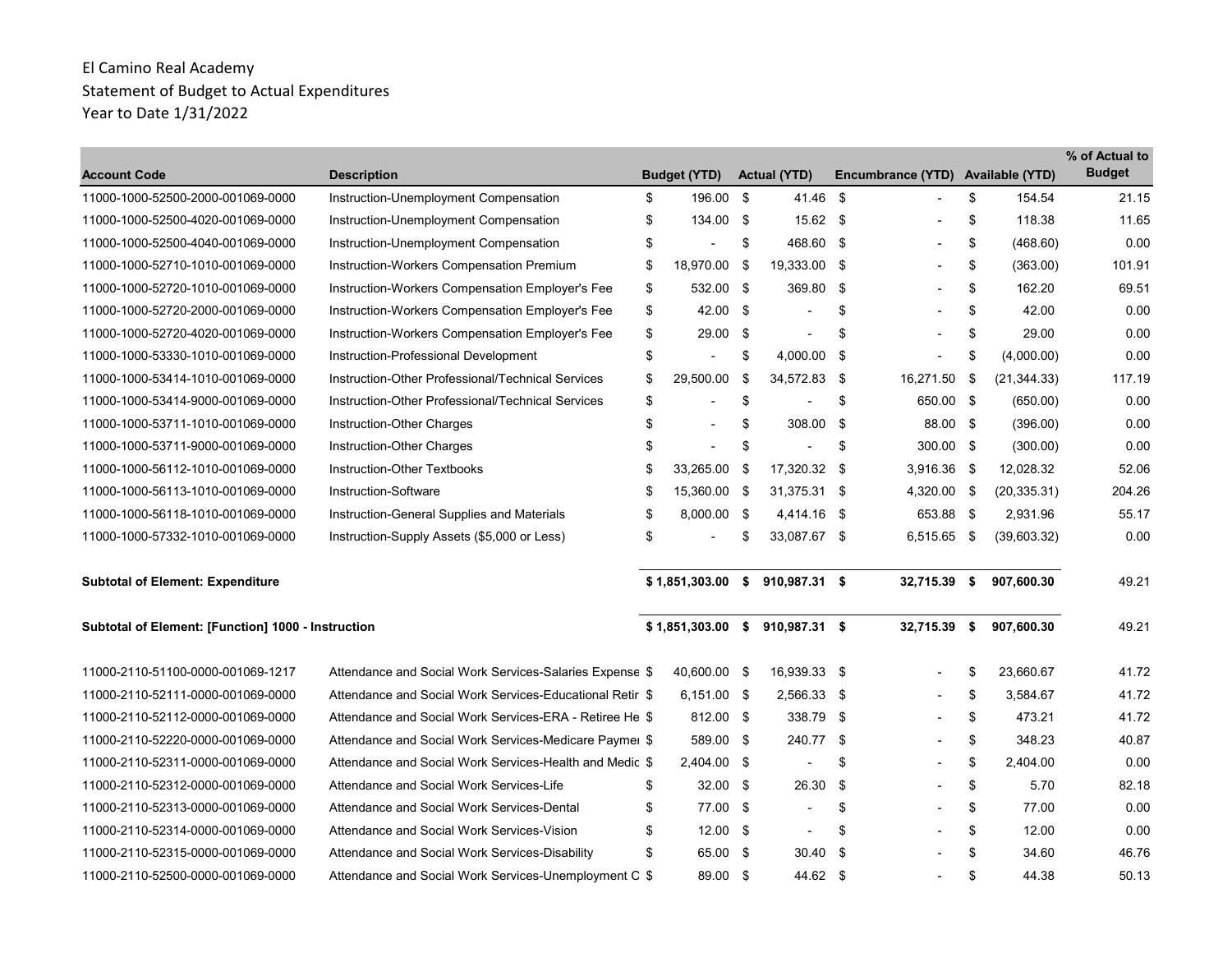| <b>Account Code</b>                                | <b>Description</b>                                       | <b>Budget (YTD)</b>            |     | <b>Actual (YTD)</b>              |      | Encumbrance (YTD) Available (YTD) |      |              | % of Actual to<br><b>Budget</b> |
|----------------------------------------------------|----------------------------------------------------------|--------------------------------|-----|----------------------------------|------|-----------------------------------|------|--------------|---------------------------------|
| 11000-1000-52500-2000-001069-0000                  | Instruction-Unemployment Compensation                    | \$<br>196.00 \$                |     | 41.46                            | - \$ |                                   | \$   | 154.54       | 21.15                           |
| 11000-1000-52500-4020-001069-0000                  | Instruction-Unemployment Compensation                    | \$<br>134.00 \$                |     | $15.62$ \$                       |      |                                   | \$   | 118.38       | 11.65                           |
| 11000-1000-52500-4040-001069-0000                  | Instruction-Unemployment Compensation                    | \$                             | \$  | 468.60 \$                        |      |                                   | \$   | (468.60)     | 0.00                            |
| 11000-1000-52710-1010-001069-0000                  | Instruction-Workers Compensation Premium                 | \$<br>18,970.00                | \$  | 19,333.00 \$                     |      |                                   | \$   | (363.00)     | 101.91                          |
| 11000-1000-52720-1010-001069-0000                  | Instruction-Workers Compensation Employer's Fee          | \$<br>532.00 \$                |     | 369.80                           | - \$ |                                   | \$   | 162.20       | 69.51                           |
| 11000-1000-52720-2000-001069-0000                  | Instruction-Workers Compensation Employer's Fee          | \$<br>$42.00$ \$               |     |                                  | \$   |                                   | \$   | 42.00        | 0.00                            |
| 11000-1000-52720-4020-001069-0000                  | Instruction-Workers Compensation Employer's Fee          | \$<br>$29.00$ \$               |     |                                  | \$   |                                   | \$   | 29.00        | 0.00                            |
| 11000-1000-53330-1010-001069-0000                  | Instruction-Professional Development                     | \$<br>$\blacksquare$           | \$  | 4,000.00                         | \$   |                                   | \$   | (4,000.00)   | 0.00                            |
| 11000-1000-53414-1010-001069-0000                  | Instruction-Other Professional/Technical Services        | \$<br>29,500.00                | -\$ | 34,572.83 \$                     |      | 16,271.50 \$                      |      | (21, 344.33) | 117.19                          |
| 11000-1000-53414-9000-001069-0000                  | Instruction-Other Professional/Technical Services        | \$<br>$\blacksquare$           | \$  |                                  | \$   | 650.00 \$                         |      | (650.00)     | 0.00                            |
| 11000-1000-53711-1010-001069-0000                  | Instruction-Other Charges                                | \$<br>$\overline{\phantom{a}}$ | \$  | 308.00                           | - \$ | 88.00 \$                          |      | (396.00)     | 0.00                            |
| 11000-1000-53711-9000-001069-0000                  | Instruction-Other Charges                                | \$<br>$\blacksquare$           | \$  |                                  | \$   | 300.00 \$                         |      | (300.00)     | 0.00                            |
| 11000-1000-56112-1010-001069-0000                  | Instruction-Other Textbooks                              | \$<br>33,265.00 \$             |     | 17,320.32 \$                     |      | 3,916.36 \$                       |      | 12,028.32    | 52.06                           |
| 11000-1000-56113-1010-001069-0000                  | Instruction-Software                                     | \$<br>15,360.00 \$             |     | 31,375.31 \$                     |      | 4,320.00 \$                       |      | (20, 335.31) | 204.26                          |
| 11000-1000-56118-1010-001069-0000                  | Instruction-General Supplies and Materials               | \$<br>8,000.00 \$              |     | 4,414.16                         | - \$ | 653.88 \$                         |      | 2,931.96     | 55.17                           |
| 11000-1000-57332-1010-001069-0000                  | Instruction-Supply Assets (\$5,000 or Less)              | \$                             | \$  | 33,087.67 \$                     |      | 6,515.65 \$                       |      | (39,603.32)  | 0.00                            |
| <b>Subtotal of Element: Expenditure</b>            |                                                          |                                |     | $$1,851,303.00$ \$ 910,987.31 \$ |      | 32,715.39 \$                      |      | 907,600.30   | 49.21                           |
| Subtotal of Element: [Function] 1000 - Instruction |                                                          |                                |     | $$1,851,303.00$ \$ 910,987.31 \$ |      | 32,715.39                         | - \$ | 907,600.30   | 49.21                           |
| 11000-2110-51100-0000-001069-1217                  | Attendance and Social Work Services-Salaries Expense \$  | 40,600.00 \$                   |     | 16,939.33 \$                     |      |                                   | \$   | 23,660.67    | 41.72                           |
| 11000-2110-52111-0000-001069-0000                  | Attendance and Social Work Services-Educational Retir \$ | 6,151.00 \$                    |     | 2,566.33 \$                      |      |                                   | \$   | 3,584.67     | 41.72                           |
| 11000-2110-52112-0000-001069-0000                  | Attendance and Social Work Services-ERA - Retiree He \$  | 812.00 \$                      |     | 338.79 \$                        |      |                                   | \$   | 473.21       | 41.72                           |
| 11000-2110-52220-0000-001069-0000                  | Attendance and Social Work Services-Medicare Paymer \$   | 589.00 \$                      |     | 240.77                           | - \$ |                                   | \$   | 348.23       | 40.87                           |
| 11000-2110-52311-0000-001069-0000                  | Attendance and Social Work Services-Health and Medic \$  | 2,404.00 \$                    |     |                                  | \$   |                                   | \$   | 2,404.00     | 0.00                            |
| 11000-2110-52312-0000-001069-0000                  | Attendance and Social Work Services-Life                 | \$<br>$32.00$ \$               |     | 26.30                            | -\$  |                                   | \$   | 5.70         | 82.18                           |
| 11000-2110-52313-0000-001069-0000                  | Attendance and Social Work Services-Dental               | \$<br>77.00 \$                 |     | $\blacksquare$                   | \$   |                                   | \$   | 77.00        | 0.00                            |
| 11000-2110-52314-0000-001069-0000                  | Attendance and Social Work Services-Vision               | \$<br>$12.00$ \$               |     |                                  | \$   |                                   | \$   | 12.00        | 0.00                            |
| 11000-2110-52315-0000-001069-0000                  | Attendance and Social Work Services-Disability           | \$<br>65.00 \$                 |     | 30.40                            | - \$ |                                   | \$   | 34.60        | 46.76                           |
| 11000-2110-52500-0000-001069-0000                  | Attendance and Social Work Services-Unemployment C \$    | 89.00 \$                       |     | 44.62 \$                         |      |                                   | \$   | 44.38        | 50.13                           |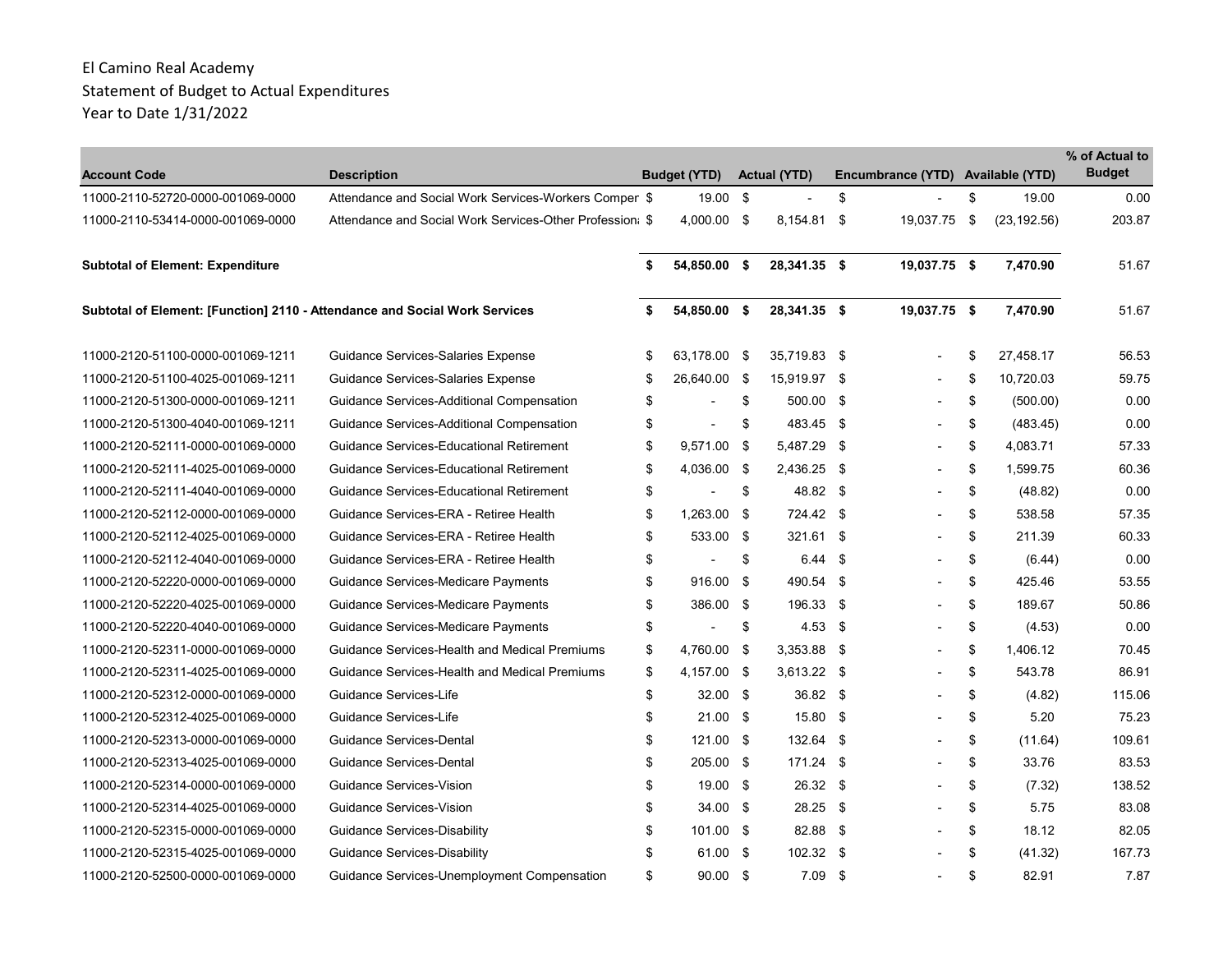|                                                                            |                                                          |                     |      |                     |                                   |                 | % of Actual to |
|----------------------------------------------------------------------------|----------------------------------------------------------|---------------------|------|---------------------|-----------------------------------|-----------------|----------------|
| <b>Account Code</b>                                                        | <b>Description</b>                                       | <b>Budget (YTD)</b> |      | <b>Actual (YTD)</b> | Encumbrance (YTD) Available (YTD) |                 | <b>Budget</b>  |
| 11000-2110-52720-0000-001069-0000                                          | Attendance and Social Work Services-Workers Comper \$    | 19.00               | - \$ |                     | \$                                | \$<br>19.00     | 0.00           |
| 11000-2110-53414-0000-001069-0000                                          | Attendance and Social Work Services-Other Profession: \$ | 4,000.00 \$         |      | 8,154.81 \$         | 19,037.75 \$                      | (23, 192.56)    | 203.87         |
| <b>Subtotal of Element: Expenditure</b>                                    |                                                          | \$<br>54,850.00 \$  |      | 28,341.35 \$        | 19,037.75 \$                      | 7,470.90        | 51.67          |
| Subtotal of Element: [Function] 2110 - Attendance and Social Work Services |                                                          | \$<br>54,850.00 \$  |      | 28,341.35 \$        | 19,037.75 \$                      | 7,470.90        | 51.67          |
| 11000-2120-51100-0000-001069-1211                                          | Guidance Services-Salaries Expense                       | \$<br>63,178.00 \$  |      | 35,719.83 \$        |                                   | \$<br>27,458.17 | 56.53          |
| 11000-2120-51100-4025-001069-1211                                          | Guidance Services-Salaries Expense                       | \$<br>26,640.00 \$  |      | 15,919.97 \$        |                                   | \$<br>10,720.03 | 59.75          |
| 11000-2120-51300-0000-001069-1211                                          | Guidance Services-Additional Compensation                | \$                  | \$   | 500.00 \$           |                                   | \$<br>(500.00)  | 0.00           |
| 11000-2120-51300-4040-001069-1211                                          | Guidance Services-Additional Compensation                | \$                  | \$   | 483.45 \$           |                                   | \$<br>(483.45)  | 0.00           |
| 11000-2120-52111-0000-001069-0000                                          | Guidance Services-Educational Retirement                 | \$<br>9,571.00 \$   |      | 5,487.29 \$         |                                   | \$<br>4,083.71  | 57.33          |
| 11000-2120-52111-4025-001069-0000                                          | Guidance Services-Educational Retirement                 | \$<br>4,036.00 \$   |      | 2,436.25 \$         |                                   | \$<br>1,599.75  | 60.36          |
| 11000-2120-52111-4040-001069-0000                                          | Guidance Services-Educational Retirement                 | \$                  | \$   | 48.82 \$            |                                   | \$<br>(48.82)   | 0.00           |
| 11000-2120-52112-0000-001069-0000                                          | Guidance Services-ERA - Retiree Health                   | \$<br>1,263.00 \$   |      | 724.42 \$           |                                   | \$<br>538.58    | 57.35          |
| 11000-2120-52112-4025-001069-0000                                          | Guidance Services-ERA - Retiree Health                   | \$<br>533.00 \$     |      | 321.61 \$           |                                   | \$<br>211.39    | 60.33          |
| 11000-2120-52112-4040-001069-0000                                          | Guidance Services-ERA - Retiree Health                   | \$                  | \$   | 6.44 \$             |                                   | \$<br>(6.44)    | 0.00           |
| 11000-2120-52220-0000-001069-0000                                          | Guidance Services-Medicare Payments                      | \$<br>916.00        | - \$ | 490.54 \$           |                                   | \$<br>425.46    | 53.55          |
| 11000-2120-52220-4025-001069-0000                                          | Guidance Services-Medicare Payments                      | \$<br>386.00 \$     |      | 196.33 \$           |                                   | \$<br>189.67    | 50.86          |
| 11000-2120-52220-4040-001069-0000                                          | Guidance Services-Medicare Payments                      | \$                  | \$   | $4.53$ \$           |                                   | \$<br>(4.53)    | 0.00           |
| 11000-2120-52311-0000-001069-0000                                          | Guidance Services-Health and Medical Premiums            | \$<br>4,760.00 \$   |      | $3,353.88$ \$       |                                   | \$<br>1,406.12  | 70.45          |
| 11000-2120-52311-4025-001069-0000                                          | Guidance Services-Health and Medical Premiums            | \$<br>4.157.00 \$   |      | $3,613.22$ \$       |                                   | \$<br>543.78    | 86.91          |
| 11000-2120-52312-0000-001069-0000                                          | Guidance Services-Life                                   | \$<br>$32.00$ \$    |      | 36.82 \$            |                                   | \$<br>(4.82)    | 115.06         |
| 11000-2120-52312-4025-001069-0000                                          | Guidance Services-Life                                   | \$<br>$21.00$ \$    |      | 15.80 \$            |                                   | \$<br>5.20      | 75.23          |
| 11000-2120-52313-0000-001069-0000                                          | Guidance Services-Dental                                 | \$<br>121.00 \$     |      | 132.64 \$           |                                   | \$<br>(11.64)   | 109.61         |
| 11000-2120-52313-4025-001069-0000                                          | Guidance Services-Dental                                 | \$<br>205.00 \$     |      | 171.24 \$           |                                   | \$<br>33.76     | 83.53          |
| 11000-2120-52314-0000-001069-0000                                          | Guidance Services-Vision                                 | \$<br>19.00 \$      |      | 26.32 \$            |                                   | \$<br>(7.32)    | 138.52         |
| 11000-2120-52314-4025-001069-0000                                          | Guidance Services-Vision                                 | \$<br>$34.00$ \$    |      | 28.25 \$            |                                   | \$<br>5.75      | 83.08          |
| 11000-2120-52315-0000-001069-0000                                          | Guidance Services-Disability                             | \$<br>101.00 \$     |      | 82.88 \$            |                                   | \$<br>18.12     | 82.05          |
| 11000-2120-52315-4025-001069-0000                                          | Guidance Services-Disability                             | \$<br>61.00 \$      |      | $102.32$ \$         |                                   | \$<br>(41.32)   | 167.73         |
| 11000-2120-52500-0000-001069-0000                                          | Guidance Services-Unemployment Compensation              | \$<br>$90.00$ \$    |      | $7.09$ \$           |                                   | \$<br>82.91     | 7.87           |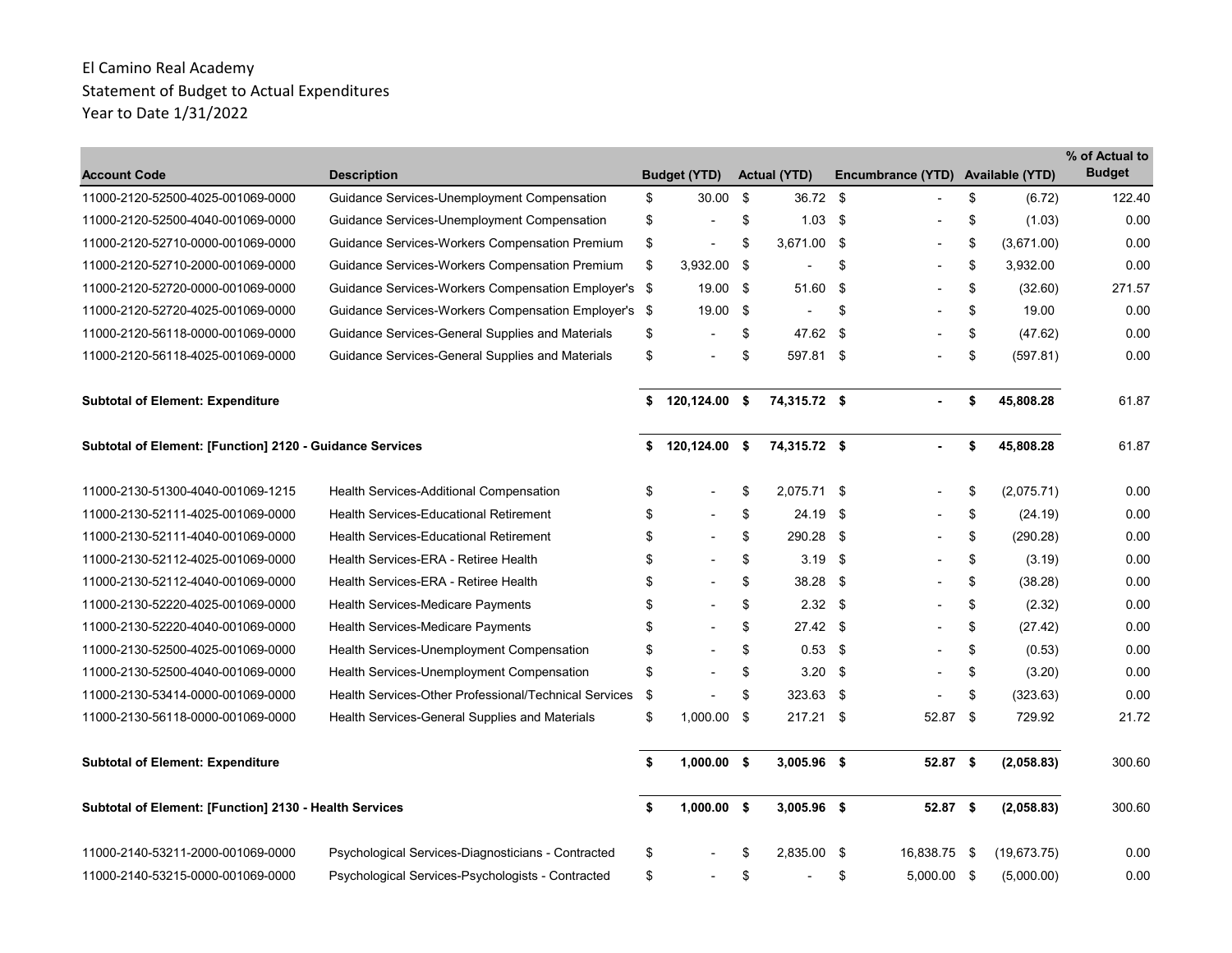| <b>Account Code</b>                                             | <b>Description</b>                                    | <b>Budget (YTD)</b>            |    | <b>Actual (YTD)</b> |      | Encumbrance (YTD) |      | <b>Available (YTD)</b> | % of Actual to<br><b>Budget</b> |
|-----------------------------------------------------------------|-------------------------------------------------------|--------------------------------|----|---------------------|------|-------------------|------|------------------------|---------------------------------|
| 11000-2120-52500-4025-001069-0000                               | Guidance Services-Unemployment Compensation           | \$<br>30.00 \$                 |    | 36.72 \$            |      |                   | \$   | (6.72)                 | 122.40                          |
| 11000-2120-52500-4040-001069-0000                               | Guidance Services-Unemployment Compensation           | \$                             | \$ | $1.03$ \$           |      |                   | \$   | (1.03)                 | 0.00                            |
| 11000-2120-52710-0000-001069-0000                               | Guidance Services-Workers Compensation Premium        | \$<br>$\overline{\phantom{a}}$ | \$ | 3,671.00 \$         |      | $\blacksquare$    | \$   | (3,671.00)             | 0.00                            |
| 11000-2120-52710-2000-001069-0000                               | Guidance Services-Workers Compensation Premium        | \$<br>3,932.00 \$              |    |                     | \$   |                   | \$   | 3,932.00               | 0.00                            |
| 11000-2120-52720-0000-001069-0000                               | Guidance Services-Workers Compensation Employer's \$  | 19.00 \$                       |    | 51.60               | \$   |                   | \$   | (32.60)                | 271.57                          |
| 11000-2120-52720-4025-001069-0000                               | Guidance Services-Workers Compensation Employer's \$  | 19.00 \$                       |    |                     | \$   |                   | \$   | 19.00                  | 0.00                            |
| 11000-2120-56118-0000-001069-0000                               | Guidance Services-General Supplies and Materials      | \$                             | \$ | 47.62               | -\$  |                   | \$   | (47.62)                | 0.00                            |
| 11000-2120-56118-4025-001069-0000                               | Guidance Services-General Supplies and Materials      | \$                             | \$ | 597.81 \$           |      |                   | \$   | (597.81)               | 0.00                            |
| <b>Subtotal of Element: Expenditure</b>                         |                                                       | \$<br>120,124.00 \$            |    | 74,315.72 \$        |      |                   | \$   | 45,808.28              | 61.87                           |
| <b>Subtotal of Element: [Function] 2120 - Guidance Services</b> |                                                       | \$<br>120,124.00 \$            |    | 74,315.72 \$        |      |                   | \$   | 45,808.28              | 61.87                           |
| 11000-2130-51300-4040-001069-1215                               | Health Services-Additional Compensation               | \$                             | \$ | 2.075.71 \$         |      |                   | \$   | (2,075.71)             | 0.00                            |
| 11000-2130-52111-4025-001069-0000                               | <b>Health Services-Educational Retirement</b>         | \$                             | \$ | 24.19               | -\$  |                   | \$   | (24.19)                | 0.00                            |
| 11000-2130-52111-4040-001069-0000                               | <b>Health Services-Educational Retirement</b>         | \$                             | \$ | 290.28 \$           |      |                   | \$   | (290.28)               | 0.00                            |
| 11000-2130-52112-4025-001069-0000                               | Health Services-ERA - Retiree Health                  | \$                             | \$ | 3.19                | -\$  |                   | \$   | (3.19)                 | 0.00                            |
| 11000-2130-52112-4040-001069-0000                               | Health Services-ERA - Retiree Health                  | \$                             | \$ | 38.28 \$            |      |                   | \$   | (38.28)                | 0.00                            |
| 11000-2130-52220-4025-001069-0000                               | Health Services-Medicare Payments                     | \$                             | \$ | $2.32$ \$           |      |                   | \$   | (2.32)                 | 0.00                            |
| 11000-2130-52220-4040-001069-0000                               | Health Services-Medicare Payments                     | \$                             | \$ | $27.42$ \$          |      |                   | \$   | (27.42)                | 0.00                            |
| 11000-2130-52500-4025-001069-0000                               | Health Services-Unemployment Compensation             | \$                             | \$ | 0.53                | -\$  |                   | \$   | (0.53)                 | 0.00                            |
| 11000-2130-52500-4040-001069-0000                               | Health Services-Unemployment Compensation             | \$                             | \$ | 3.20                | -\$  |                   | \$   | (3.20)                 | 0.00                            |
| 11000-2130-53414-0000-001069-0000                               | Health Services-Other Professional/Technical Services | \$                             | \$ | 323.63 \$           |      |                   | \$   | (323.63)               | 0.00                            |
| 11000-2130-56118-0000-001069-0000                               | Health Services-General Supplies and Materials        | \$<br>$1,000.00$ \$            |    | 217.21 \$           |      | 52.87 \$          |      | 729.92                 | 21.72                           |
| <b>Subtotal of Element: Expenditure</b>                         |                                                       | \$<br>$1,000.00$ \$            |    | 3,005.96 \$         |      | 52.87 \$          |      | (2,058.83)             | 300.60                          |
| Subtotal of Element: [Function] 2130 - Health Services          |                                                       | \$<br>$1,000.00$ \$            |    | 3,005.96 \$         |      | 52.87 \$          |      | (2,058.83)             | 300.60                          |
| 11000-2140-53211-2000-001069-0000                               | Psychological Services-Diagnosticians - Contracted    | \$                             | S  | 2,835.00            | - \$ | 16,838.75         | - \$ | (19,673.75)            | 0.00                            |
| 11000-2140-53215-0000-001069-0000                               | Psychological Services-Psychologists - Contracted     | \$                             | \$ |                     | \$   | 5,000.00 \$       |      | (5,000.00)             | 0.00                            |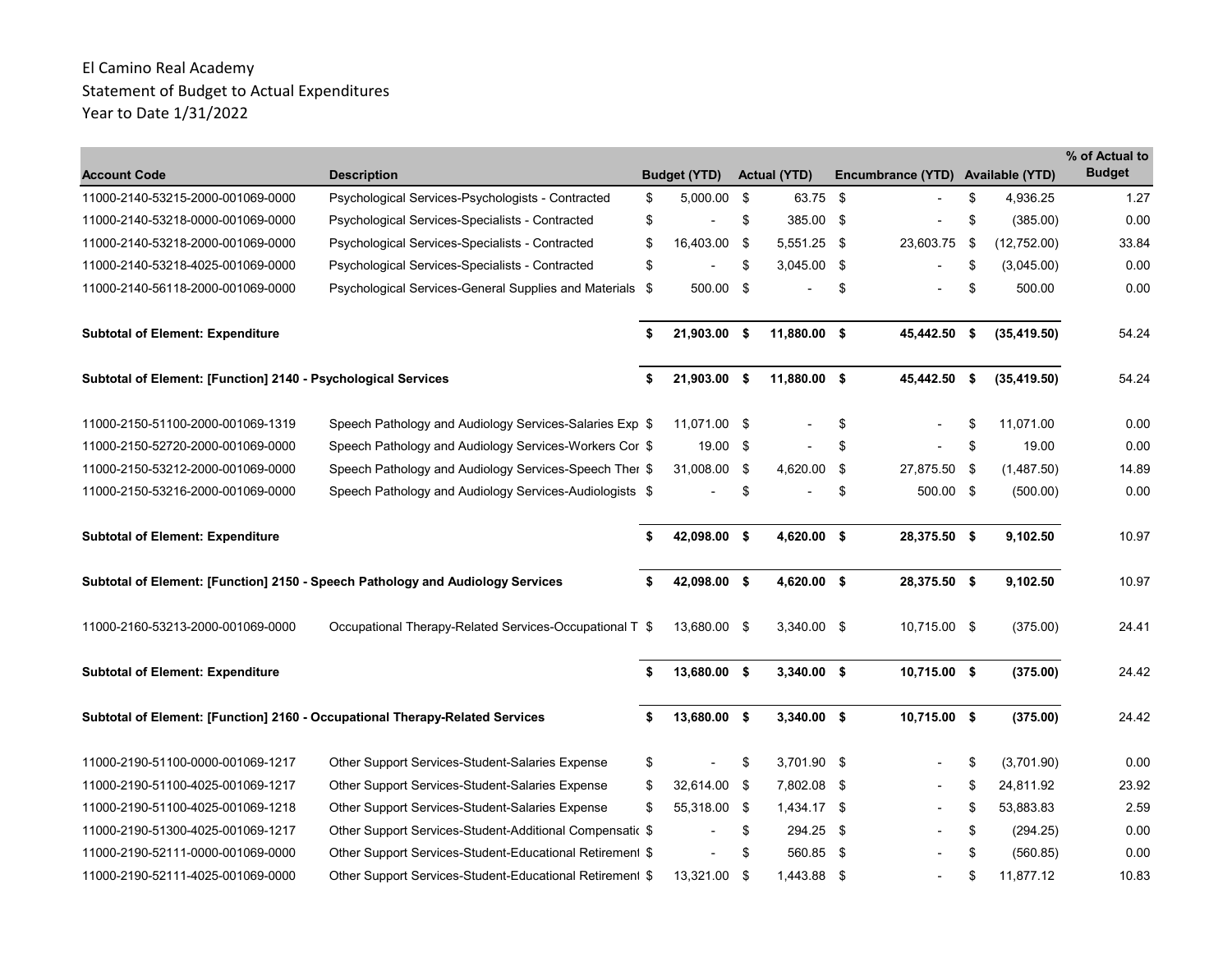| <b>Account Code</b>                                                          | <b>Description</b>                                                             |    | <b>Budget (YTD)</b>      | <b>Actual (YTD)</b> |      | Encumbrance (YTD) Available (YTD) |      |              | % of Actual to<br><b>Budget</b> |
|------------------------------------------------------------------------------|--------------------------------------------------------------------------------|----|--------------------------|---------------------|------|-----------------------------------|------|--------------|---------------------------------|
| 11000-2140-53215-2000-001069-0000                                            | Psychological Services-Psychologists - Contracted                              | \$ | 5,000.00 \$              | 63.75 \$            |      |                                   | \$   | 4,936.25     | 1.27                            |
| 11000-2140-53218-0000-001069-0000                                            | Psychological Services-Specialists - Contracted                                | \$ |                          | \$<br>385.00 \$     |      |                                   | \$   | (385.00)     | 0.00                            |
| 11000-2140-53218-2000-001069-0000                                            | Psychological Services-Specialists - Contracted                                | \$ | 16,403.00 \$             | 5,551.25 \$         |      | 23,603.75                         | \$   | (12,752.00)  | 33.84                           |
| 11000-2140-53218-4025-001069-0000                                            | Psychological Services-Specialists - Contracted                                | \$ |                          | \$<br>3,045.00 \$   |      |                                   | \$   | (3,045.00)   | 0.00                            |
| 11000-2140-56118-2000-001069-0000                                            | Psychological Services-General Supplies and Materials \$                       |    | 500.00 \$                |                     | \$   |                                   | \$   | 500.00       | 0.00                            |
| <b>Subtotal of Element: Expenditure</b>                                      |                                                                                | \$ | 21,903.00 \$             | 11,880.00 \$        |      | 45,442.50                         | - \$ | (35, 419.50) | 54.24                           |
| Subtotal of Element: [Function] 2140 - Psychological Services                |                                                                                | \$ | 21,903.00 \$             | 11,880.00 \$        |      | 45,442.50 \$                      |      | (35, 419.50) | 54.24                           |
| 11000-2150-51100-2000-001069-1319                                            | Speech Pathology and Audiology Services-Salaries Exp \$                        |    | 11,071.00 \$             |                     | \$   |                                   | \$   | 11,071.00    | 0.00                            |
| 11000-2150-52720-2000-001069-0000                                            | Speech Pathology and Audiology Services-Workers Cor \$                         |    | 19.00 \$                 |                     | \$   |                                   | \$   | 19.00        | 0.00                            |
| 11000-2150-53212-2000-001069-0000                                            | Speech Pathology and Audiology Services-Speech Ther \$                         |    | 31,008.00 \$             | 4,620.00            | -\$  | 27,875.50 \$                      |      | (1,487.50)   | 14.89                           |
| 11000-2150-53216-2000-001069-0000                                            | Speech Pathology and Audiology Services-Audiologists \$                        |    |                          | \$                  | \$   | 500.00 \$                         |      | (500.00)     | 0.00                            |
| <b>Subtotal of Element: Expenditure</b>                                      |                                                                                | \$ | 42,098.00 \$             | 4,620.00 \$         |      | 28,375.50 \$                      |      | 9,102.50     | 10.97                           |
|                                                                              | Subtotal of Element: [Function] 2150 - Speech Pathology and Audiology Services |    | 42,098.00 \$             | 4,620.00 \$         |      | 28,375.50 \$                      |      | 9,102.50     | 10.97                           |
| 11000-2160-53213-2000-001069-0000                                            | Occupational Therapy-Related Services-Occupational T \$                        |    | 13,680.00 \$             | 3,340.00 \$         |      | 10,715.00 \$                      |      | (375.00)     | 24.41                           |
| <b>Subtotal of Element: Expenditure</b>                                      |                                                                                | S  | 13,680.00 \$             | $3,340.00$ \$       |      | 10,715.00 \$                      |      | (375.00)     | 24.42                           |
| Subtotal of Element: [Function] 2160 - Occupational Therapy-Related Services |                                                                                | \$ | 13,680.00 \$             | 3,340.00 \$         |      | 10,715.00 \$                      |      | (375.00)     | 24.42                           |
| 11000-2190-51100-0000-001069-1217                                            | Other Support Services-Student-Salaries Expense                                | \$ | $\overline{\phantom{a}}$ | \$<br>3,701.90 \$   |      |                                   | \$   | (3,701.90)   | 0.00                            |
| 11000-2190-51100-4025-001069-1217                                            | Other Support Services-Student-Salaries Expense                                | \$ | 32,614.00 \$             | 7,802.08 \$         |      |                                   | \$   | 24,811.92    | 23.92                           |
| 11000-2190-51100-4025-001069-1218                                            | Other Support Services-Student-Salaries Expense                                | \$ | 55,318.00 \$             | 1,434.17 \$         |      |                                   | \$   | 53,883.83    | 2.59                            |
| 11000-2190-51300-4025-001069-1217                                            | Other Support Services-Student-Additional Compensatic \$                       |    | $\blacksquare$           | \$<br>294.25 \$     |      |                                   | \$   | (294.25)     | 0.00                            |
| 11000-2190-52111-0000-001069-0000                                            | Other Support Services-Student-Educational Retirement \$                       |    |                          | \$<br>560.85        | - \$ |                                   | \$   | (560.85)     | 0.00                            |
| 11000-2190-52111-4025-001069-0000                                            | Other Support Services-Student-Educational Retirement \$                       |    | 13.321.00 \$             | 1,443.88 \$         |      |                                   | \$   | 11,877.12    | 10.83                           |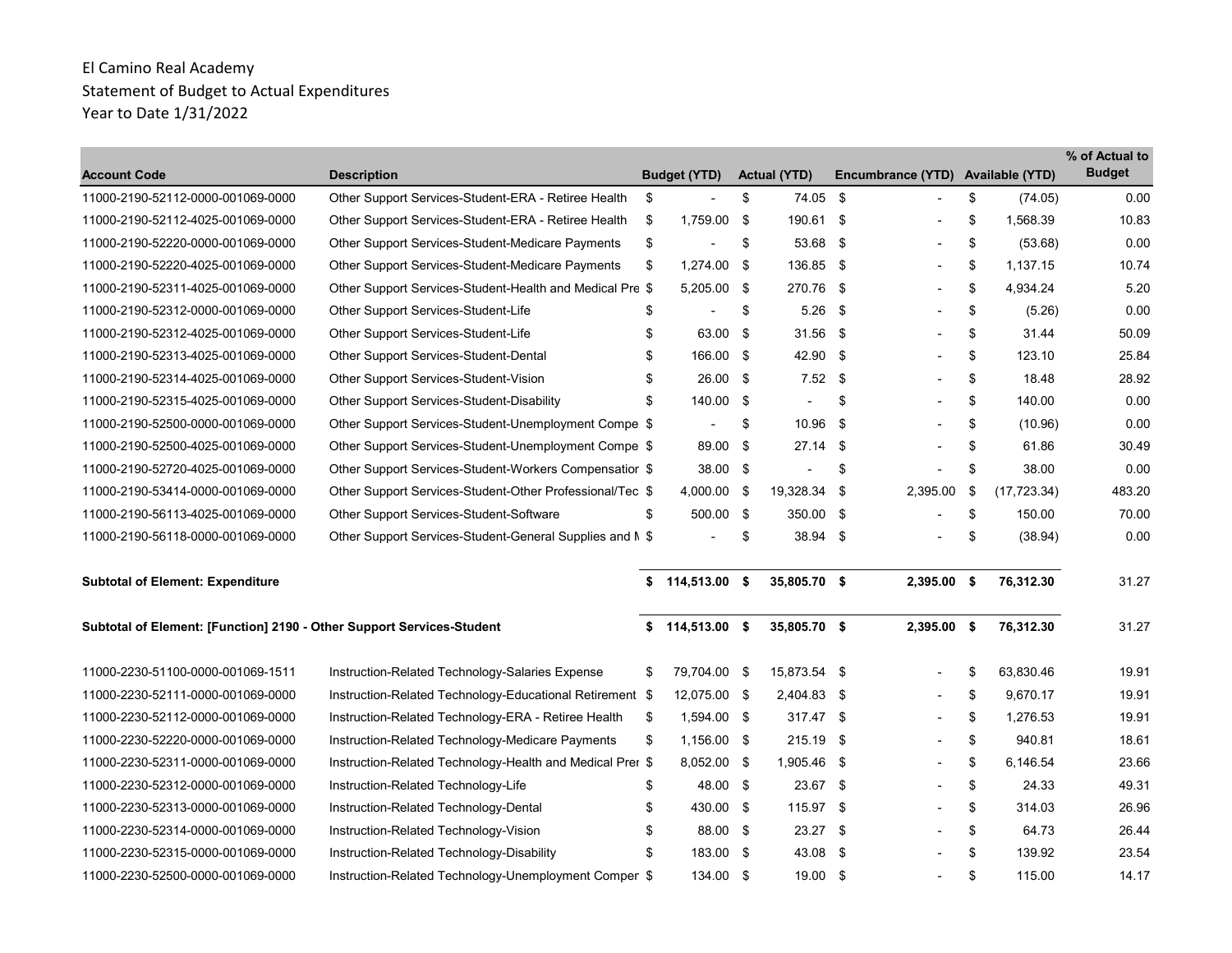| <b>Account Code</b>                                                   | <b>Description</b>                                        | <b>Budget (YTD)</b>      |      | <b>Actual (YTD)</b> |      | Encumbrance (YTD) Available (YTD) |                    | % of Actual to<br><b>Budget</b> |
|-----------------------------------------------------------------------|-----------------------------------------------------------|--------------------------|------|---------------------|------|-----------------------------------|--------------------|---------------------------------|
| 11000-2190-52112-0000-001069-0000                                     | Other Support Services-Student-ERA - Retiree Health       | \$                       | \$   | 74.05 \$            |      |                                   | \$<br>(74.05)      | 0.00                            |
| 11000-2190-52112-4025-001069-0000                                     | Other Support Services-Student-ERA - Retiree Health       | \$<br>1,759.00 \$        |      | 190.61 \$           |      |                                   | \$<br>1,568.39     | 10.83                           |
| 11000-2190-52220-0000-001069-0000                                     | Other Support Services-Student-Medicare Payments          | \$                       | \$   | 53.68 \$            |      | $\blacksquare$                    | \$<br>(53.68)      | 0.00                            |
| 11000-2190-52220-4025-001069-0000                                     | <b>Other Support Services-Student-Medicare Payments</b>   | \$<br>1,274.00           | - \$ | 136.85 \$           |      |                                   | \$<br>1.137.15     | 10.74                           |
| 11000-2190-52311-4025-001069-0000                                     | Other Support Services-Student-Health and Medical Pre \$  | 5,205.00 \$              |      | 270.76              | -\$  |                                   | \$<br>4,934.24     | 5.20                            |
| 11000-2190-52312-0000-001069-0000                                     | Other Support Services-Student-Life                       | \$                       | \$   | $5.26$ \$           |      |                                   | \$<br>(5.26)       | 0.00                            |
| 11000-2190-52312-4025-001069-0000                                     | Other Support Services-Student-Life                       | \$<br>63.00 \$           |      | $31.56$ \$          |      |                                   | \$<br>31.44        | 50.09                           |
| 11000-2190-52313-4025-001069-0000                                     | Other Support Services-Student-Dental                     | \$<br>166.00 \$          |      | 42.90 \$            |      |                                   | \$<br>123.10       | 25.84                           |
| 11000-2190-52314-4025-001069-0000                                     | Other Support Services-Student-Vision                     | \$<br>26.00 \$           |      | $7.52$ \$           |      |                                   | \$<br>18.48        | 28.92                           |
| 11000-2190-52315-4025-001069-0000                                     | Other Support Services-Student-Disability                 | \$<br>140.00 \$          |      |                     | \$   |                                   | \$<br>140.00       | 0.00                            |
| 11000-2190-52500-0000-001069-0000                                     | Other Support Services-Student-Unemployment Compe \$      | $\overline{\phantom{a}}$ | \$   | 10.96               | -\$  |                                   | \$<br>(10.96)      | 0.00                            |
| 11000-2190-52500-4025-001069-0000                                     | Other Support Services-Student-Unemployment Compe \$      | 89.00 \$                 |      | 27.14               | -\$  | $\overline{\phantom{0}}$          | \$<br>61.86        | 30.49                           |
| 11000-2190-52720-4025-001069-0000                                     | Other Support Services-Student-Workers Compensatior \$    | 38.00 \$                 |      |                     | \$   |                                   | \$<br>38.00        | 0.00                            |
| 11000-2190-53414-0000-001069-0000                                     | Other Support Services-Student-Other Professional/Tec \$  | 4,000.00 \$              |      | 19,328.34           | - \$ | 2,395.00                          | \$<br>(17, 723.34) | 483.20                          |
| 11000-2190-56113-4025-001069-0000                                     | Other Support Services-Student-Software                   | \$<br>500.00 \$          |      | 350.00 \$           |      |                                   | \$<br>150.00       | 70.00                           |
| 11000-2190-56118-0000-001069-0000                                     | Other Support Services-Student-General Supplies and M \$  |                          | \$   | 38.94 \$            |      |                                   | \$<br>(38.94)      | 0.00                            |
| <b>Subtotal of Element: Expenditure</b>                               |                                                           | \$<br>114,513.00 \$      |      | 35,805.70 \$        |      | $2,395.00$ \$                     | 76,312.30          | 31.27                           |
| Subtotal of Element: [Function] 2190 - Other Support Services-Student |                                                           | \$<br>114,513.00 \$      |      | 35,805.70 \$        |      | 2,395.00 \$                       | 76,312.30          | 31.27                           |
| 11000-2230-51100-0000-001069-1511                                     | Instruction-Related Technology-Salaries Expense           | \$<br>79,704.00 \$       |      | 15,873.54 \$        |      |                                   | \$<br>63,830.46    | 19.91                           |
| 11000-2230-52111-0000-001069-0000                                     | Instruction-Related Technology-Educational Retirement \$  | 12,075.00 \$             |      | 2,404.83 \$         |      |                                   | \$<br>9,670.17     | 19.91                           |
| 11000-2230-52112-0000-001069-0000                                     | Instruction-Related Technology-ERA - Retiree Health       | \$<br>1,594.00 \$        |      | 317.47 \$           |      | $\overline{\phantom{0}}$          | \$<br>1,276.53     | 19.91                           |
| 11000-2230-52220-0000-001069-0000                                     | Instruction-Related Technology-Medicare Payments          | \$<br>$1.156.00$ \$      |      | $215.19$ \$         |      |                                   | \$<br>940.81       | 18.61                           |
| 11000-2230-52311-0000-001069-0000                                     | Instruction-Related Technology-Health and Medical Prer \$ | 8,052.00 \$              |      | 1,905.46 \$         |      |                                   | \$<br>6,146.54     | 23.66                           |
| 11000-2230-52312-0000-001069-0000                                     | Instruction-Related Technology-Life                       | \$<br>48.00 \$           |      | 23.67 \$            |      |                                   | \$<br>24.33        | 49.31                           |
| 11000-2230-52313-0000-001069-0000                                     | Instruction-Related Technology-Dental                     | \$<br>430.00 \$          |      | 115.97 \$           |      |                                   | \$<br>314.03       | 26.96                           |
| 11000-2230-52314-0000-001069-0000                                     | Instruction-Related Technology-Vision                     | \$<br>88.00 \$           |      | $23.27$ \$          |      | $\overline{\phantom{0}}$          | \$<br>64.73        | 26.44                           |
| 11000-2230-52315-0000-001069-0000                                     | Instruction-Related Technology-Disability                 | \$<br>183.00 \$          |      | 43.08 \$            |      |                                   | \$<br>139.92       | 23.54                           |
| 11000-2230-52500-0000-001069-0000                                     | Instruction-Related Technology-Unemployment Comper \$     | 134.00 \$                |      | 19.00 \$            |      |                                   | \$<br>115.00       | 14.17                           |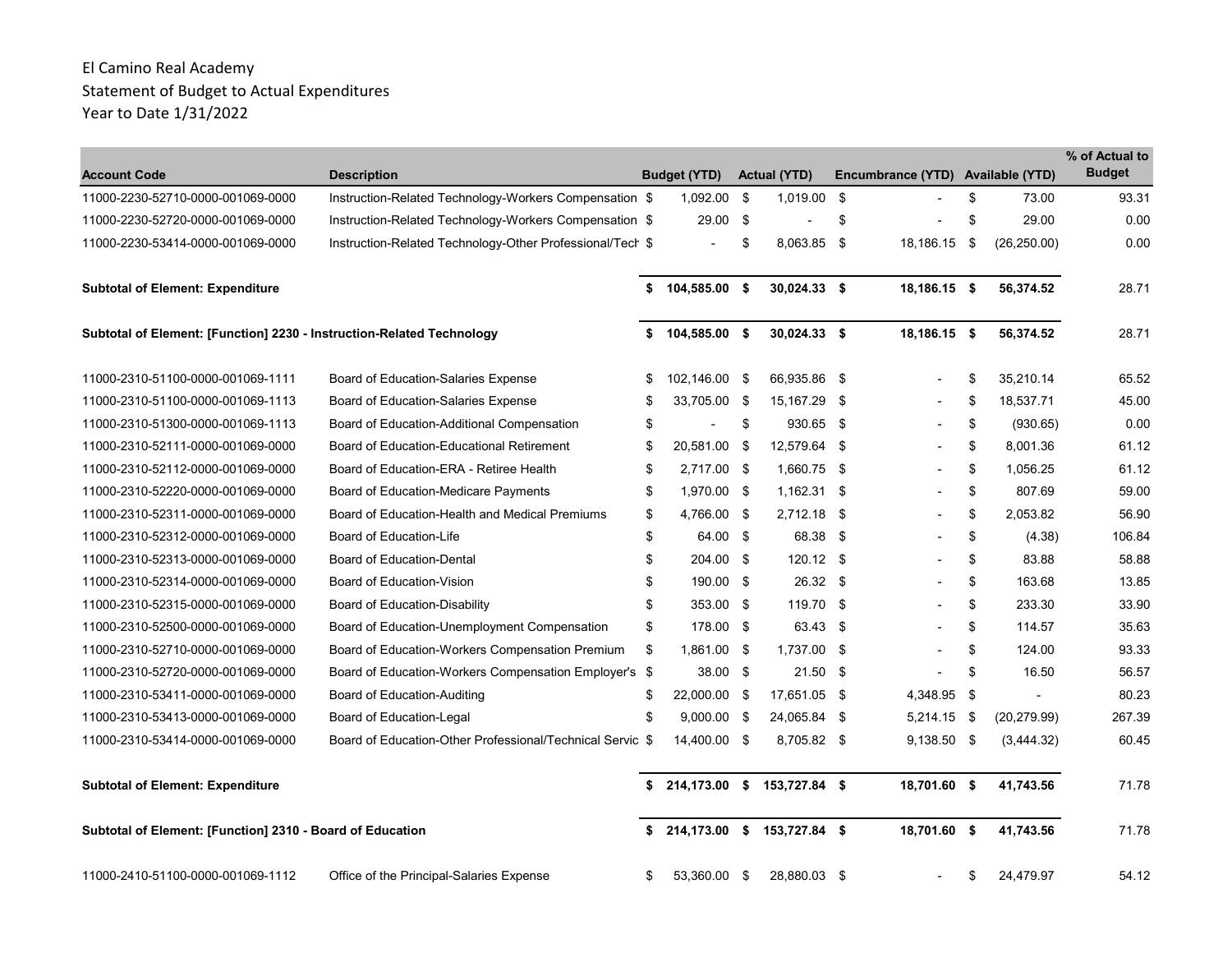| <b>Account Code</b>                                                   | <b>Description</b>                                        | <b>Budget (YTD)</b>               |      | <b>Actual (YTD)</b> |      | Encumbrance (YTD) Available (YTD) |      |                          | % of Actual to<br><b>Budget</b> |
|-----------------------------------------------------------------------|-----------------------------------------------------------|-----------------------------------|------|---------------------|------|-----------------------------------|------|--------------------------|---------------------------------|
| 11000-2230-52710-0000-001069-0000                                     | Instruction-Related Technology-Workers Compensation \$    | 1,092.00                          | - \$ | 1,019.00            | -\$  |                                   | \$   | 73.00                    | 93.31                           |
| 11000-2230-52720-0000-001069-0000                                     | Instruction-Related Technology-Workers Compensation \$    | 29.00 \$                          |      |                     | \$   |                                   | \$   | 29.00                    | 0.00                            |
| 11000-2230-53414-0000-001069-0000                                     | Instruction-Related Technology-Other Professional/Tech \$ | $\blacksquare$                    | \$   | 8,063.85 \$         |      | 18,186.15                         | - \$ | (26, 250.00)             | 0.00                            |
| <b>Subtotal of Element: Expenditure</b>                               |                                                           | \$<br>104,585.00 \$               |      | $30,024.33$ \$      |      | 18,186.15 \$                      |      | 56,374.52                | 28.71                           |
| Subtotal of Element: [Function] 2230 - Instruction-Related Technology |                                                           | \$<br>104,585.00 \$               |      | 30,024.33 \$        |      | 18,186.15 \$                      |      | 56,374.52                | 28.71                           |
| 11000-2310-51100-0000-001069-1111                                     | Board of Education-Salaries Expense                       | \$<br>102,146.00 \$               |      | 66,935.86 \$        |      |                                   | \$   | 35,210.14                | 65.52                           |
| 11000-2310-51100-0000-001069-1113                                     | Board of Education-Salaries Expense                       | \$<br>33,705.00 \$                |      | 15,167.29           | - \$ |                                   | \$   | 18,537.71                | 45.00                           |
| 11000-2310-51300-0000-001069-1113                                     | Board of Education-Additional Compensation                | \$                                | \$   | 930.65 \$           |      |                                   | \$   | (930.65)                 | 0.00                            |
| 11000-2310-52111-0000-001069-0000                                     | <b>Board of Education-Educational Retirement</b>          | \$<br>20,581.00                   | - \$ | 12,579.64           | - \$ |                                   | \$   | 8.001.36                 | 61.12                           |
| 11000-2310-52112-0000-001069-0000                                     | Board of Education-ERA - Retiree Health                   | \$<br>2.717.00 \$                 |      | 1.660.75 \$         |      |                                   | \$   | 1.056.25                 | 61.12                           |
| 11000-2310-52220-0000-001069-0000                                     | <b>Board of Education-Medicare Payments</b>               | \$<br>1,970.00 \$                 |      | $1,162.31$ \$       |      |                                   | \$   | 807.69                   | 59.00                           |
| 11000-2310-52311-0000-001069-0000                                     | Board of Education-Health and Medical Premiums            | \$<br>4,766.00 \$                 |      | 2,712.18 \$         |      |                                   | \$   | 2,053.82                 | 56.90                           |
| 11000-2310-52312-0000-001069-0000                                     | Board of Education-Life                                   | \$<br>64.00 \$                    |      | 68.38               | - \$ |                                   | \$   | (4.38)                   | 106.84                          |
| 11000-2310-52313-0000-001069-0000                                     | <b>Board of Education-Dental</b>                          | \$<br>204.00 \$                   |      | $120.12$ \$         |      |                                   | \$   | 83.88                    | 58.88                           |
| 11000-2310-52314-0000-001069-0000                                     | Board of Education-Vision                                 | \$<br>190.00 \$                   |      | 26.32 \$            |      |                                   | \$   | 163.68                   | 13.85                           |
| 11000-2310-52315-0000-001069-0000                                     | Board of Education-Disability                             | \$<br>353.00 \$                   |      | 119.70 \$           |      |                                   | \$   | 233.30                   | 33.90                           |
| 11000-2310-52500-0000-001069-0000                                     | Board of Education-Unemployment Compensation              | \$<br>178.00 \$                   |      | 63.43 \$            |      |                                   | \$   | 114.57                   | 35.63                           |
| 11000-2310-52710-0000-001069-0000                                     | Board of Education-Workers Compensation Premium           | \$<br>1,861.00 \$                 |      | 1,737.00 \$         |      |                                   | \$   | 124.00                   | 93.33                           |
| 11000-2310-52720-0000-001069-0000                                     | Board of Education-Workers Compensation Employer's \$     | 38.00 \$                          |      | $21.50$ \$          |      |                                   | \$   | 16.50                    | 56.57                           |
| 11000-2310-53411-0000-001069-0000                                     | Board of Education-Auditing                               | \$<br>22,000.00 \$                |      | 17,651.05 \$        |      | 4,348.95 \$                       |      | $\overline{\phantom{a}}$ | 80.23                           |
| 11000-2310-53413-0000-001069-0000                                     | Board of Education-Legal                                  | \$<br>$9,000.00$ \$               |      | 24,065.84           | - \$ | $5,214.15$ \$                     |      | (20, 279.99)             | 267.39                          |
| 11000-2310-53414-0000-001069-0000                                     | Board of Education-Other Professional/Technical Servic \$ | 14,400.00 \$                      |      | 8,705.82 \$         |      | $9,138.50$ \$                     |      | (3,444.32)               | 60.45                           |
| <b>Subtotal of Element: Expenditure</b>                               |                                                           | 214,173.00 \$ 153,727.84 \$       |      |                     |      | 18,701.60 \$                      |      | 41,743.56                | 71.78                           |
| Subtotal of Element: [Function] 2310 - Board of Education             |                                                           | \$<br>214,173.00 \$ 153,727.84 \$ |      |                     |      | 18,701.60 \$                      |      | 41,743.56                | 71.78                           |
| 11000-2410-51100-0000-001069-1112                                     | Office of the Principal-Salaries Expense                  | \$<br>53,360.00                   | \$   | 28,880.03 \$        |      |                                   | \$   | 24,479.97                | 54.12                           |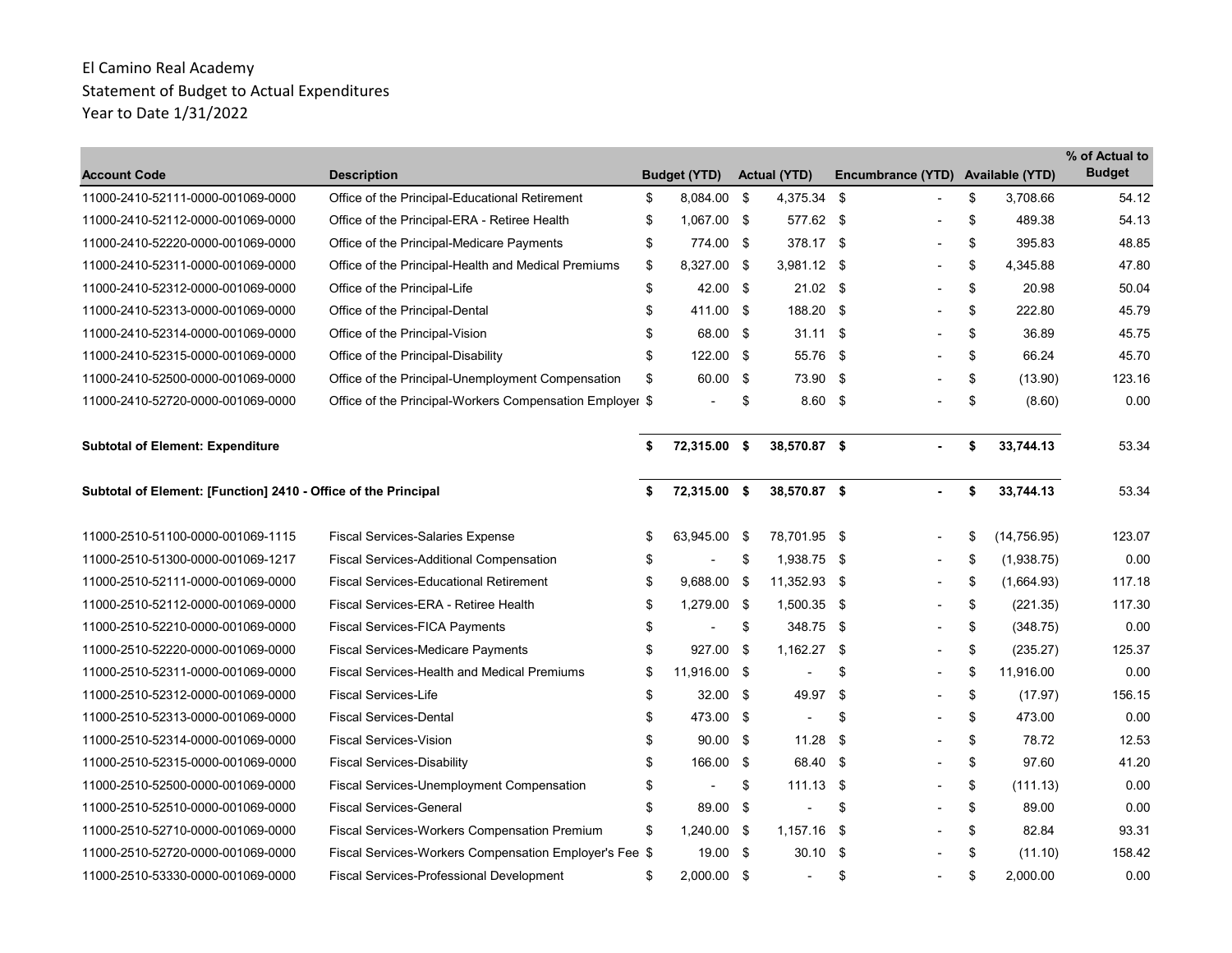| <b>Account Code</b>                                            | <b>Description</b>                                       |    | <b>Budget (YTD)</b> |      | <b>Actual (YTD)</b>      |      | Encumbrance (YTD) Available (YTD) |    |              | % of Actual to<br><b>Budget</b> |
|----------------------------------------------------------------|----------------------------------------------------------|----|---------------------|------|--------------------------|------|-----------------------------------|----|--------------|---------------------------------|
| 11000-2410-52111-0000-001069-0000                              | Office of the Principal-Educational Retirement           | \$ | 8,084.00 \$         |      | 4,375.34 \$              |      |                                   | \$ | 3,708.66     | 54.12                           |
| 11000-2410-52112-0000-001069-0000                              | Office of the Principal-ERA - Retiree Health             | \$ | 1,067.00 \$         |      | 577.62 \$                |      |                                   | \$ | 489.38       | 54.13                           |
| 11000-2410-52220-0000-001069-0000                              | Office of the Principal-Medicare Payments                | \$ | 774.00 \$           |      | 378.17 \$                |      |                                   | \$ | 395.83       | 48.85                           |
| 11000-2410-52311-0000-001069-0000                              | Office of the Principal-Health and Medical Premiums      | \$ | 8,327.00 \$         |      | $3,981.12$ \$            |      |                                   | \$ | 4,345.88     | 47.80                           |
| 11000-2410-52312-0000-001069-0000                              | Office of the Principal-Life                             | \$ | 42.00 \$            |      | $21.02$ \$               |      |                                   | \$ | 20.98        | 50.04                           |
| 11000-2410-52313-0000-001069-0000                              | Office of the Principal-Dental                           | \$ | 411.00 \$           |      | 188.20 \$                |      |                                   | \$ | 222.80       | 45.79                           |
| 11000-2410-52314-0000-001069-0000                              | Office of the Principal-Vision                           | \$ | 68.00 \$            |      | $31.11$ \$               |      |                                   | \$ | 36.89        | 45.75                           |
| 11000-2410-52315-0000-001069-0000                              | Office of the Principal-Disability                       | \$ | 122.00 \$           |      | 55.76 \$                 |      |                                   | \$ | 66.24        | 45.70                           |
| 11000-2410-52500-0000-001069-0000                              | Office of the Principal-Unemployment Compensation        | \$ | 60.00 \$            |      | 73.90 \$                 |      |                                   | \$ | (13.90)      | 123.16                          |
| 11000-2410-52720-0000-001069-0000                              | Office of the Principal-Workers Compensation Employer \$ |    |                     | \$   | $8.60$ \$                |      |                                   | \$ | (8.60)       | 0.00                            |
| <b>Subtotal of Element: Expenditure</b>                        |                                                          | \$ | 72,315.00 \$        |      | 38,570.87 \$             |      |                                   | \$ | 33,744.13    | 53.34                           |
| Subtotal of Element: [Function] 2410 - Office of the Principal |                                                          | \$ | 72,315.00 \$        |      | 38,570.87 \$             |      | $\blacksquare$                    | \$ | 33,744.13    | 53.34                           |
| 11000-2510-51100-0000-001069-1115                              | <b>Fiscal Services-Salaries Expense</b>                  |    | 63,945.00           | - \$ | 78,701.95 \$             |      |                                   | ß. | (14, 756.95) | 123.07                          |
| 11000-2510-51300-0000-001069-1217                              | <b>Fiscal Services-Additional Compensation</b>           | \$ |                     | \$   | 1,938.75 \$              |      |                                   | \$ | (1,938.75)   | 0.00                            |
| 11000-2510-52111-0000-001069-0000                              | <b>Fiscal Services-Educational Retirement</b>            | \$ | 9,688.00            | - \$ | 11,352.93 \$             |      |                                   | \$ | (1,664.93)   | 117.18                          |
| 11000-2510-52112-0000-001069-0000                              | Fiscal Services-ERA - Retiree Health                     | \$ | 1,279.00 \$         |      | 1,500.35 \$              |      |                                   | \$ | (221.35)     | 117.30                          |
| 11000-2510-52210-0000-001069-0000                              | <b>Fiscal Services-FICA Payments</b>                     | \$ |                     | \$   | 348.75 \$                |      |                                   | \$ | (348.75)     | 0.00                            |
| 11000-2510-52220-0000-001069-0000                              | <b>Fiscal Services-Medicare Payments</b>                 | £. | 927.00 \$           |      | $1,162.27$ \$            |      |                                   | \$ | (235.27)     | 125.37                          |
| 11000-2510-52311-0000-001069-0000                              | <b>Fiscal Services-Health and Medical Premiums</b>       | \$ | 11,916.00 \$        |      |                          | \$   |                                   | \$ | 11,916.00    | 0.00                            |
| 11000-2510-52312-0000-001069-0000                              | <b>Fiscal Services-Life</b>                              | \$ | $32.00$ \$          |      | 49.97                    | - \$ |                                   | \$ | (17.97)      | 156.15                          |
| 11000-2510-52313-0000-001069-0000                              | <b>Fiscal Services-Dental</b>                            | \$ | 473.00 \$           |      | $\overline{\phantom{a}}$ | \$   |                                   | \$ | 473.00       | 0.00                            |
| 11000-2510-52314-0000-001069-0000                              | <b>Fiscal Services-Vision</b>                            | \$ | $90.00$ \$          |      | 11.28                    | - \$ |                                   | \$ | 78.72        | 12.53                           |
| 11000-2510-52315-0000-001069-0000                              | <b>Fiscal Services-Disability</b>                        | \$ | 166.00 \$           |      | 68.40 \$                 |      |                                   | \$ | 97.60        | 41.20                           |
| 11000-2510-52500-0000-001069-0000                              | <b>Fiscal Services-Unemployment Compensation</b>         | \$ |                     | \$   | $111.13$ \$              |      |                                   | \$ | (111.13)     | 0.00                            |
| 11000-2510-52510-0000-001069-0000                              | <b>Fiscal Services-General</b>                           | \$ | 89.00 \$            |      |                          | \$   |                                   | \$ | 89.00        | 0.00                            |
| 11000-2510-52710-0000-001069-0000                              | <b>Fiscal Services-Workers Compensation Premium</b>      | \$ | 1,240.00 \$         |      | $1,157.16$ \$            |      |                                   | \$ | 82.84        | 93.31                           |
| 11000-2510-52720-0000-001069-0000                              | Fiscal Services-Workers Compensation Employer's Fee \$   |    | $19.00$ \$          |      | $30.10$ \$               |      |                                   | \$ | (11.10)      | 158.42                          |
| 11000-2510-53330-0000-001069-0000                              | Fiscal Services-Professional Development                 | \$ | 2,000.00 \$         |      | $\overline{\phantom{a}}$ | \$   |                                   | \$ | 2,000.00     | 0.00                            |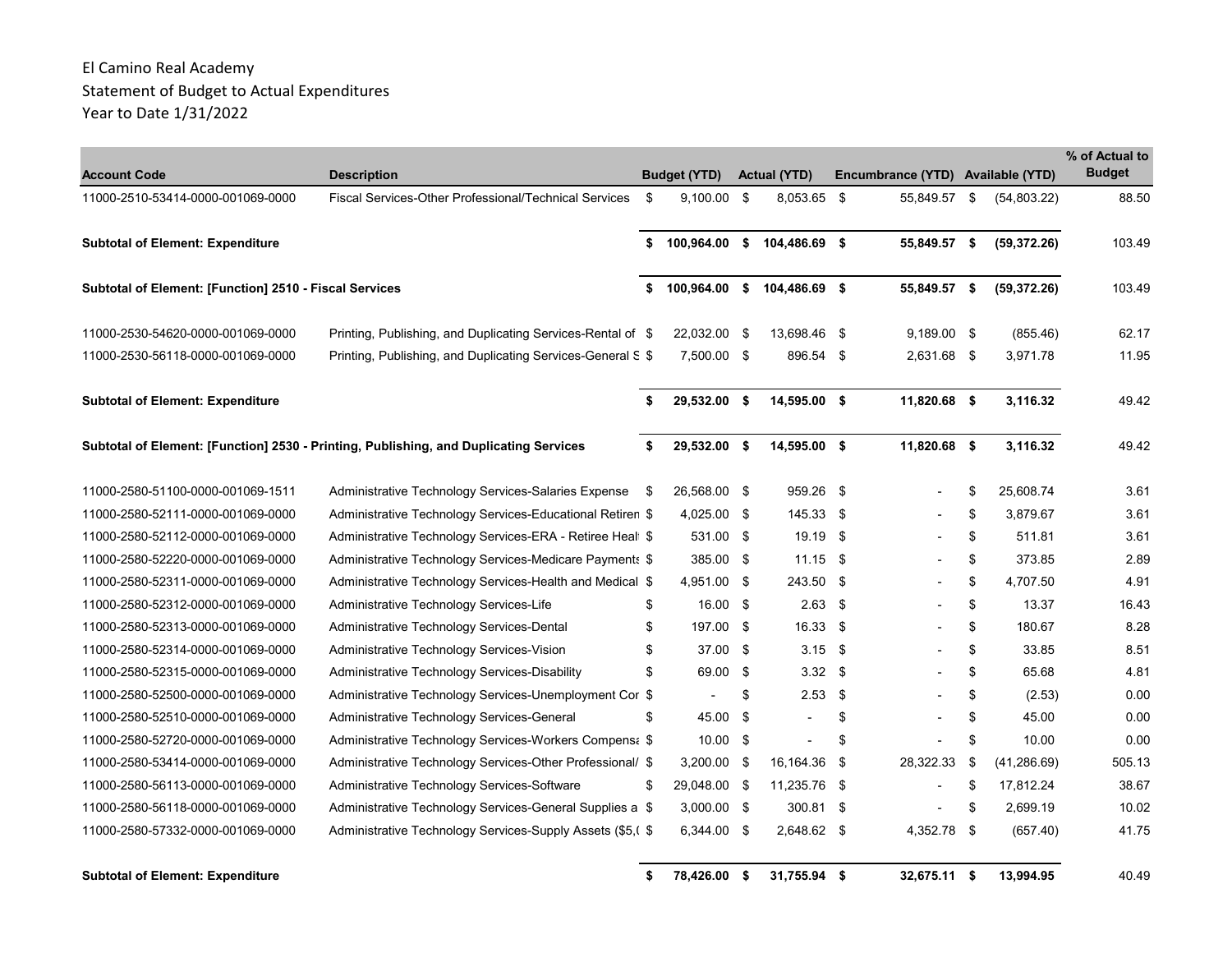| <b>Account Code</b>                                    | <b>Description</b>                                                                    |      | <b>Budget (YTD)</b>      | <b>Actual (YTD)</b>         |      | Encumbrance (YTD) Available (YTD) |      |              | % of Actual to<br><b>Budget</b> |
|--------------------------------------------------------|---------------------------------------------------------------------------------------|------|--------------------------|-----------------------------|------|-----------------------------------|------|--------------|---------------------------------|
| 11000-2510-53414-0000-001069-0000                      | Fiscal Services-Other Professional/Technical Services                                 | - \$ | $9,100.00$ \$            | 8,053.65 \$                 |      | 55,849.57                         | - \$ | (54,803.22)  | 88.50                           |
| <b>Subtotal of Element: Expenditure</b>                |                                                                                       | \$   |                          | 100,964.00 \$ 104,486.69 \$ |      | 55,849.57 \$                      |      | (59, 372.26) | 103.49                          |
| Subtotal of Element: [Function] 2510 - Fiscal Services |                                                                                       | \$   | 100,964.00 \$            | 104,486.69 \$               |      | 55,849.57 \$                      |      | (59, 372.26) | 103.49                          |
| 11000-2530-54620-0000-001069-0000                      | Printing, Publishing, and Duplicating Services-Rental of \$                           |      | 22,032.00 \$             | 13,698.46 \$                |      | 9,189.00 \$                       |      | (855.46)     | 62.17                           |
| 11000-2530-56118-0000-001069-0000                      | Printing, Publishing, and Duplicating Services-General S \$                           |      | 7,500.00 \$              | 896.54 \$                   |      | 2,631.68 \$                       |      | 3,971.78     | 11.95                           |
| <b>Subtotal of Element: Expenditure</b>                |                                                                                       | \$   | 29,532.00 \$             | 14,595.00 \$                |      | 11,820.68 \$                      |      | 3,116.32     | 49.42                           |
|                                                        | Subtotal of Element: [Function] 2530 - Printing, Publishing, and Duplicating Services | \$   | 29,532.00 \$             | 14,595.00 \$                |      | 11,820.68 \$                      |      | 3,116.32     | 49.42                           |
| 11000-2580-51100-0000-001069-1511                      | Administrative Technology Services-Salaries Expense                                   | - \$ | 26,568.00 \$             | 959.26 \$                   |      |                                   | \$   | 25,608.74    | 3.61                            |
| 11000-2580-52111-0000-001069-0000                      | Administrative Technology Services-Educational Retiren \$                             |      | 4,025.00 \$              | 145.33 \$                   |      |                                   | \$   | 3.879.67     | 3.61                            |
| 11000-2580-52112-0000-001069-0000                      | Administrative Technology Services-ERA - Retiree Heal \$                              |      | 531.00 \$                | 19.19 \$                    |      |                                   | \$   | 511.81       | 3.61                            |
| 11000-2580-52220-0000-001069-0000                      | Administrative Technology Services-Medicare Payments \$                               |      | 385.00 \$                | $11.15$ \$                  |      |                                   | \$   | 373.85       | 2.89                            |
| 11000-2580-52311-0000-001069-0000                      | Administrative Technology Services-Health and Medical \$                              |      | 4,951.00 \$              | 243.50 \$                   |      |                                   | \$   | 4,707.50     | 4.91                            |
| 11000-2580-52312-0000-001069-0000                      | Administrative Technology Services-Life                                               | \$   | 16.00 \$                 | $2.63$ \$                   |      |                                   | \$   | 13.37        | 16.43                           |
| 11000-2580-52313-0000-001069-0000                      | Administrative Technology Services-Dental                                             | \$   | 197.00 \$                | $16.33$ \$                  |      |                                   | \$   | 180.67       | 8.28                            |
| 11000-2580-52314-0000-001069-0000                      | Administrative Technology Services-Vision                                             | \$   | 37.00 \$                 | $3.15$ \$                   |      |                                   | \$   | 33.85        | 8.51                            |
| 11000-2580-52315-0000-001069-0000                      | Administrative Technology Services-Disability                                         | \$   | 69.00 \$                 | $3.32 \quad $$              |      |                                   | \$   | 65.68        | 4.81                            |
| 11000-2580-52500-0000-001069-0000                      | Administrative Technology Services-Unemployment Cor \$                                |      | $\overline{\phantom{a}}$ | \$<br>$2.53$ \$             |      |                                   | \$   | (2.53)       | 0.00                            |
| 11000-2580-52510-0000-001069-0000                      | Administrative Technology Services-General                                            | \$   | 45.00 \$                 |                             | \$   |                                   | \$   | 45.00        | 0.00                            |
| 11000-2580-52720-0000-001069-0000                      | Administrative Technology Services-Workers Compens: \$                                |      | $10.00$ \$               |                             | \$   |                                   | \$   | 10.00        | 0.00                            |
| 11000-2580-53414-0000-001069-0000                      | Administrative Technology Services-Other Professional/ \$                             |      | $3,200.00$ \$            | 16,164.36                   | - \$ | 28,322.33                         | \$   | (41, 286.69) | 505.13                          |
| 11000-2580-56113-0000-001069-0000                      | Administrative Technology Services-Software                                           | S    | 29,048.00 \$             | 11,235.76 \$                |      |                                   | \$   | 17,812.24    | 38.67                           |
| 11000-2580-56118-0000-001069-0000                      | Administrative Technology Services-General Supplies a \$                              |      | $3,000.00$ \$            | 300.81 \$                   |      |                                   | \$   | 2,699.19     | 10.02                           |
| 11000-2580-57332-0000-001069-0000                      | Administrative Technology Services-Supply Assets (\$5,0 \$                            |      | 6,344.00 \$              | 2,648.62 \$                 |      | 4,352.78 \$                       |      | (657.40)     | 41.75                           |

**Subtotal of Element: Expenditure 78,426.00 \$ 31,755.94 \$ 32,675.11 \$ 13,994.95 \$** 40.49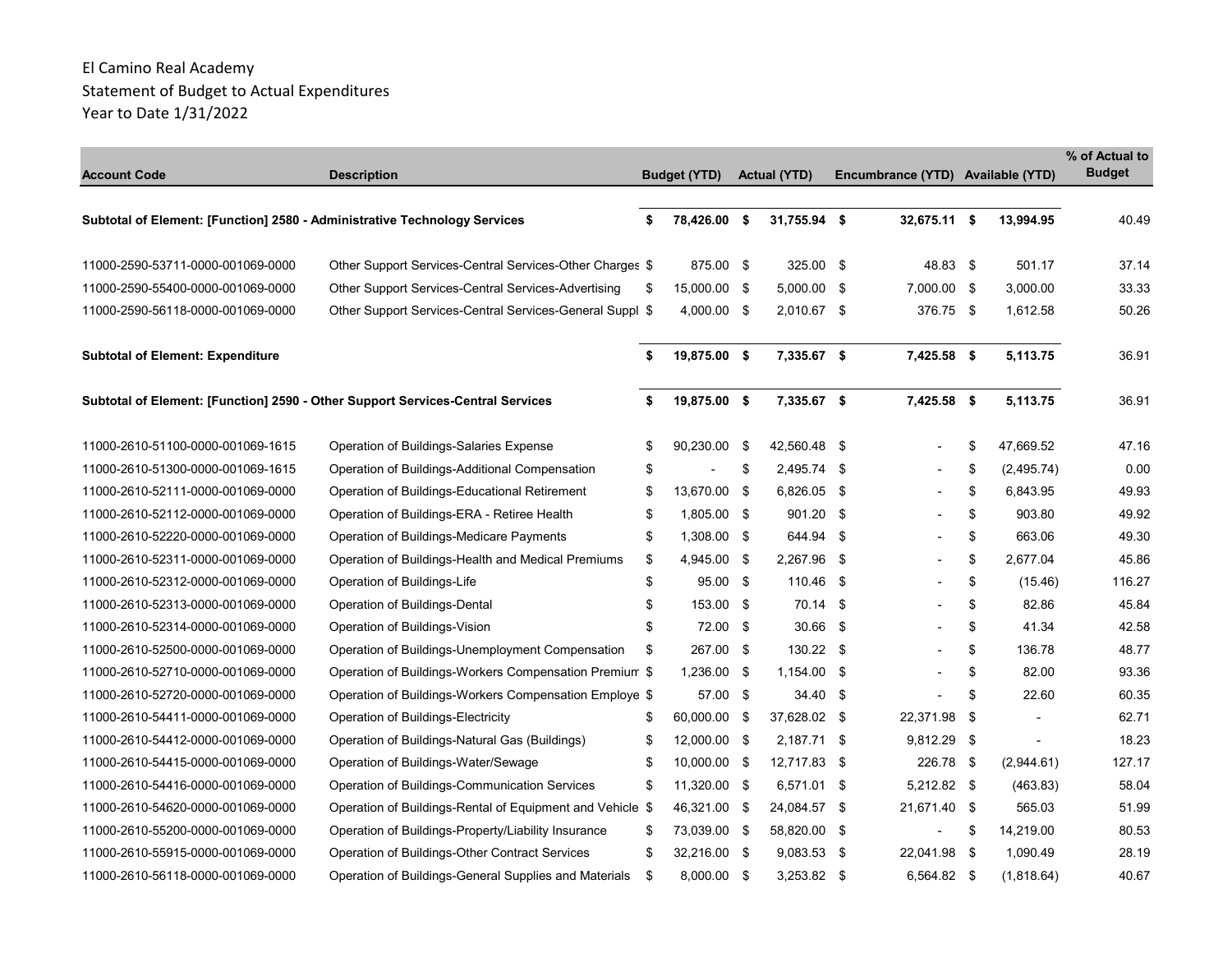| <b>Account Code</b>                                                       | <b>Description</b>                                                             |    | <b>Budget (YTD)</b> |      | <b>Actual (YTD)</b> |      | Encumbrance (YTD) Available (YTD) |      |                | % of Actual to<br><b>Budget</b> |
|---------------------------------------------------------------------------|--------------------------------------------------------------------------------|----|---------------------|------|---------------------|------|-----------------------------------|------|----------------|---------------------------------|
| Subtotal of Element: [Function] 2580 - Administrative Technology Services |                                                                                | \$ | 78,426.00 \$        |      | 31,755.94 \$        |      | 32,675.11 \$                      |      | 13,994.95      | 40.49                           |
| 11000-2590-53711-0000-001069-0000                                         | Other Support Services-Central Services-Other Charges \$                       |    | 875.00 \$           |      | 325.00 \$           |      | 48.83 \$                          |      | 501.17         | 37.14                           |
| 11000-2590-55400-0000-001069-0000                                         | Other Support Services-Central Services-Advertising                            | \$ | 15,000.00 \$        |      | $5,000.00$ \$       |      | 7,000.00 \$                       |      | 3,000.00       | 33.33                           |
| 11000-2590-56118-0000-001069-0000                                         | Other Support Services-Central Services-General Suppl \$                       |    | 4,000.00 \$         |      | 2,010.67 \$         |      | 376.75 \$                         |      | 1,612.58       | 50.26                           |
| <b>Subtotal of Element: Expenditure</b>                                   |                                                                                | \$ | 19,875.00 \$        |      | 7,335.67 \$         |      | 7,425.58 \$                       |      | 5,113.75       | 36.91                           |
|                                                                           | Subtotal of Element: [Function] 2590 - Other Support Services-Central Services | S  | 19,875.00 \$        |      | 7,335.67 \$         |      | 7,425.58 \$                       |      | 5,113.75       | 36.91                           |
| 11000-2610-51100-0000-001069-1615                                         | Operation of Buildings-Salaries Expense                                        | \$ | 90.230.00           | - \$ | 42,560.48 \$        |      |                                   | \$   | 47.669.52      | 47.16                           |
| 11000-2610-51300-0000-001069-1615                                         | Operation of Buildings-Additional Compensation                                 | \$ |                     | \$   | 2,495.74            | - \$ |                                   | \$   | (2,495.74)     | 0.00                            |
| 11000-2610-52111-0000-001069-0000                                         | Operation of Buildings-Educational Retirement                                  | \$ | 13,670.00 \$        |      | 6,826.05 \$         |      |                                   | \$   | 6,843.95       | 49.93                           |
| 11000-2610-52112-0000-001069-0000                                         | Operation of Buildings-ERA - Retiree Health                                    | \$ | 1,805.00 \$         |      | 901.20              | -\$  |                                   | \$   | 903.80         | 49.92                           |
| 11000-2610-52220-0000-001069-0000                                         | Operation of Buildings-Medicare Payments                                       | \$ | 1,308.00 \$         |      | 644.94              | - \$ |                                   | \$   | 663.06         | 49.30                           |
| 11000-2610-52311-0000-001069-0000                                         | Operation of Buildings-Health and Medical Premiums                             | \$ | 4,945.00 \$         |      | 2,267.96 \$         |      |                                   | \$   | 2,677.04       | 45.86                           |
| 11000-2610-52312-0000-001069-0000                                         | Operation of Buildings-Life                                                    | \$ | 95.00 \$            |      | 110.46              | - \$ |                                   | \$   | (15.46)        | 116.27                          |
| 11000-2610-52313-0000-001069-0000                                         | Operation of Buildings-Dental                                                  | \$ | 153.00 \$           |      | $70.14$ \$          |      |                                   | \$   | 82.86          | 45.84                           |
| 11000-2610-52314-0000-001069-0000                                         | Operation of Buildings-Vision                                                  | \$ | 72.00 \$            |      | $30.66$ \$          |      |                                   | \$   | 41.34          | 42.58                           |
| 11000-2610-52500-0000-001069-0000                                         | Operation of Buildings-Unemployment Compensation                               | \$ | 267.00 \$           |      | 130.22 \$           |      |                                   | \$   | 136.78         | 48.77                           |
| 11000-2610-52710-0000-001069-0000                                         | Operation of Buildings-Workers Compensation Premium \$                         |    | 1,236.00 \$         |      | 1,154.00 \$         |      |                                   | \$   | 82.00          | 93.36                           |
| 11000-2610-52720-0000-001069-0000                                         | Operation of Buildings-Workers Compensation Employe \$                         |    | 57.00 \$            |      | 34.40               | - \$ |                                   | \$   | 22.60          | 60.35                           |
| 11000-2610-54411-0000-001069-0000                                         | Operation of Buildings-Electricity                                             | S  | 60,000.00 \$        |      | 37,628.02 \$        |      | 22,371.98                         | - \$ |                | 62.71                           |
| 11000-2610-54412-0000-001069-0000                                         | Operation of Buildings-Natural Gas (Buildings)                                 | S  | 12,000.00 \$        |      | 2,187.71 \$         |      | 9,812.29 \$                       |      | $\blacksquare$ | 18.23                           |
| 11000-2610-54415-0000-001069-0000                                         | Operation of Buildings-Water/Sewage                                            | \$ | 10,000.00 \$        |      | 12,717.83 \$        |      | 226.78 \$                         |      | (2,944.61)     | 127.17                          |
| 11000-2610-54416-0000-001069-0000                                         | Operation of Buildings-Communication Services                                  | \$ | 11,320.00 \$        |      | $6,571.01$ \$       |      | 5,212.82 \$                       |      | (463.83)       | 58.04                           |
| 11000-2610-54620-0000-001069-0000                                         | Operation of Buildings-Rental of Equipment and Vehicle \$                      |    | 46,321.00 \$        |      | 24,084.57 \$        |      | 21,671.40 \$                      |      | 565.03         | 51.99                           |
| 11000-2610-55200-0000-001069-0000                                         | Operation of Buildings-Property/Liability Insurance                            | \$ | 73,039.00 \$        |      | 58,820.00 \$        |      |                                   | $\,$ | 14,219.00      | 80.53                           |
| 11000-2610-55915-0000-001069-0000                                         | Operation of Buildings-Other Contract Services                                 | \$ | 32,216.00 \$        |      | 9,083.53            | - \$ | 22,041.98 \$                      |      | 1,090.49       | 28.19                           |
| 11000-2610-56118-0000-001069-0000                                         | Operation of Buildings-General Supplies and Materials                          | \$ | 8,000.00 \$         |      | $3,253.82$ \$       |      | 6,564.82 \$                       |      | (1,818.64)     | 40.67                           |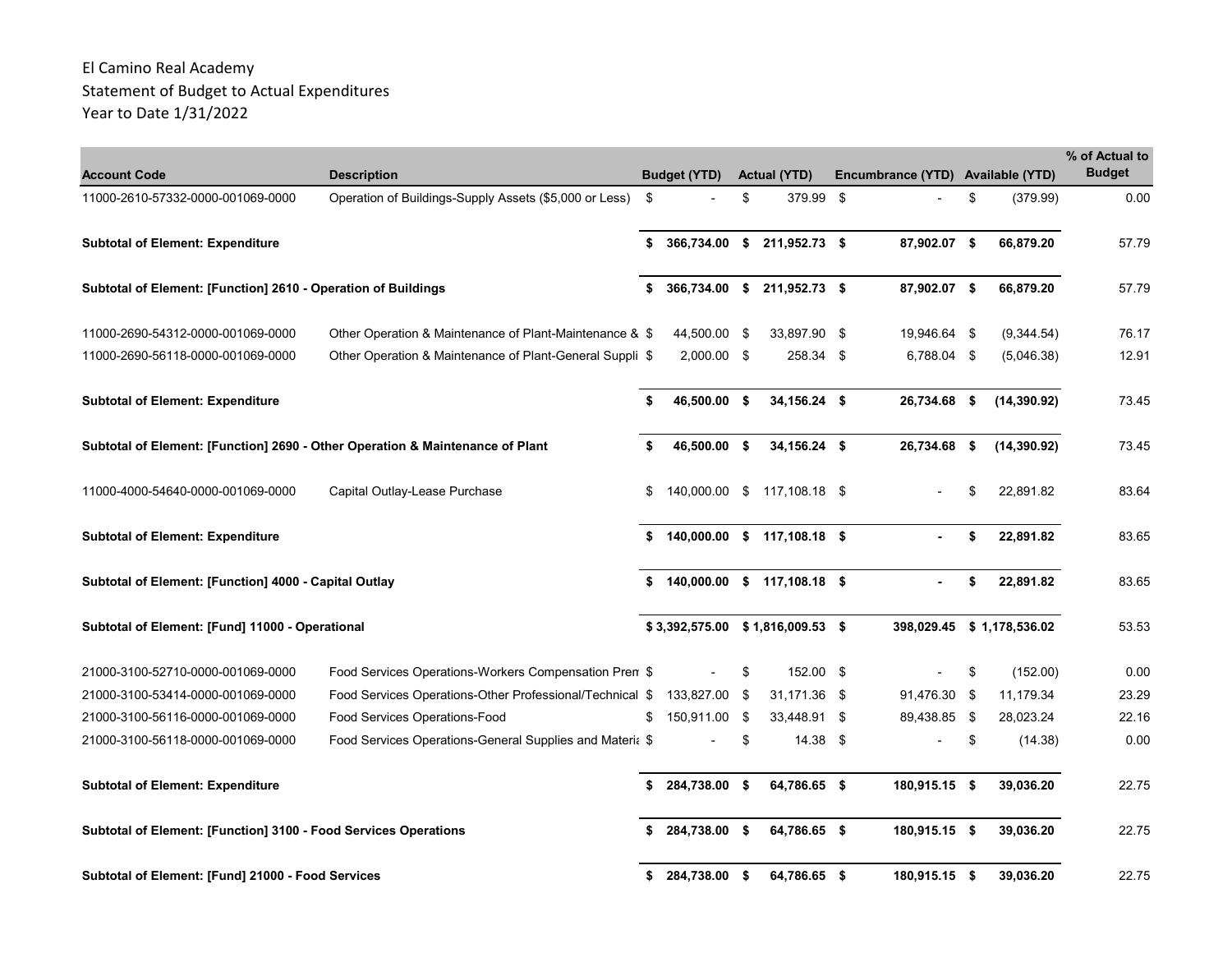| <b>Account Code</b>                                                           | <b>Description</b>                                       | <b>Budget (YTD)</b> | <b>Actual (YTD)</b>         | Encumbrance (YTD) Available (YTD) |                 | % of Actual to<br><b>Budget</b> |
|-------------------------------------------------------------------------------|----------------------------------------------------------|---------------------|-----------------------------|-----------------------------------|-----------------|---------------------------------|
| 11000-2610-57332-0000-001069-0000                                             | Operation of Buildings-Supply Assets (\$5,000 or Less)   | \$                  | \$<br>379.99 \$             |                                   | \$<br>(379.99)  | 0.00                            |
| <b>Subtotal of Element: Expenditure</b>                                       |                                                          | \$                  | 366,734.00 \$ 211,952.73 \$ | 87,902.07 \$                      | 66,879.20       | 57.79                           |
| Subtotal of Element: [Function] 2610 - Operation of Buildings                 |                                                          | \$<br>366,734.00 \$ | 211,952.73 \$               | 87,902.07 \$                      | 66,879.20       | 57.79                           |
| 11000-2690-54312-0000-001069-0000                                             | Other Operation & Maintenance of Plant-Maintenance & \$  | 44,500.00 \$        | 33,897.90 \$                | 19,946.64 \$                      | (9,344.54)      | 76.17                           |
| 11000-2690-56118-0000-001069-0000                                             | Other Operation & Maintenance of Plant-General Suppli \$ | 2,000.00 \$         | 258.34 \$                   | 6,788.04 \$                       | (5,046.38)      | 12.91                           |
| <b>Subtotal of Element: Expenditure</b>                                       |                                                          | \$<br>46,500.00 \$  | 34,156.24 \$                | 26,734.68 \$                      | (14, 390.92)    | 73.45                           |
| Subtotal of Element: [Function] 2690 - Other Operation & Maintenance of Plant |                                                          | \$<br>46,500.00 \$  | 34,156.24 \$                | 26,734.68 \$                      | (14, 390.92)    | 73.45                           |
| 11000-4000-54640-0000-001069-0000                                             | Capital Outlay-Lease Purchase                            | \$<br>140,000.00 \$ | 117,108.18 \$               |                                   | \$<br>22,891.82 | 83.64                           |
| <b>Subtotal of Element: Expenditure</b>                                       |                                                          | \$                  | 140,000.00 \$ 117,108.18 \$ |                                   | \$<br>22,891.82 | 83.65                           |
| Subtotal of Element: [Function] 4000 - Capital Outlay                         |                                                          | \$                  | 140,000.00 \$ 117,108.18 \$ |                                   | \$<br>22,891.82 | 83.65                           |
| Subtotal of Element: [Fund] 11000 - Operational                               |                                                          | \$3,392,575.00      | $$1,816,009.53$ \$          | 398,029.45                        | \$1,178,536.02  | 53.53                           |
| 21000-3100-52710-0000-001069-0000                                             | Food Services Operations-Workers Compensation Pren \$    |                     | \$<br>152.00 \$             |                                   | \$<br>(152.00)  | 0.00                            |
| 21000-3100-53414-0000-001069-0000                                             | Food Services Operations-Other Professional/Technical \$ | 133,827.00 \$       | 31,171.36 \$                | 91,476.30 \$                      | 11,179.34       | 23.29                           |
| 21000-3100-56116-0000-001069-0000                                             | Food Services Operations-Food                            | \$<br>150,911.00 \$ | 33,448.91 \$                | 89,438.85 \$                      | 28,023.24       | 22.16                           |
| 21000-3100-56118-0000-001069-0000                                             | Food Services Operations-General Supplies and Materia \$ |                     | \$<br>$14.38$ \$            |                                   | \$<br>(14.38)   | 0.00                            |
| <b>Subtotal of Element: Expenditure</b>                                       |                                                          | \$<br>284,738.00 \$ | 64,786.65 \$                | 180,915.15 \$                     | 39,036.20       | 22.75                           |
| Subtotal of Element: [Function] 3100 - Food Services Operations               |                                                          | 284,738.00 \$       | 64,786.65 \$                | 180,915.15 \$                     | 39,036.20       | 22.75                           |
| Subtotal of Element: [Fund] 21000 - Food Services                             |                                                          | \$<br>284,738.00    | \$<br>64,786.65 \$          | 180,915.15 \$                     | 39,036.20       | 22.75                           |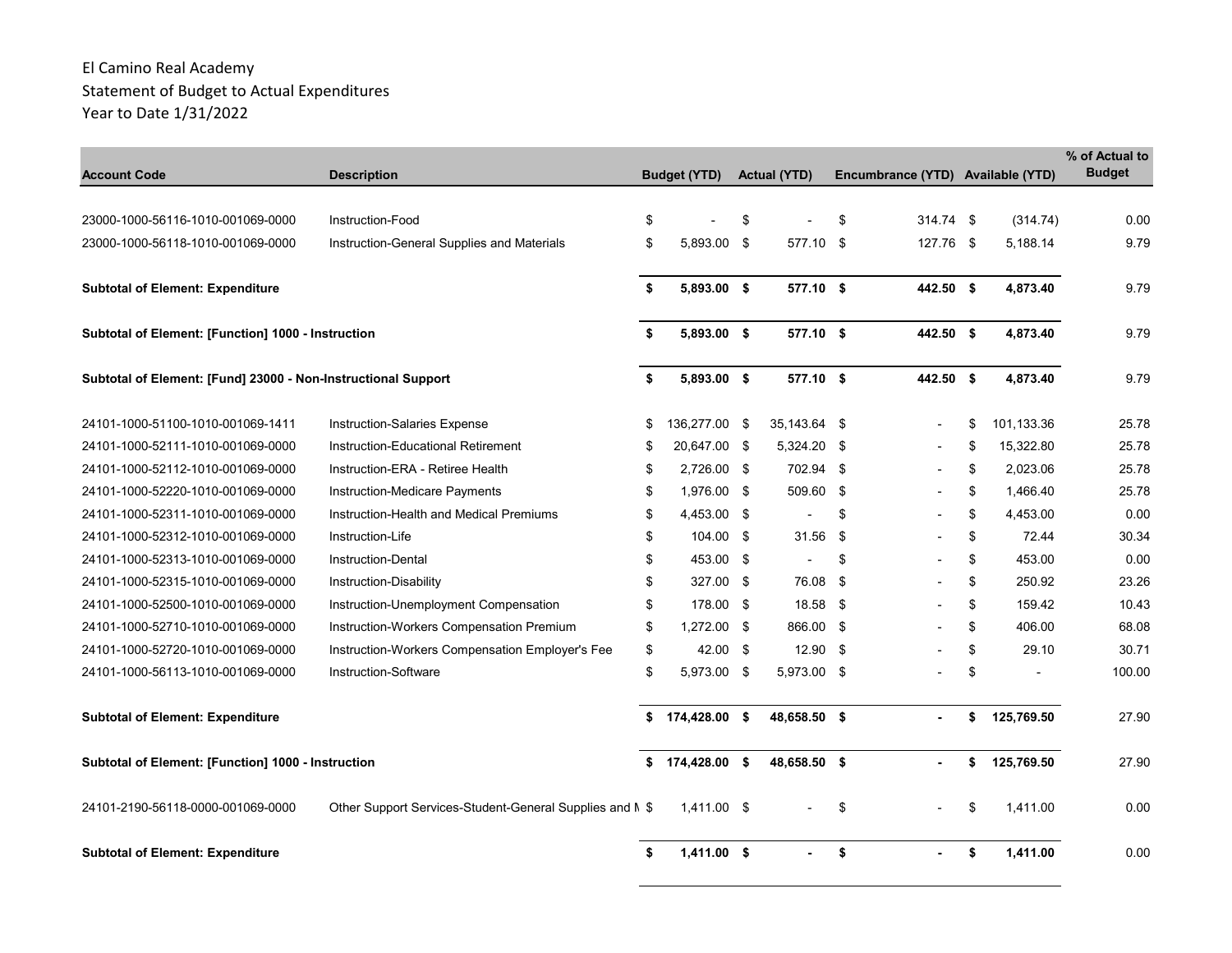| <b>Account Code</b>                                           | <b>Description</b>                                       | <b>Budget (YTD)</b> | <b>Actual (YTD)</b> |      | Encumbrance (YTD) Available (YTD) |                  | % of Actual to<br><b>Budget</b> |
|---------------------------------------------------------------|----------------------------------------------------------|---------------------|---------------------|------|-----------------------------------|------------------|---------------------------------|
|                                                               |                                                          |                     |                     |      |                                   |                  |                                 |
| 23000-1000-56116-1010-001069-0000                             | Instruction-Food                                         | \$                  | \$                  | \$   | 314.74 \$                         | (314.74)         | 0.00                            |
| 23000-1000-56118-1010-001069-0000                             | Instruction-General Supplies and Materials               | \$<br>5,893.00 \$   | 577.10              | - \$ | 127.76 \$                         | 5,188.14         | 9.79                            |
|                                                               |                                                          |                     |                     |      |                                   |                  |                                 |
| <b>Subtotal of Element: Expenditure</b>                       |                                                          | \$<br>5,893.00 \$   | 577.10 \$           |      | 442.50 \$                         | 4,873.40         | 9.79                            |
| Subtotal of Element: [Function] 1000 - Instruction            |                                                          | \$<br>5,893.00 \$   | 577.10 \$           |      | 442.50 \$                         | 4,873.40         | 9.79                            |
| Subtotal of Element: [Fund] 23000 - Non-Instructional Support |                                                          | \$<br>5,893.00 \$   | 577.10 \$           |      | 442.50 \$                         | 4,873.40         | 9.79                            |
| 24101-1000-51100-1010-001069-1411                             | <b>Instruction-Salaries Expense</b>                      | \$<br>136,277.00 \$ | 35,143.64 \$        |      |                                   | \$<br>101.133.36 | 25.78                           |
| 24101-1000-52111-1010-001069-0000                             | Instruction-Educational Retirement                       | \$<br>20,647.00 \$  | 5,324.20 \$         |      |                                   | \$<br>15,322.80  | 25.78                           |
| 24101-1000-52112-1010-001069-0000                             | Instruction-ERA - Retiree Health                         | \$<br>2,726.00 \$   | 702.94 \$           |      |                                   | \$<br>2,023.06   | 25.78                           |
| 24101-1000-52220-1010-001069-0000                             | Instruction-Medicare Payments                            | \$<br>1,976.00 \$   | 509.60              | - \$ |                                   | \$<br>1,466.40   | 25.78                           |
| 24101-1000-52311-1010-001069-0000                             | Instruction-Health and Medical Premiums                  | \$<br>4,453.00 \$   |                     | \$   |                                   | \$<br>4,453.00   | 0.00                            |
| 24101-1000-52312-1010-001069-0000                             | Instruction-Life                                         | \$<br>104.00 \$     | 31.56               | - \$ |                                   | \$<br>72.44      | 30.34                           |
| 24101-1000-52313-1010-001069-0000                             | <b>Instruction-Dental</b>                                | \$<br>453.00 \$     |                     | \$   |                                   | \$<br>453.00     | 0.00                            |
| 24101-1000-52315-1010-001069-0000                             | Instruction-Disability                                   | \$<br>327.00 \$     | 76.08               | \$   |                                   | \$<br>250.92     | 23.26                           |
| 24101-1000-52500-1010-001069-0000                             | Instruction-Unemployment Compensation                    | \$<br>178.00 \$     | 18.58 \$            |      |                                   | \$<br>159.42     | 10.43                           |
| 24101-1000-52710-1010-001069-0000                             | Instruction-Workers Compensation Premium                 | \$<br>1,272.00 \$   | 866.00 \$           |      |                                   | \$<br>406.00     | 68.08                           |
| 24101-1000-52720-1010-001069-0000                             | Instruction-Workers Compensation Employer's Fee          | \$<br>42.00 \$      | 12.90               | - \$ |                                   | \$<br>29.10      | 30.71                           |
| 24101-1000-56113-1010-001069-0000                             | Instruction-Software                                     | \$<br>5,973.00 \$   | 5,973.00 \$         |      |                                   | \$               | 100.00                          |
| <b>Subtotal of Element: Expenditure</b>                       |                                                          | \$<br>174,428.00 \$ | 48,658.50 \$        |      |                                   | \$<br>125,769.50 | 27.90                           |
| Subtotal of Element: [Function] 1000 - Instruction            |                                                          | \$<br>174,428.00 \$ | 48,658.50 \$        |      |                                   | \$<br>125,769.50 | 27.90                           |
| 24101-2190-56118-0000-001069-0000                             | Other Support Services-Student-General Supplies and M \$ | 1,411.00 \$         |                     | \$   |                                   | \$<br>1,411.00   | 0.00                            |
| <b>Subtotal of Element: Expenditure</b>                       |                                                          | \$<br>$1.411.00$ \$ | $\sim$              | \$   |                                   | \$<br>1.411.00   | 0.00                            |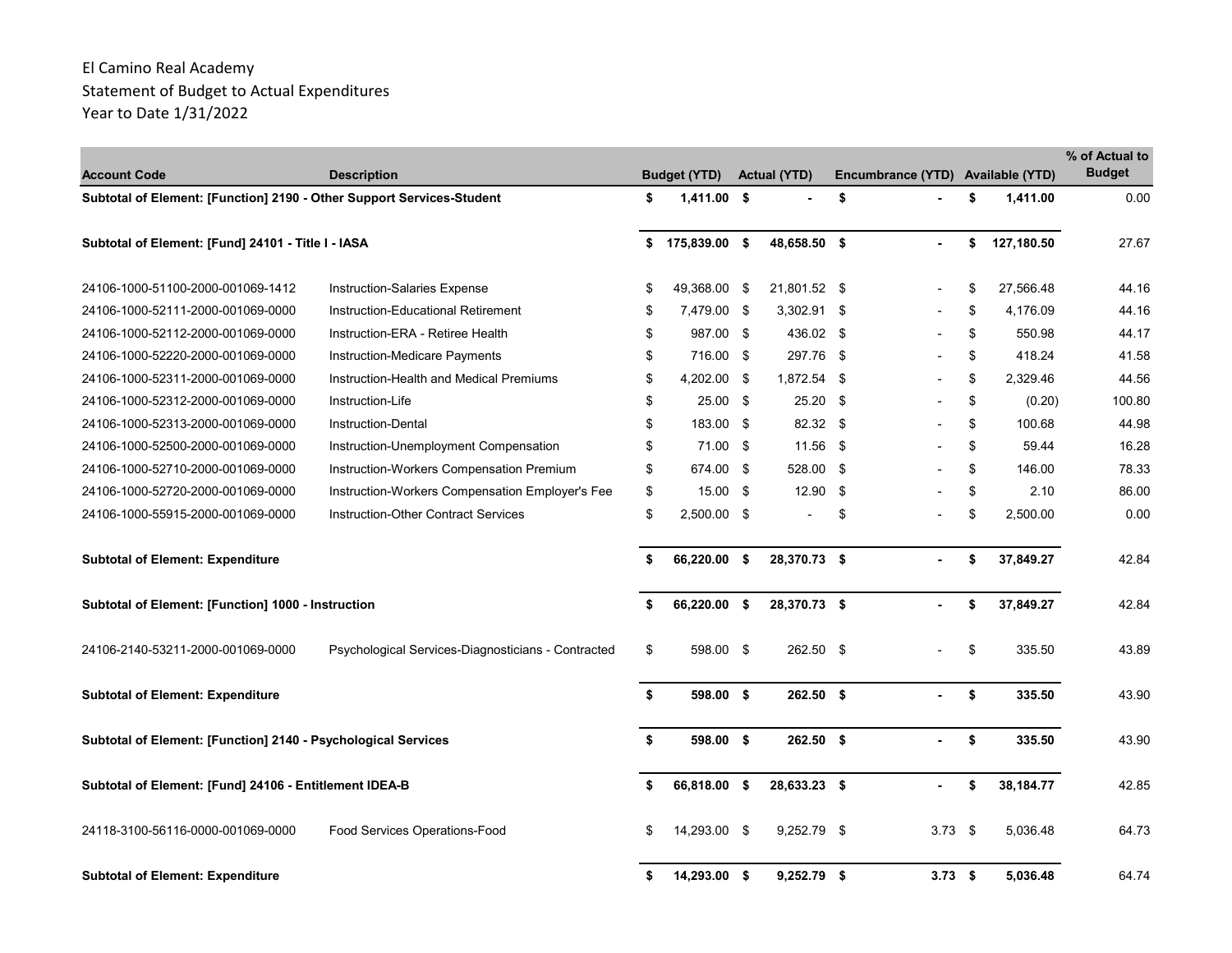| <b>Account Code</b>                                                   | <b>Description</b>                                 |    | <b>Budget (YTD)</b> | <b>Actual (YTD)</b> |      | Encumbrance (YTD) Available (YTD) |                  | % of Actual to<br><b>Budget</b> |
|-----------------------------------------------------------------------|----------------------------------------------------|----|---------------------|---------------------|------|-----------------------------------|------------------|---------------------------------|
| Subtotal of Element: [Function] 2190 - Other Support Services-Student |                                                    | \$ | $1,411.00$ \$       |                     | \$   |                                   | \$<br>1,411.00   | 0.00                            |
| Subtotal of Element: [Fund] 24101 - Title I - IASA                    |                                                    | \$ | 175,839.00          | \$<br>48,658.50 \$  |      | $\sim$                            | \$<br>127,180.50 | 27.67                           |
| 24106-1000-51100-2000-001069-1412                                     | Instruction-Salaries Expense                       | \$ | 49,368.00 \$        | 21,801.52 \$        |      |                                   | \$<br>27,566.48  | 44.16                           |
| 24106-1000-52111-2000-001069-0000                                     | Instruction-Educational Retirement                 | \$ | 7,479.00 \$         | 3,302.91 \$         |      |                                   | \$<br>4.176.09   | 44.16                           |
| 24106-1000-52112-2000-001069-0000                                     | Instruction-ERA - Retiree Health                   | \$ | 987.00 \$           | 436.02 \$           |      |                                   | \$<br>550.98     | 44.17                           |
| 24106-1000-52220-2000-001069-0000                                     | Instruction-Medicare Payments                      | \$ | 716.00 \$           | 297.76              | - \$ |                                   | \$<br>418.24     | 41.58                           |
| 24106-1000-52311-2000-001069-0000                                     | Instruction-Health and Medical Premiums            | \$ | 4,202.00 \$         | 1,872.54 \$         |      |                                   | \$<br>2,329.46   | 44.56                           |
| 24106-1000-52312-2000-001069-0000                                     | Instruction-Life                                   | \$ | 25.00 \$            | 25.20               | - \$ |                                   | \$<br>(0.20)     | 100.80                          |
| 24106-1000-52313-2000-001069-0000                                     | <b>Instruction-Dental</b>                          | \$ | 183.00 \$           | 82.32 \$            |      |                                   | \$<br>100.68     | 44.98                           |
| 24106-1000-52500-2000-001069-0000                                     | Instruction-Unemployment Compensation              | \$ | 71.00 \$            | 11.56 \$            |      |                                   | \$<br>59.44      | 16.28                           |
| 24106-1000-52710-2000-001069-0000                                     | Instruction-Workers Compensation Premium           | \$ | 674.00 \$           | 528.00 \$           |      |                                   | \$<br>146.00     | 78.33                           |
| 24106-1000-52720-2000-001069-0000                                     | Instruction-Workers Compensation Employer's Fee    | \$ | $15.00$ \$          | 12.90               | -\$  |                                   | \$<br>2.10       | 86.00                           |
| 24106-1000-55915-2000-001069-0000                                     | Instruction-Other Contract Services                | \$ | 2,500.00 \$         |                     | \$   |                                   | \$<br>2,500.00   | 0.00                            |
| <b>Subtotal of Element: Expenditure</b>                               |                                                    | \$ | 66,220.00           | \$<br>28,370.73 \$  |      |                                   | \$<br>37,849.27  | 42.84                           |
| Subtotal of Element: [Function] 1000 - Instruction                    |                                                    | \$ | 66,220.00 \$        | 28,370.73 \$        |      |                                   | \$<br>37,849.27  | 42.84                           |
| 24106-2140-53211-2000-001069-0000                                     | Psychological Services-Diagnosticians - Contracted | \$ | 598.00 \$           | 262.50 \$           |      |                                   | \$<br>335.50     | 43.89                           |
| <b>Subtotal of Element: Expenditure</b>                               |                                                    | \$ | 598.00 \$           | $262.50$ \$         |      |                                   | \$<br>335.50     | 43.90                           |
| Subtotal of Element: [Function] 2140 - Psychological Services         |                                                    | \$ | 598.00 \$           | 262.50 \$           |      |                                   | \$<br>335.50     | 43.90                           |
| Subtotal of Element: [Fund] 24106 - Entitlement IDEA-B                |                                                    | \$ | 66,818.00 \$        | 28,633.23 \$        |      |                                   | \$<br>38,184.77  | 42.85                           |
| 24118-3100-56116-0000-001069-0000                                     | Food Services Operations-Food                      | £. | 14.293.00 \$        | $9,252.79$ \$       |      | $3.73$ \$                         | 5,036.48         | 64.73                           |
| <b>Subtotal of Element: Expenditure</b>                               |                                                    | \$ | 14,293.00 \$        | $9,252.79$ \$       |      | $3.73$ \$                         | 5,036.48         | 64.74                           |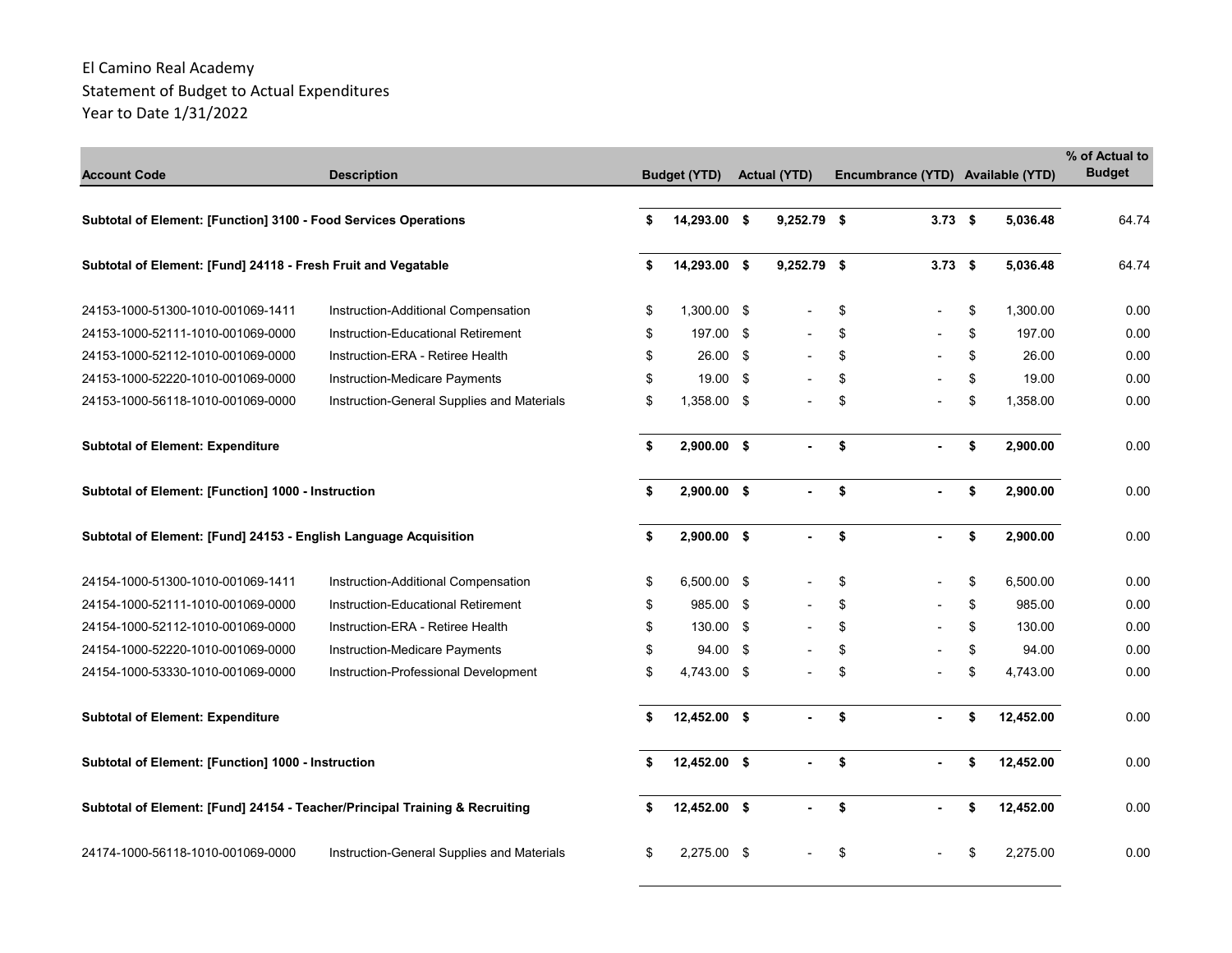| <b>Account Code</b>                                                         | <b>Description</b>                         | <b>Budget (YTD)</b> | <b>Actual (YTD)</b> | Encumbrance (YTD) Available (YTD) |                 | % of Actual to<br><b>Budget</b> |
|-----------------------------------------------------------------------------|--------------------------------------------|---------------------|---------------------|-----------------------------------|-----------------|---------------------------------|
| Subtotal of Element: [Function] 3100 - Food Services Operations             |                                            | \$<br>14,293.00 \$  | 9,252.79 \$         | $3.73$ \$                         | 5,036.48        | 64.74                           |
| Subtotal of Element: [Fund] 24118 - Fresh Fruit and Vegatable               |                                            | 14,293.00 \$        | 9,252.79 \$         | $3.73$ \$                         | 5,036.48        | 64.74                           |
| 24153-1000-51300-1010-001069-1411                                           | Instruction-Additional Compensation        | \$<br>1,300.00 \$   |                     | \$                                | \$<br>1.300.00  | 0.00                            |
| 24153-1000-52111-1010-001069-0000                                           | Instruction-Educational Retirement         | \$<br>197.00 \$     |                     | \$                                | \$<br>197.00    | 0.00                            |
| 24153-1000-52112-1010-001069-0000                                           | Instruction-ERA - Retiree Health           | \$<br>26.00 \$      |                     | \$                                | \$<br>26.00     | 0.00                            |
| 24153-1000-52220-1010-001069-0000                                           | Instruction-Medicare Payments              | \$<br>19.00 \$      |                     | \$                                | \$<br>19.00     | 0.00                            |
| 24153-1000-56118-1010-001069-0000                                           | Instruction-General Supplies and Materials | \$<br>1.358.00 \$   |                     | \$                                | \$<br>1.358.00  | 0.00                            |
| <b>Subtotal of Element: Expenditure</b>                                     |                                            | \$<br>2,900.00 \$   |                     | \$                                | \$<br>2,900.00  | 0.00                            |
| Subtotal of Element: [Function] 1000 - Instruction                          |                                            | \$<br>2,900.00 \$   |                     | \$                                | \$<br>2,900.00  | 0.00                            |
| Subtotal of Element: [Fund] 24153 - English Language Acquisition            |                                            | \$<br>$2,900.00$ \$ | $\mathbf{r}$        | \$<br>$\mathbf{r}$                | \$<br>2,900.00  | 0.00                            |
| 24154-1000-51300-1010-001069-1411                                           | Instruction-Additional Compensation        | \$<br>6,500.00 \$   |                     | \$                                | \$<br>6.500.00  | 0.00                            |
| 24154-1000-52111-1010-001069-0000                                           | Instruction-Educational Retirement         | \$<br>985.00 \$     |                     | \$                                | \$<br>985.00    | 0.00                            |
| 24154-1000-52112-1010-001069-0000                                           | Instruction-ERA - Retiree Health           | \$<br>130.00 \$     |                     | \$                                | \$<br>130.00    | 0.00                            |
| 24154-1000-52220-1010-001069-0000                                           | Instruction-Medicare Payments              | \$<br>94.00 \$      |                     | \$                                | \$<br>94.00     | 0.00                            |
| 24154-1000-53330-1010-001069-0000                                           | Instruction-Professional Development       | \$<br>4,743.00 \$   |                     | \$                                | \$<br>4,743.00  | 0.00                            |
| <b>Subtotal of Element: Expenditure</b>                                     |                                            | \$<br>12,452.00 \$  |                     | \$                                | \$<br>12,452.00 | 0.00                            |
| Subtotal of Element: [Function] 1000 - Instruction                          |                                            | \$<br>12,452.00 \$  |                     | \$                                | \$<br>12,452.00 | 0.00                            |
| Subtotal of Element: [Fund] 24154 - Teacher/Principal Training & Recruiting |                                            | \$<br>12,452.00 \$  | $\blacksquare$      | \$                                | \$<br>12,452.00 | 0.00                            |
| 24174-1000-56118-1010-001069-0000                                           | Instruction-General Supplies and Materials | \$<br>2,275.00 \$   |                     | \$                                | 2,275.00        | 0.00                            |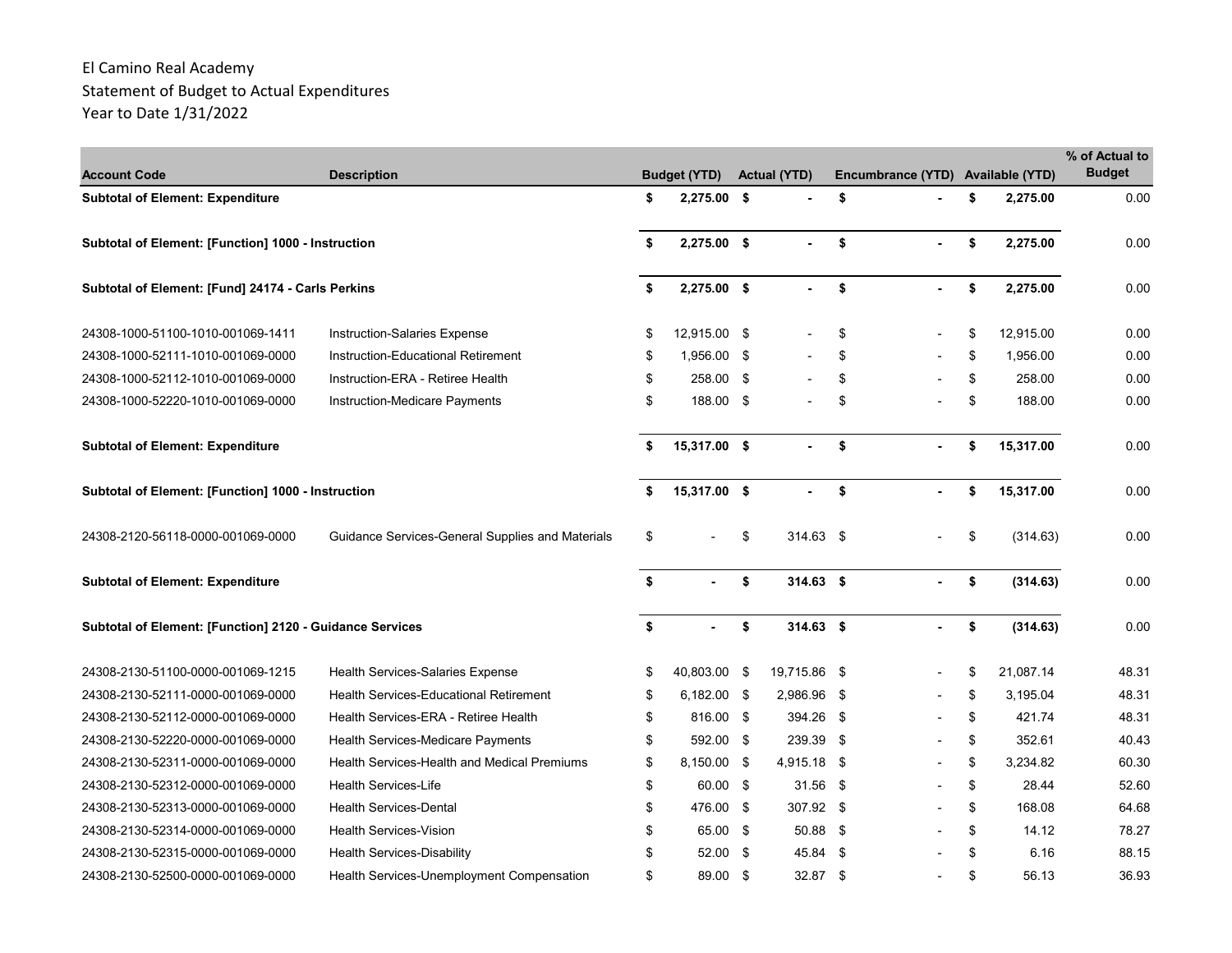| <b>Account Code</b>                                       | <b>Description</b>                                 | <b>Budget (YTD)</b> | <b>Actual (YTD)</b> |      | Encumbrance (YTD) Available (YTD) |                 | % of Actual to<br><b>Budget</b> |
|-----------------------------------------------------------|----------------------------------------------------|---------------------|---------------------|------|-----------------------------------|-----------------|---------------------------------|
| <b>Subtotal of Element: Expenditure</b>                   |                                                    | \$<br>$2,275.00$ \$ |                     | \$   |                                   | \$<br>2,275.00  | 0.00                            |
| <b>Subtotal of Element: [Function] 1000 - Instruction</b> |                                                    | \$<br>2,275.00 \$   | $\sim$              | \$   | $\mathbf{r}$                      | \$<br>2,275.00  | 0.00                            |
| Subtotal of Element: [Fund] 24174 - Carls Perkins         |                                                    | \$<br>$2,275.00$ \$ |                     | \$   |                                   | \$<br>2,275.00  | 0.00                            |
| 24308-1000-51100-1010-001069-1411                         | Instruction-Salaries Expense                       | \$<br>12,915.00 \$  |                     | \$   |                                   | \$<br>12,915.00 | 0.00                            |
| 24308-1000-52111-1010-001069-0000                         | Instruction-Educational Retirement                 | \$<br>1.956.00 \$   |                     | \$   |                                   | \$<br>1.956.00  | 0.00                            |
| 24308-1000-52112-1010-001069-0000                         | Instruction-ERA - Retiree Health                   | \$<br>258.00 \$     |                     | \$   |                                   | \$<br>258.00    | 0.00                            |
| 24308-1000-52220-1010-001069-0000                         | Instruction-Medicare Payments                      | \$<br>188.00 \$     |                     | \$   |                                   | \$<br>188.00    | 0.00                            |
| <b>Subtotal of Element: Expenditure</b>                   |                                                    | \$<br>15,317.00 \$  |                     | \$   |                                   | \$<br>15,317.00 | 0.00                            |
| Subtotal of Element: [Function] 1000 - Instruction        |                                                    | \$<br>15,317.00 \$  |                     | \$   |                                   | \$<br>15,317.00 | 0.00                            |
| 24308-2120-56118-0000-001069-0000                         | Guidance Services-General Supplies and Materials   | \$                  | \$<br>$314.63$ \$   |      |                                   | \$<br>(314.63)  | 0.00                            |
| <b>Subtotal of Element: Expenditure</b>                   |                                                    | \$                  | \$<br>$314.63$ \$   |      |                                   | \$<br>(314.63)  | 0.00                            |
| Subtotal of Element: [Function] 2120 - Guidance Services  |                                                    | \$                  | \$<br>$314.63$ \$   |      |                                   | \$<br>(314.63)  | 0.00                            |
| 24308-2130-51100-0000-001069-1215                         | <b>Health Services-Salaries Expense</b>            | \$<br>40,803.00 \$  | 19,715.86 \$        |      |                                   | \$<br>21,087.14 | 48.31                           |
| 24308-2130-52111-0000-001069-0000                         | <b>Health Services-Educational Retirement</b>      | \$<br>6,182.00 \$   | 2,986.96 \$         |      |                                   | \$<br>3,195.04  | 48.31                           |
| 24308-2130-52112-0000-001069-0000                         | Health Services-ERA - Retiree Health               | \$<br>816.00 \$     | 394.26 \$           |      |                                   | \$<br>421.74    | 48.31                           |
| 24308-2130-52220-0000-001069-0000                         | Health Services-Medicare Payments                  | \$<br>592.00 \$     | 239.39 \$           |      |                                   | \$<br>352.61    | 40.43                           |
| 24308-2130-52311-0000-001069-0000                         | <b>Health Services-Health and Medical Premiums</b> | \$<br>8,150.00 \$   | 4,915.18            | - \$ |                                   | \$<br>3,234.82  | 60.30                           |
| 24308-2130-52312-0000-001069-0000                         | <b>Health Services-Life</b>                        | \$<br>60.00 \$      | $31.56$ \$          |      |                                   | \$<br>28.44     | 52.60                           |
| 24308-2130-52313-0000-001069-0000                         | <b>Health Services-Dental</b>                      | \$<br>476.00 \$     | 307.92 \$           |      |                                   | \$<br>168.08    | 64.68                           |
| 24308-2130-52314-0000-001069-0000                         | <b>Health Services-Vision</b>                      | \$<br>65.00 \$      | 50.88 \$            |      |                                   | \$<br>14.12     | 78.27                           |
| 24308-2130-52315-0000-001069-0000                         | <b>Health Services-Disability</b>                  | \$<br>52.00 \$      | 45.84 \$            |      |                                   | \$<br>6.16      | 88.15                           |
| 24308-2130-52500-0000-001069-0000                         | Health Services-Unemployment Compensation          | \$<br>89.00 \$      | 32.87 \$            |      |                                   | \$<br>56.13     | 36.93                           |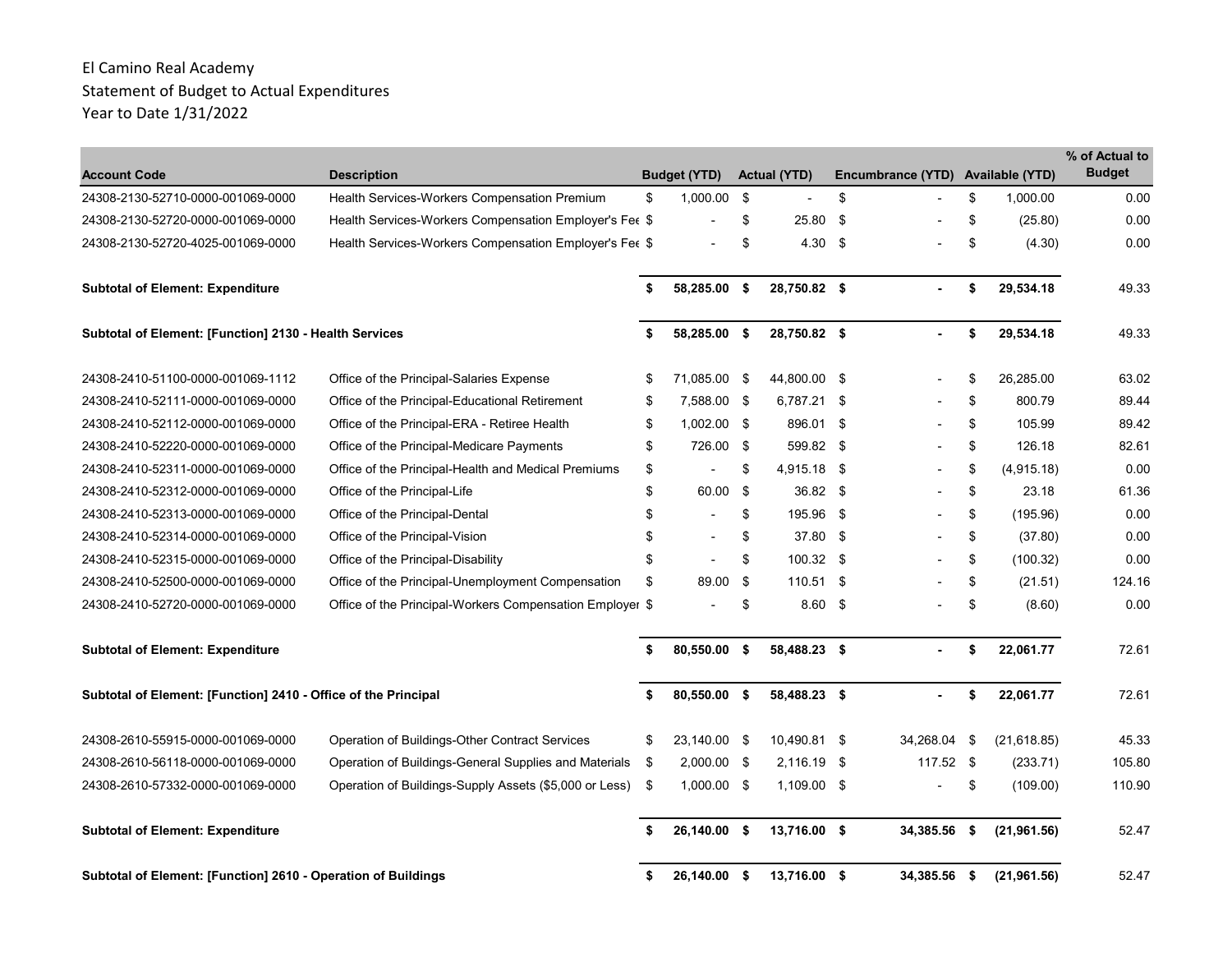|                                                                |                                                          |    |                     |     |                     |      |                                   |      |              | % of Actual to |
|----------------------------------------------------------------|----------------------------------------------------------|----|---------------------|-----|---------------------|------|-----------------------------------|------|--------------|----------------|
| <b>Account Code</b>                                            | <b>Description</b>                                       |    | <b>Budget (YTD)</b> |     | <b>Actual (YTD)</b> |      | Encumbrance (YTD) Available (YTD) |      |              | <b>Budget</b>  |
| 24308-2130-52710-0000-001069-0000                              | Health Services-Workers Compensation Premium             | \$ | 1,000.00            | -\$ |                     | \$   |                                   | \$   | 1,000.00     | 0.00           |
| 24308-2130-52720-0000-001069-0000                              | Health Services-Workers Compensation Employer's Fee \$   |    |                     | \$  | 25.80               | \$   |                                   | \$   | (25.80)      | 0.00           |
| 24308-2130-52720-4025-001069-0000                              | Health Services-Workers Compensation Employer's Fee \$   |    |                     | \$  | 4.30                | - \$ |                                   | \$   | (4.30)       | 0.00           |
| <b>Subtotal of Element: Expenditure</b>                        |                                                          | \$ | 58,285.00 \$        |     | 28,750.82 \$        |      |                                   | \$   | 29,534.18    | 49.33          |
| Subtotal of Element: [Function] 2130 - Health Services         |                                                          | \$ | 58,285.00 \$        |     | 28,750.82 \$        |      |                                   | \$   | 29,534.18    | 49.33          |
| 24308-2410-51100-0000-001069-1112                              | Office of the Principal-Salaries Expense                 | \$ | 71,085.00 \$        |     | 44,800.00 \$        |      |                                   | \$   | 26,285.00    | 63.02          |
| 24308-2410-52111-0000-001069-0000                              | Office of the Principal-Educational Retirement           | \$ | 7,588.00 \$         |     | 6,787.21 \$         |      |                                   | \$   | 800.79       | 89.44          |
| 24308-2410-52112-0000-001069-0000                              | Office of the Principal-ERA - Retiree Health             | \$ | $1,002.00$ \$       |     | 896.01              | -\$  |                                   | \$   | 105.99       | 89.42          |
| 24308-2410-52220-0000-001069-0000                              | Office of the Principal-Medicare Payments                | \$ | 726.00 \$           |     | 599.82 \$           |      |                                   | \$   | 126.18       | 82.61          |
| 24308-2410-52311-0000-001069-0000                              | Office of the Principal-Health and Medical Premiums      | \$ |                     | \$  | 4,915.18 \$         |      |                                   | \$   | (4,915.18)   | 0.00           |
| 24308-2410-52312-0000-001069-0000                              | Office of the Principal-Life                             | \$ | 60.00 \$            |     | 36.82 \$            |      |                                   | \$   | 23.18        | 61.36          |
| 24308-2410-52313-0000-001069-0000                              | Office of the Principal-Dental                           | \$ |                     | \$  | 195.96              | - \$ |                                   | \$   | (195.96)     | 0.00           |
| 24308-2410-52314-0000-001069-0000                              | Office of the Principal-Vision                           | \$ |                     | \$  | 37.80 \$            |      |                                   | \$   | (37.80)      | 0.00           |
| 24308-2410-52315-0000-001069-0000                              | Office of the Principal-Disability                       | \$ |                     | \$  | $100.32$ \$         |      |                                   | \$   | (100.32)     | 0.00           |
| 24308-2410-52500-0000-001069-0000                              | Office of the Principal-Unemployment Compensation        | \$ | 89.00               | -\$ | $110.51$ \$         |      |                                   | \$   | (21.51)      | 124.16         |
| 24308-2410-52720-0000-001069-0000                              | Office of the Principal-Workers Compensation Employer \$ |    |                     | \$  | $8.60$ \$           |      |                                   | \$   | (8.60)       | 0.00           |
| <b>Subtotal of Element: Expenditure</b>                        |                                                          | \$ | 80,550.00 \$        |     | 58,488.23 \$        |      |                                   | \$   | 22,061.77    | 72.61          |
| Subtotal of Element: [Function] 2410 - Office of the Principal |                                                          | \$ | 80,550.00 \$        |     | 58,488.23 \$        |      |                                   | \$   | 22,061.77    | 72.61          |
| 24308-2610-55915-0000-001069-0000                              | Operation of Buildings-Other Contract Services           | \$ | 23,140.00 \$        |     | 10,490.81 \$        |      | 34,268.04                         | \$   | (21, 618.85) | 45.33          |
| 24308-2610-56118-0000-001069-0000                              | Operation of Buildings-General Supplies and Materials    | \$ | 2,000.00 \$         |     | 2,116.19            | - \$ | 117.52 \$                         |      | (233.71)     | 105.80         |
| 24308-2610-57332-0000-001069-0000                              | Operation of Buildings-Supply Assets (\$5,000 or Less)   | \$ | $1,000.00$ \$       |     | 1,109.00 \$         |      |                                   | \$   | (109.00)     | 110.90         |
| <b>Subtotal of Element: Expenditure</b>                        |                                                          | S  | 26.140.00 \$        |     | 13,716.00 \$        |      | 34,385.56                         | - \$ | (21, 961.56) | 52.47          |
| Subtotal of Element: [Function] 2610 - Operation of Buildings  |                                                          | \$ | 26,140.00 \$        |     | 13,716.00 \$        |      | 34,385.56 \$                      |      | (21, 961.56) | 52.47          |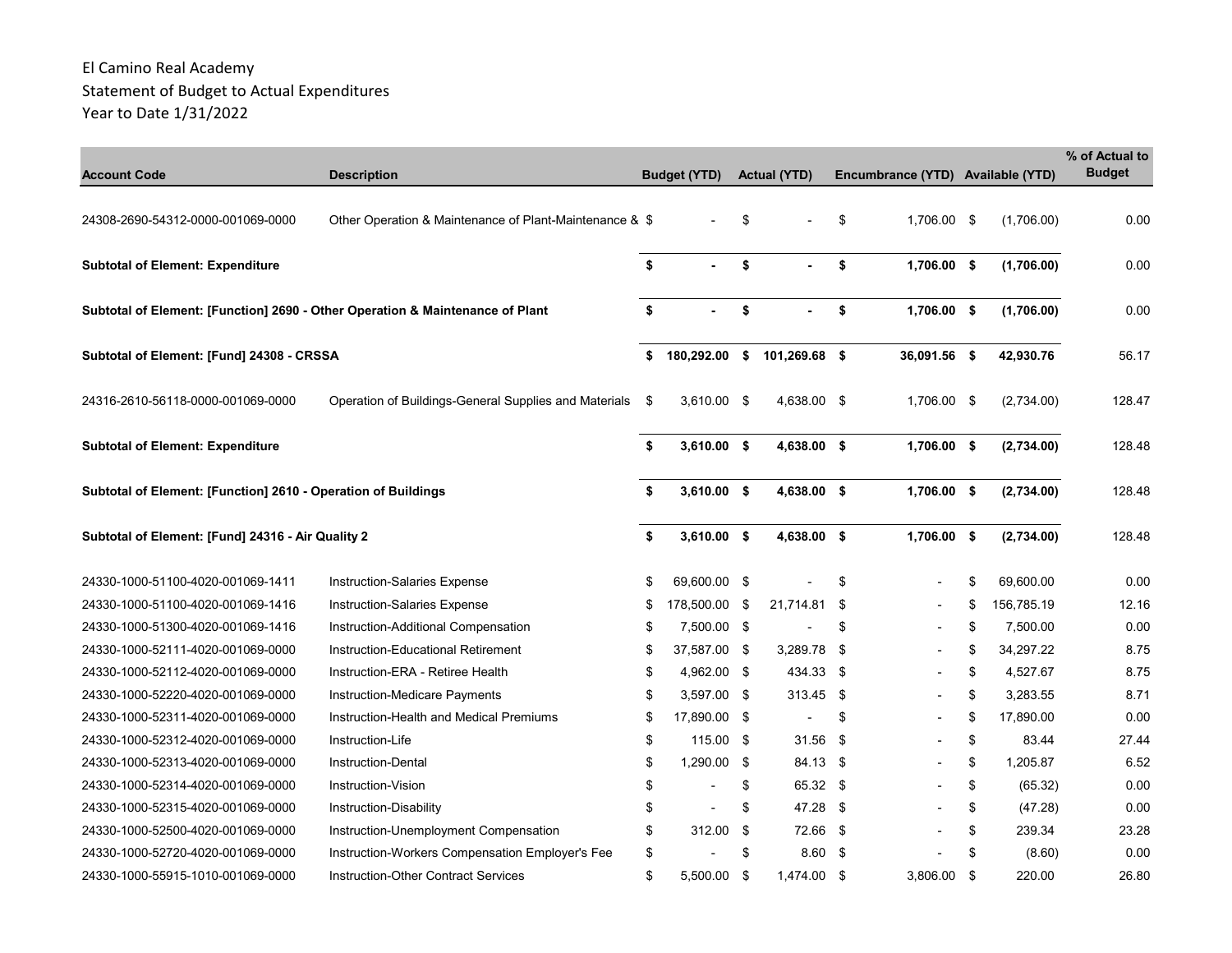| <b>Account Code</b>                                                           | <b>Description</b>                                      | <b>Budget (YTD)</b> |      | <b>Actual (YTD)</b> | Encumbrance (YTD)              | <b>Available (YTD)</b> | % of Actual to<br><b>Budget</b> |
|-------------------------------------------------------------------------------|---------------------------------------------------------|---------------------|------|---------------------|--------------------------------|------------------------|---------------------------------|
|                                                                               |                                                         |                     |      |                     |                                |                        |                                 |
| 24308-2690-54312-0000-001069-0000                                             | Other Operation & Maintenance of Plant-Maintenance & \$ |                     | \$   |                     | \$<br>1,706.00 \$              | (1,706.00)             | 0.00                            |
| <b>Subtotal of Element: Expenditure</b>                                       |                                                         | \$                  | \$   |                     | \$<br>1.706.00 \$              | (1,706.00)             | 0.00                            |
| Subtotal of Element: [Function] 2690 - Other Operation & Maintenance of Plant |                                                         | \$                  | \$   |                     | \$<br>1,706.00 \$              | (1,706.00)             | 0.00                            |
| Subtotal of Element: [Fund] 24308 - CRSSA                                     |                                                         | \$<br>180,292.00    | \$   | 101,269.68 \$       | 36,091.56 \$                   | 42,930.76              | 56.17                           |
| 24316-2610-56118-0000-001069-0000                                             | Operation of Buildings-General Supplies and Materials   | \$<br>3,610.00 \$   |      | 4,638.00 \$         | 1,706.00 \$                    | (2,734.00)             | 128.47                          |
| <b>Subtotal of Element: Expenditure</b>                                       |                                                         | \$<br>$3,610.00$ \$ |      | 4,638.00 \$         | 1,706.00 \$                    | (2,734.00)             | 128.48                          |
| Subtotal of Element: [Function] 2610 - Operation of Buildings                 |                                                         | \$<br>$3,610.00$ \$ |      | 4,638.00 \$         | 1,706.00 \$                    | (2,734.00)             | 128.48                          |
| Subtotal of Element: [Fund] 24316 - Air Quality 2                             |                                                         | \$<br>$3,610.00$ \$ |      | 4,638.00 \$         | 1,706.00 \$                    | (2,734.00)             | 128.48                          |
| 24330-1000-51100-4020-001069-1411                                             | Instruction-Salaries Expense                            | \$<br>69,600.00 \$  |      |                     | \$                             | \$<br>69.600.00        | 0.00                            |
| 24330-1000-51100-4020-001069-1416                                             | <b>Instruction-Salaries Expense</b>                     | \$<br>178,500.00    | \$   | 21,714.81           | \$                             | \$<br>156,785.19       | 12.16                           |
| 24330-1000-51300-4020-001069-1416                                             | Instruction-Additional Compensation                     | \$<br>7,500.00 \$   |      |                     | \$                             | \$<br>7,500.00         | 0.00                            |
| 24330-1000-52111-4020-001069-0000                                             | Instruction-Educational Retirement                      | \$<br>37.587.00 \$  |      | 3,289.78 \$         |                                | \$<br>34.297.22        | 8.75                            |
| 24330-1000-52112-4020-001069-0000                                             | Instruction-ERA - Retiree Health                        | \$<br>4,962.00 \$   |      | 434.33 \$           |                                | \$<br>4,527.67         | 8.75                            |
| 24330-1000-52220-4020-001069-0000                                             | Instruction-Medicare Payments                           | \$<br>3,597.00 \$   |      | 313.45 \$           |                                | \$<br>3,283.55         | 8.71                            |
| 24330-1000-52311-4020-001069-0000                                             | Instruction-Health and Medical Premiums                 | \$<br>17,890.00 \$  |      | $\blacksquare$      | \$<br>$\overline{\phantom{a}}$ | \$<br>17,890.00        | 0.00                            |
| 24330-1000-52312-4020-001069-0000                                             | Instruction-Life                                        | \$<br>115.00        | -\$  | 31.56               | \$                             | \$<br>83.44            | 27.44                           |
| 24330-1000-52313-4020-001069-0000                                             | <b>Instruction-Dental</b>                               | \$<br>1,290.00      | -\$  | 84.13 \$            |                                | \$<br>1,205.87         | 6.52                            |
| 24330-1000-52314-4020-001069-0000                                             | Instruction-Vision                                      | \$                  | \$   | 65.32 \$            |                                | \$<br>(65.32)          | 0.00                            |
| 24330-1000-52315-4020-001069-0000                                             | Instruction-Disability                                  | \$                  | \$   | 47.28 \$            |                                | \$<br>(47.28)          | 0.00                            |
| 24330-1000-52500-4020-001069-0000                                             | Instruction-Unemployment Compensation                   | \$<br>312.00        | - \$ | 72.66 \$            |                                | \$<br>239.34           | 23.28                           |
| 24330-1000-52720-4020-001069-0000                                             | Instruction-Workers Compensation Employer's Fee         | \$                  | \$   | $8.60$ \$           |                                | \$<br>(8.60)           | 0.00                            |
| 24330-1000-55915-1010-001069-0000                                             | <b>Instruction-Other Contract Services</b>              | \$<br>5.500.00 \$   |      | 1,474.00 \$         | 3.806.00 \$                    | 220.00                 | 26.80                           |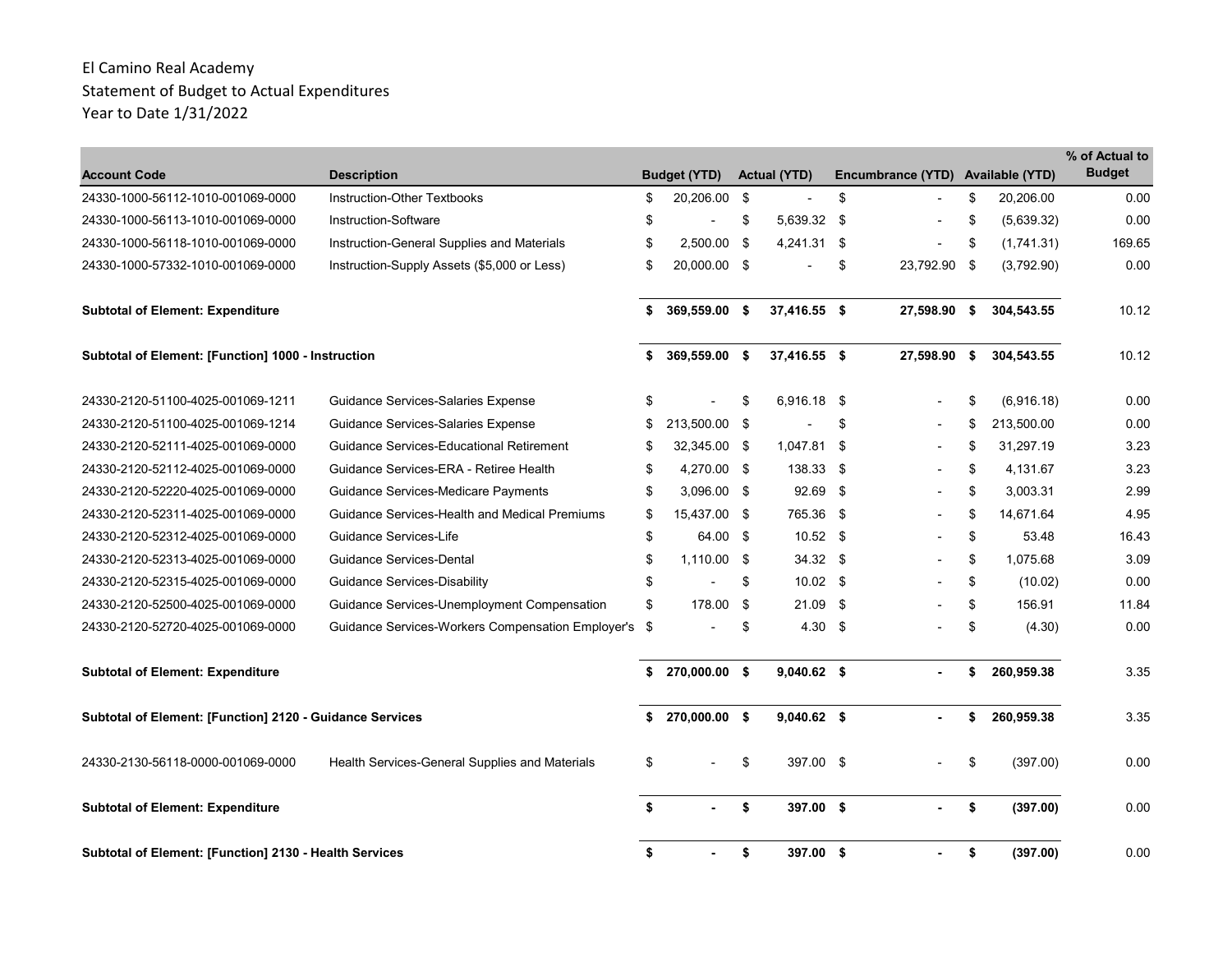| <b>Account Code</b>                                      | <b>Description</b>                                   | <b>Budget (YTD)</b>  |      | <b>Actual (YTD)</b> |      | Encumbrance (YTD) Available (YTD) |      |            | % of Actual to<br><b>Budget</b> |
|----------------------------------------------------------|------------------------------------------------------|----------------------|------|---------------------|------|-----------------------------------|------|------------|---------------------------------|
| 24330-1000-56112-1010-001069-0000                        | Instruction-Other Textbooks                          | \$<br>20,206.00 \$   |      |                     | \$   |                                   | \$   | 20,206.00  | 0.00                            |
| 24330-1000-56113-1010-001069-0000                        | Instruction-Software                                 | \$                   | \$   | 5,639.32 \$         |      |                                   | \$   | (5,639.32) | 0.00                            |
| 24330-1000-56118-1010-001069-0000                        | Instruction-General Supplies and Materials           | \$<br>$2.500.00$ \$  |      | 4,241.31            | - \$ |                                   | \$   | (1,741.31) | 169.65                          |
| 24330-1000-57332-1010-001069-0000                        | Instruction-Supply Assets (\$5,000 or Less)          | \$<br>20,000.00 \$   |      |                     | \$   | 23,792.90 \$                      |      | (3,792.90) | 0.00                            |
| <b>Subtotal of Element: Expenditure</b>                  |                                                      | \$<br>369,559.00 \$  |      | 37,416.55 \$        |      | 27,598.90                         | - \$ | 304,543.55 | 10.12                           |
| Subtotal of Element: [Function] 1000 - Instruction       |                                                      | \$<br>369,559.00 \$  |      | 37,416.55 \$        |      | 27,598.90                         | - \$ | 304,543.55 | 10.12                           |
| 24330-2120-51100-4025-001069-1211                        | Guidance Services-Salaries Expense                   | \$                   | \$   | 6,916.18 \$         |      |                                   | \$   | (6,916.18) | 0.00                            |
| 24330-2120-51100-4025-001069-1214                        | Guidance Services-Salaries Expense                   | \$<br>213,500.00 \$  |      |                     | \$   |                                   | \$   | 213.500.00 | 0.00                            |
| 24330-2120-52111-4025-001069-0000                        | <b>Guidance Services-Educational Retirement</b>      | \$<br>32,345.00 \$   |      | 1,047.81 \$         |      |                                   | \$   | 31,297.19  | 3.23                            |
| 24330-2120-52112-4025-001069-0000                        | Guidance Services-ERA - Retiree Health               | \$<br>4,270.00 \$    |      | 138.33 \$           |      |                                   | \$   | 4,131.67   | 3.23                            |
| 24330-2120-52220-4025-001069-0000                        | Guidance Services-Medicare Payments                  | \$<br>$3.096.00$ \$  |      | 92.69               | - \$ |                                   | \$   | 3.003.31   | 2.99                            |
| 24330-2120-52311-4025-001069-0000                        | Guidance Services-Health and Medical Premiums        | \$<br>15,437.00 \$   |      | 765.36 \$           |      |                                   | \$   | 14,671.64  | 4.95                            |
| 24330-2120-52312-4025-001069-0000                        | Guidance Services-Life                               | \$<br>64.00 \$       |      | $10.52$ \$          |      |                                   | \$   | 53.48      | 16.43                           |
| 24330-2120-52313-4025-001069-0000                        | Guidance Services-Dental                             | \$<br>$1,110.00$ \$  |      | $34.32$ \$          |      |                                   | \$   | 1.075.68   | 3.09                            |
| 24330-2120-52315-4025-001069-0000                        | Guidance Services-Disability                         | \$                   | \$   | $10.02 \quad$ \$    |      |                                   | \$   | (10.02)    | 0.00                            |
| 24330-2120-52500-4025-001069-0000                        | Guidance Services-Unemployment Compensation          | \$<br>178.00         | - \$ | 21.09               | - \$ |                                   | \$   | 156.91     | 11.84                           |
| 24330-2120-52720-4025-001069-0000                        | Guidance Services-Workers Compensation Employer's \$ |                      | \$   | $4.30\quad$ \$      |      |                                   | \$   | (4.30)     | 0.00                            |
| <b>Subtotal of Element: Expenditure</b>                  |                                                      | \$<br>270,000.00 \$  |      | $9,040.62$ \$       |      |                                   | \$   | 260,959.38 | 3.35                            |
| Subtotal of Element: [Function] 2120 - Guidance Services |                                                      | \$<br>270,000.00 \$  |      | $9,040.62$ \$       |      |                                   | \$   | 260,959.38 | 3.35                            |
| 24330-2130-56118-0000-001069-0000                        | Health Services-General Supplies and Materials       | \$                   | \$   | 397.00 \$           |      |                                   | \$   | (397.00)   | 0.00                            |
| <b>Subtotal of Element: Expenditure</b>                  |                                                      | \$<br>$\overline{a}$ | \$   | 397.00 \$           |      |                                   | \$   | (397.00)   | 0.00                            |
| Subtotal of Element: [Function] 2130 - Health Services   |                                                      | \$                   | \$   | 397.00 \$           |      |                                   | \$   | (397.00)   | 0.00                            |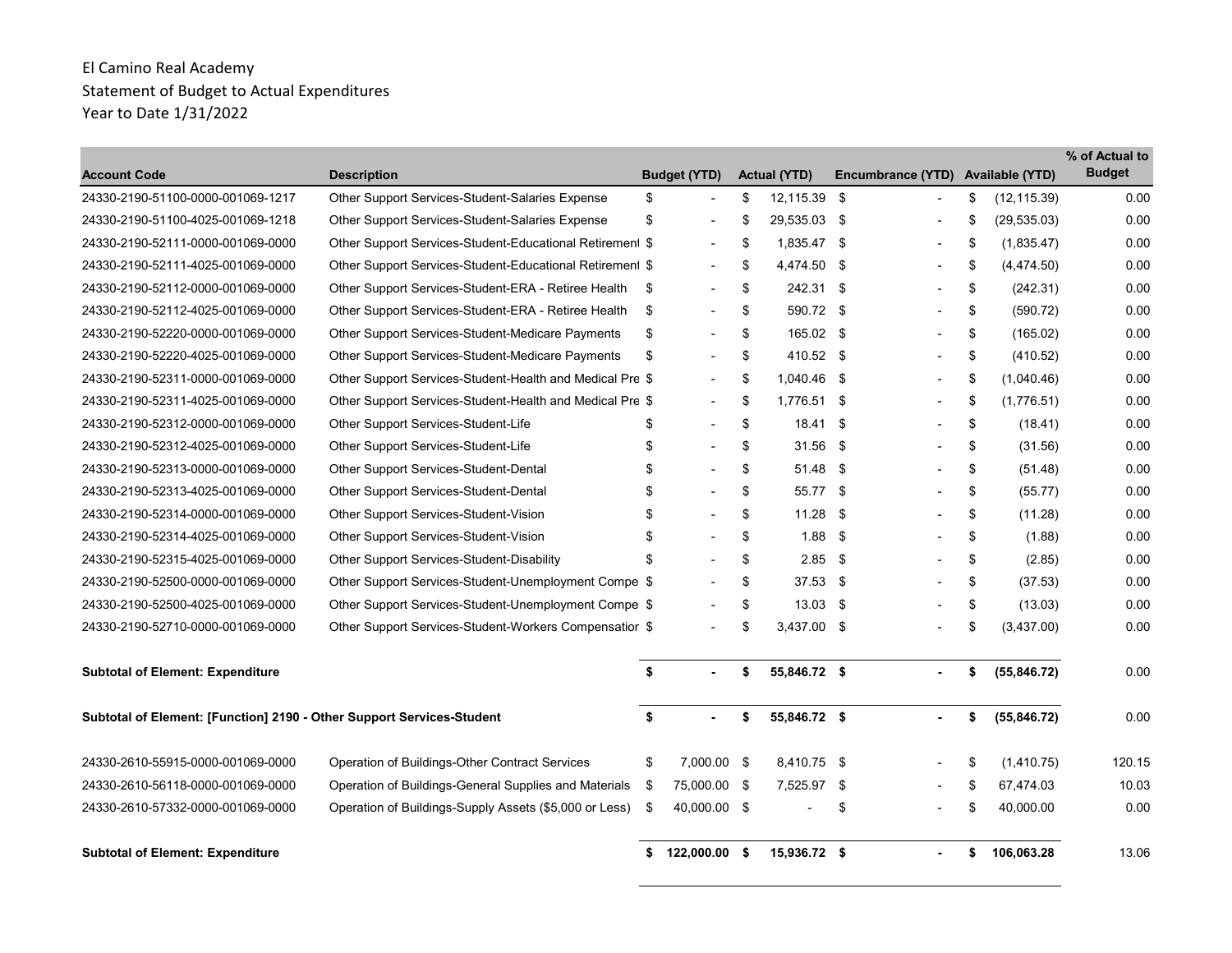| <b>Account Code</b>                                                   | <b>Description</b>                                       |      | <b>Budget (YTD)</b>      | <b>Actual (YTD)</b> |      | Encumbrance (YTD)        | <b>Available (YTD)</b> | % of Actual to<br><b>Budget</b> |
|-----------------------------------------------------------------------|----------------------------------------------------------|------|--------------------------|---------------------|------|--------------------------|------------------------|---------------------------------|
| 24330-2190-51100-0000-001069-1217                                     | Other Support Services-Student-Salaries Expense          | \$   |                          | \$<br>12,115.39 \$  |      |                          | \$<br>(12, 115.39)     | 0.00                            |
| 24330-2190-51100-4025-001069-1218                                     | Other Support Services-Student-Salaries Expense          | \$   |                          | \$<br>29,535.03 \$  |      |                          | \$<br>(29, 535.03)     | 0.00                            |
| 24330-2190-52111-0000-001069-0000                                     | Other Support Services-Student-Educational Retirement \$ |      | $\overline{\phantom{a}}$ | \$<br>$1.835.47$ \$ |      |                          | \$<br>(1,835.47)       | 0.00                            |
| 24330-2190-52111-4025-001069-0000                                     | Other Support Services-Student-Educational Retirement \$ |      |                          | \$<br>4,474.50      | -\$  |                          | \$<br>(4,474.50)       | 0.00                            |
| 24330-2190-52112-0000-001069-0000                                     | Other Support Services-Student-ERA - Retiree Health      | \$   | $\blacksquare$           | \$<br>242.31 \$     |      | $\overline{a}$           | \$<br>(242.31)         | 0.00                            |
| 24330-2190-52112-4025-001069-0000                                     | Other Support Services-Student-ERA - Retiree Health      | \$   |                          | \$<br>590.72 \$     |      |                          | \$<br>(590.72)         | 0.00                            |
| 24330-2190-52220-0000-001069-0000                                     | Other Support Services-Student-Medicare Payments         | \$   |                          | \$<br>165.02 \$     |      |                          | \$<br>(165.02)         | 0.00                            |
| 24330-2190-52220-4025-001069-0000                                     | Other Support Services-Student-Medicare Payments         | \$   |                          | \$<br>410.52 \$     |      | $\overline{\phantom{a}}$ | \$<br>(410.52)         | 0.00                            |
| 24330-2190-52311-0000-001069-0000                                     | Other Support Services-Student-Health and Medical Pre \$ |      |                          | \$<br>1.040.46 \$   |      |                          | \$<br>(1,040.46)       | 0.00                            |
| 24330-2190-52311-4025-001069-0000                                     | Other Support Services-Student-Health and Medical Pre \$ |      |                          | \$<br>1,776.51      | \$   |                          | \$<br>(1,776.51)       | 0.00                            |
| 24330-2190-52312-0000-001069-0000                                     | Other Support Services-Student-Life                      | \$   |                          | \$<br>18.41         | - \$ | ٠                        | \$<br>(18.41)          | 0.00                            |
| 24330-2190-52312-4025-001069-0000                                     | Other Support Services-Student-Life                      | \$   |                          | \$<br>31.56         | - \$ |                          | \$<br>(31.56)          | 0.00                            |
| 24330-2190-52313-0000-001069-0000                                     | Other Support Services-Student-Dental                    | \$   |                          | \$<br>51.48 \$      |      |                          | \$<br>(51.48)          | 0.00                            |
| 24330-2190-52313-4025-001069-0000                                     | Other Support Services-Student-Dental                    | \$   |                          | \$<br>55.77 \$      |      |                          | \$<br>(55.77)          | 0.00                            |
| 24330-2190-52314-0000-001069-0000                                     | Other Support Services-Student-Vision                    | \$   |                          | \$<br>$11.28$ \$    |      |                          | \$<br>(11.28)          | 0.00                            |
| 24330-2190-52314-4025-001069-0000                                     | Other Support Services-Student-Vision                    | \$   |                          | \$<br>$1.88$ \$     |      |                          | \$<br>(1.88)           | 0.00                            |
| 24330-2190-52315-4025-001069-0000                                     | Other Support Services-Student-Disability                | \$   |                          | \$<br>$2.85$ \$     |      |                          | \$<br>(2.85)           | 0.00                            |
| 24330-2190-52500-0000-001069-0000                                     | Other Support Services-Student-Unemployment Compe \$     |      |                          | \$<br>$37.53$ \$    |      |                          | \$<br>(37.53)          | 0.00                            |
| 24330-2190-52500-4025-001069-0000                                     | Other Support Services-Student-Unemployment Compe \$     |      |                          | \$<br>$13.03$ \$    |      |                          | \$<br>(13.03)          | 0.00                            |
| 24330-2190-52710-0000-001069-0000                                     | Other Support Services-Student-Workers Compensatior \$   |      |                          | \$<br>3,437.00 \$   |      |                          | \$<br>(3,437.00)       | 0.00                            |
| <b>Subtotal of Element: Expenditure</b>                               |                                                          | \$   |                          | \$<br>55,846.72 \$  |      |                          | \$<br>(55, 846.72)     | 0.00                            |
| Subtotal of Element: [Function] 2190 - Other Support Services-Student |                                                          | \$   | $\mathbf{r}$             | \$<br>55,846.72 \$  |      |                          | \$<br>(55, 846.72)     | 0.00                            |
| 24330-2610-55915-0000-001069-0000                                     | Operation of Buildings-Other Contract Services           | \$   | 7.000.00 \$              | 8.410.75 \$         |      |                          | \$<br>(1,410.75)       | 120.15                          |
| 24330-2610-56118-0000-001069-0000                                     | Operation of Buildings-General Supplies and Materials    | - \$ | 75,000.00 \$             | 7,525.97 \$         |      |                          | \$<br>67,474.03        | 10.03                           |
| 24330-2610-57332-0000-001069-0000                                     | Operation of Buildings-Supply Assets (\$5,000 or Less)   | \$   | 40,000.00 \$             |                     | \$   |                          | \$<br>40,000.00        | 0.00                            |
| <b>Subtotal of Element: Expenditure</b>                               |                                                          | \$   | 122,000.00 \$            | 15,936.72 \$        |      |                          | \$<br>106,063.28       | 13.06                           |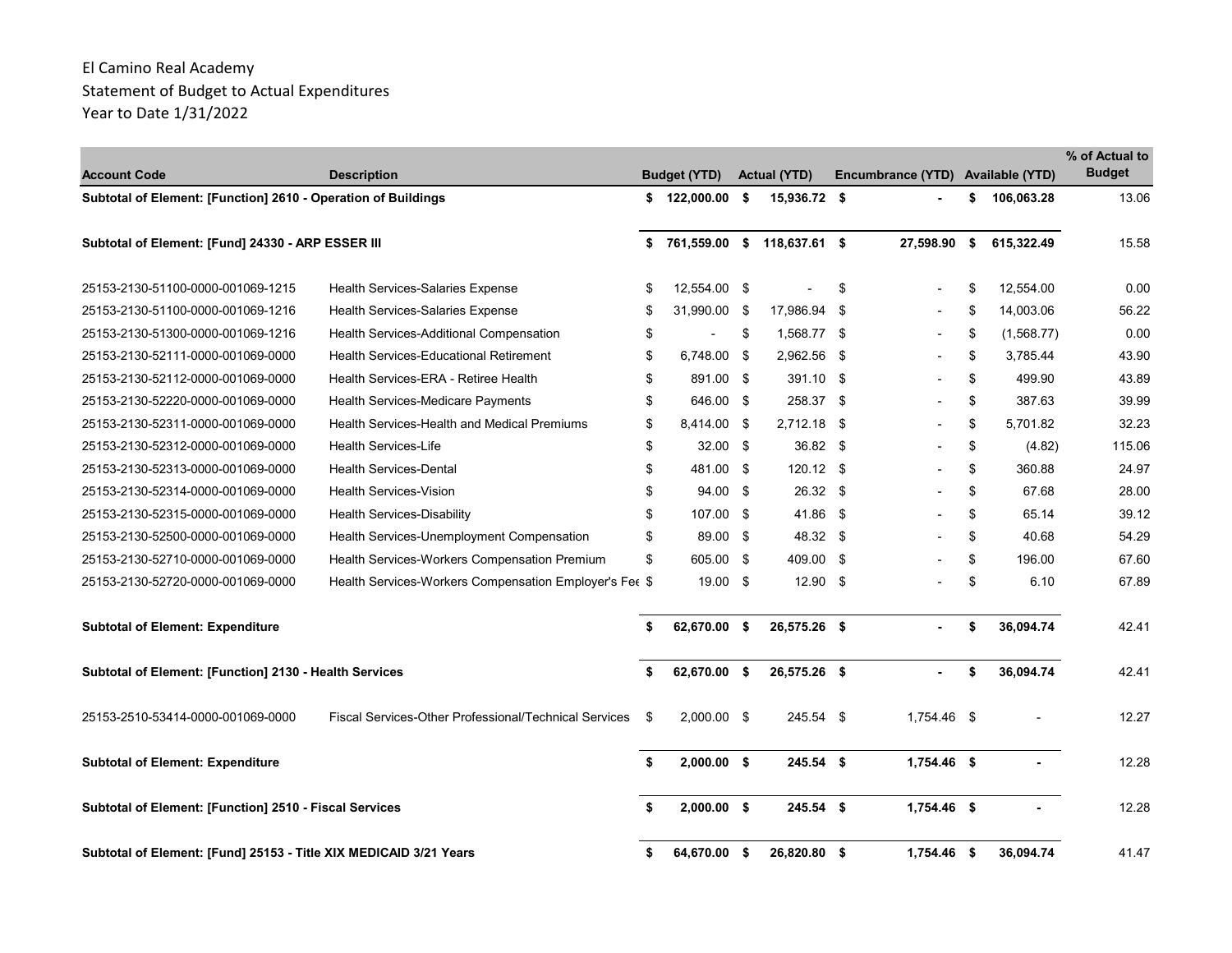| <b>Account Code</b>                                               | <b>Description</b>                                     |     | <b>Budget (YTD)</b> | <b>Actual (YTD)</b>         |      | Encumbrance (YTD) Available (YTD) |      |            | % of Actual to<br><b>Budget</b> |
|-------------------------------------------------------------------|--------------------------------------------------------|-----|---------------------|-----------------------------|------|-----------------------------------|------|------------|---------------------------------|
| Subtotal of Element: [Function] 2610 - Operation of Buildings     |                                                        | \$  | 122,000.00 \$       | 15,936.72 \$                |      |                                   | \$   | 106,063.28 | 13.06                           |
| Subtotal of Element: [Fund] 24330 - ARP ESSER III                 |                                                        | \$  |                     | 761,559.00 \$ 118,637.61 \$ |      | 27,598.90                         | - \$ | 615,322.49 | 15.58                           |
| 25153-2130-51100-0000-001069-1215                                 | <b>Health Services-Salaries Expense</b>                | \$  | 12,554.00 \$        |                             | \$   |                                   | \$   | 12.554.00  | 0.00                            |
| 25153-2130-51100-0000-001069-1216                                 | <b>Health Services-Salaries Expense</b>                | \$  | 31,990.00 \$        | 17,986.94 \$                |      |                                   | \$   | 14,003.06  | 56.22                           |
| 25153-2130-51300-0000-001069-1216                                 | Health Services-Additional Compensation                | \$  |                     | \$<br>1,568.77 \$           |      |                                   | \$   | (1,568.77) | 0.00                            |
| 25153-2130-52111-0000-001069-0000                                 | <b>Health Services-Educational Retirement</b>          | \$  | 6.748.00 \$         | 2.962.56                    | - \$ |                                   | \$   | 3.785.44   | 43.90                           |
| 25153-2130-52112-0000-001069-0000                                 | Health Services-ERA - Retiree Health                   | \$  | 891.00 \$           | 391.10 \$                   |      |                                   | \$   | 499.90     | 43.89                           |
| 25153-2130-52220-0000-001069-0000                                 | Health Services-Medicare Payments                      | \$  | 646.00 \$           | 258.37 \$                   |      |                                   | \$   | 387.63     | 39.99                           |
| 25153-2130-52311-0000-001069-0000                                 | Health Services-Health and Medical Premiums            | \$  | 8,414.00 \$         | $2.712.18$ \$               |      |                                   | \$   | 5.701.82   | 32.23                           |
| 25153-2130-52312-0000-001069-0000                                 | <b>Health Services-Life</b>                            | \$  | $32.00$ \$          | 36.82 \$                    |      |                                   | \$   | (4.82)     | 115.06                          |
| 25153-2130-52313-0000-001069-0000                                 | <b>Health Services-Dental</b>                          | \$  | 481.00 \$           | $120.12$ \$                 |      |                                   | \$   | 360.88     | 24.97                           |
| 25153-2130-52314-0000-001069-0000                                 | <b>Health Services-Vision</b>                          | \$  | $94.00 \text{ }$ \$ | 26.32 \$                    |      |                                   | \$   | 67.68      | 28.00                           |
| 25153-2130-52315-0000-001069-0000                                 | <b>Health Services-Disability</b>                      | \$  | 107.00 \$           | 41.86 \$                    |      |                                   | \$   | 65.14      | 39.12                           |
| 25153-2130-52500-0000-001069-0000                                 | Health Services-Unemployment Compensation              | \$  | 89.00 \$            | 48.32 \$                    |      |                                   | \$   | 40.68      | 54.29                           |
| 25153-2130-52710-0000-001069-0000                                 | Health Services-Workers Compensation Premium           | \$  | 605.00 \$           | 409.00 \$                   |      |                                   | \$   | 196.00     | 67.60                           |
| 25153-2130-52720-0000-001069-0000                                 | Health Services-Workers Compensation Employer's Fee \$ |     | 19.00 \$            | $12.90$ \$                  |      |                                   | \$   | 6.10       | 67.89                           |
| <b>Subtotal of Element: Expenditure</b>                           |                                                        | \$  | 62,670.00 \$        | 26,575.26 \$                |      |                                   | \$   | 36,094.74  | 42.41                           |
| Subtotal of Element: [Function] 2130 - Health Services            |                                                        | \$  | 62,670.00 \$        | 26,575.26 \$                |      |                                   | \$   | 36,094.74  | 42.41                           |
| 25153-2510-53414-0000-001069-0000                                 | Fiscal Services-Other Professional/Technical Services  | -\$ | $2,000.00$ \$       | 245.54 \$                   |      | 1,754.46 \$                       |      |            | 12.27                           |
| <b>Subtotal of Element: Expenditure</b>                           |                                                        | \$  | 2.000.00 S          | $245.54$ \$                 |      | $1.754.46$ \$                     |      |            | 12.28                           |
| Subtotal of Element: [Function] 2510 - Fiscal Services            |                                                        |     | $2,000.00$ \$       | $245.54$ \$                 |      | 1,754.46 \$                       |      |            | 12.28                           |
| Subtotal of Element: [Fund] 25153 - Title XIX MEDICAID 3/21 Years |                                                        | Ŝ.  | 64,670.00 \$        | 26,820.80 \$                |      | 1,754.46 \$                       |      | 36,094.74  | 41.47                           |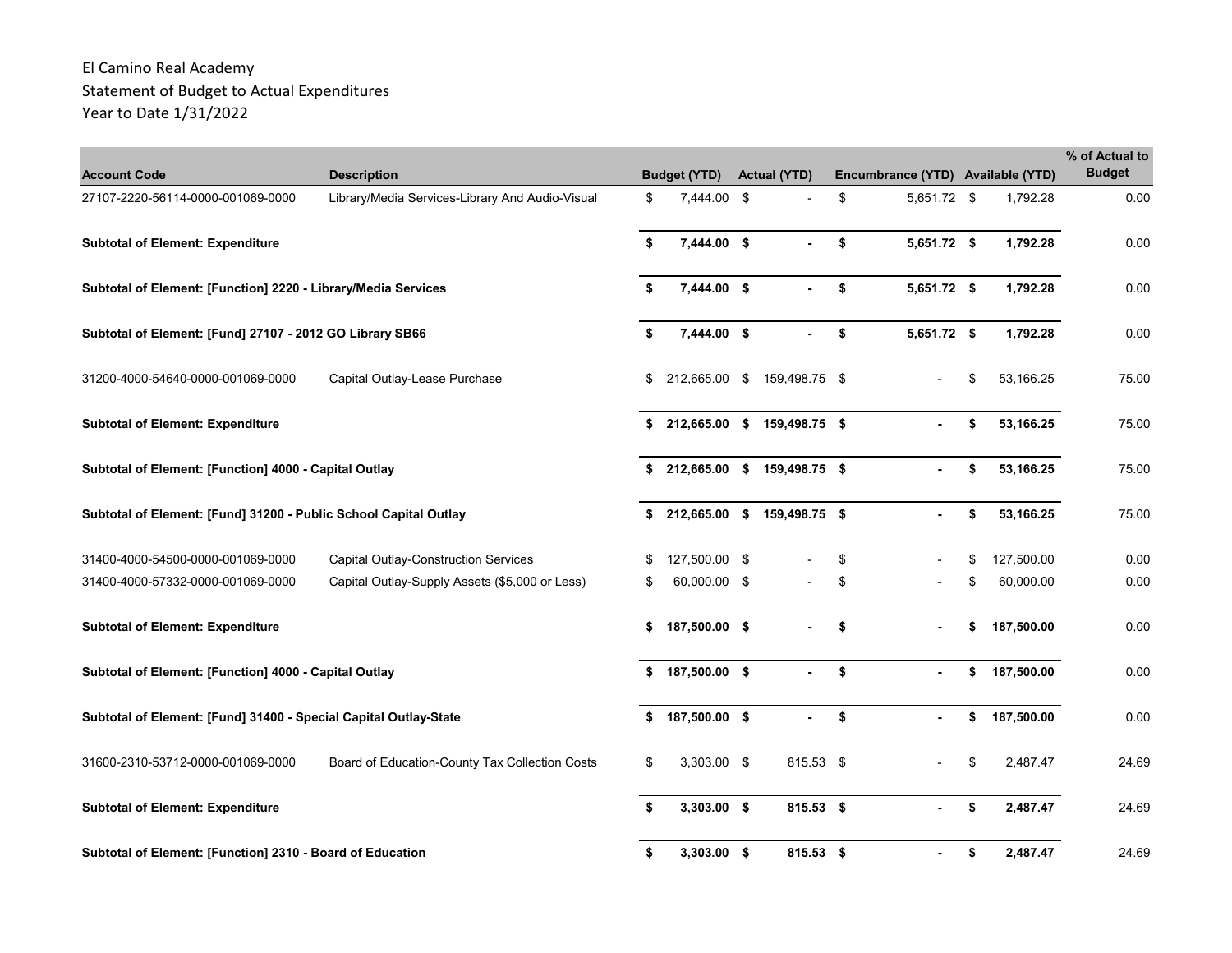| <b>Account Code</b>                                              | <b>Description</b>                              |    | <b>Budget (YTD)</b> | <b>Actual (YTD)</b>         | Encumbrance (YTD) Available (YTD) |                  | % of Actual to<br><b>Budget</b> |
|------------------------------------------------------------------|-------------------------------------------------|----|---------------------|-----------------------------|-----------------------------------|------------------|---------------------------------|
| 27107-2220-56114-0000-001069-0000                                | Library/Media Services-Library And Audio-Visual | \$ | 7,444.00 \$         |                             | \$<br>5,651.72 \$                 | 1,792.28         | 0.00                            |
| <b>Subtotal of Element: Expenditure</b>                          |                                                 | \$ | 7,444.00 \$         |                             | \$<br>5,651.72 \$                 | 1,792.28         | 0.00                            |
| Subtotal of Element: [Function] 2220 - Library/Media Services    |                                                 | \$ | 7,444.00 \$         |                             | \$<br>5,651.72 \$                 | 1,792.28         | 0.00                            |
| Subtotal of Element: [Fund] 27107 - 2012 GO Library SB66         |                                                 | \$ | 7,444.00 \$         |                             | \$<br>5,651.72 \$                 | 1,792.28         | 0.00                            |
| 31200-4000-54640-0000-001069-0000                                | Capital Outlay-Lease Purchase                   | \$ | 212,665.00 \$       | 159,498.75 \$               |                                   | \$<br>53,166.25  | 75.00                           |
| <b>Subtotal of Element: Expenditure</b>                          |                                                 | \$ |                     | 212,665.00 \$ 159,498.75 \$ |                                   | \$<br>53,166.25  | 75.00                           |
| Subtotal of Element: [Function] 4000 - Capital Outlay            |                                                 | \$ |                     | 212,665.00 \$ 159,498.75 \$ |                                   | \$<br>53,166.25  | 75.00                           |
| Subtotal of Element: [Fund] 31200 - Public School Capital Outlay |                                                 | \$ | 212,665.00 \$       | 159,498.75 \$               |                                   | \$<br>53,166.25  | 75.00                           |
| 31400-4000-54500-0000-001069-0000                                | <b>Capital Outlay-Construction Services</b>     | \$ | 127,500.00 \$       |                             | \$                                | \$<br>127,500.00 | 0.00                            |
| 31400-4000-57332-0000-001069-0000                                | Capital Outlay-Supply Assets (\$5,000 or Less)  | S  | 60,000.00 \$        |                             | \$                                | \$<br>60,000.00  | 0.00                            |
| <b>Subtotal of Element: Expenditure</b>                          |                                                 | \$ | 187,500.00 \$       |                             | \$                                | \$<br>187,500.00 | 0.00                            |
| Subtotal of Element: [Function] 4000 - Capital Outlay            |                                                 | \$ | 187,500.00 \$       |                             | \$                                | \$<br>187,500.00 | 0.00                            |
| Subtotal of Element: [Fund] 31400 - Special Capital Outlay-State |                                                 | \$ | 187,500.00 \$       |                             | \$                                | \$<br>187,500.00 | 0.00                            |
| 31600-2310-53712-0000-001069-0000                                | Board of Education-County Tax Collection Costs  | \$ | 3,303.00 \$         | 815.53 \$                   |                                   | \$<br>2,487.47   | 24.69                           |
| <b>Subtotal of Element: Expenditure</b>                          |                                                 | \$ | $3,303.00$ \$       | 815.53 \$                   |                                   | \$<br>2,487.47   | 24.69                           |
| Subtotal of Element: [Function] 2310 - Board of Education        |                                                 | \$ | $3,303.00$ \$       | 815.53 \$                   |                                   | \$<br>2,487.47   | 24.69                           |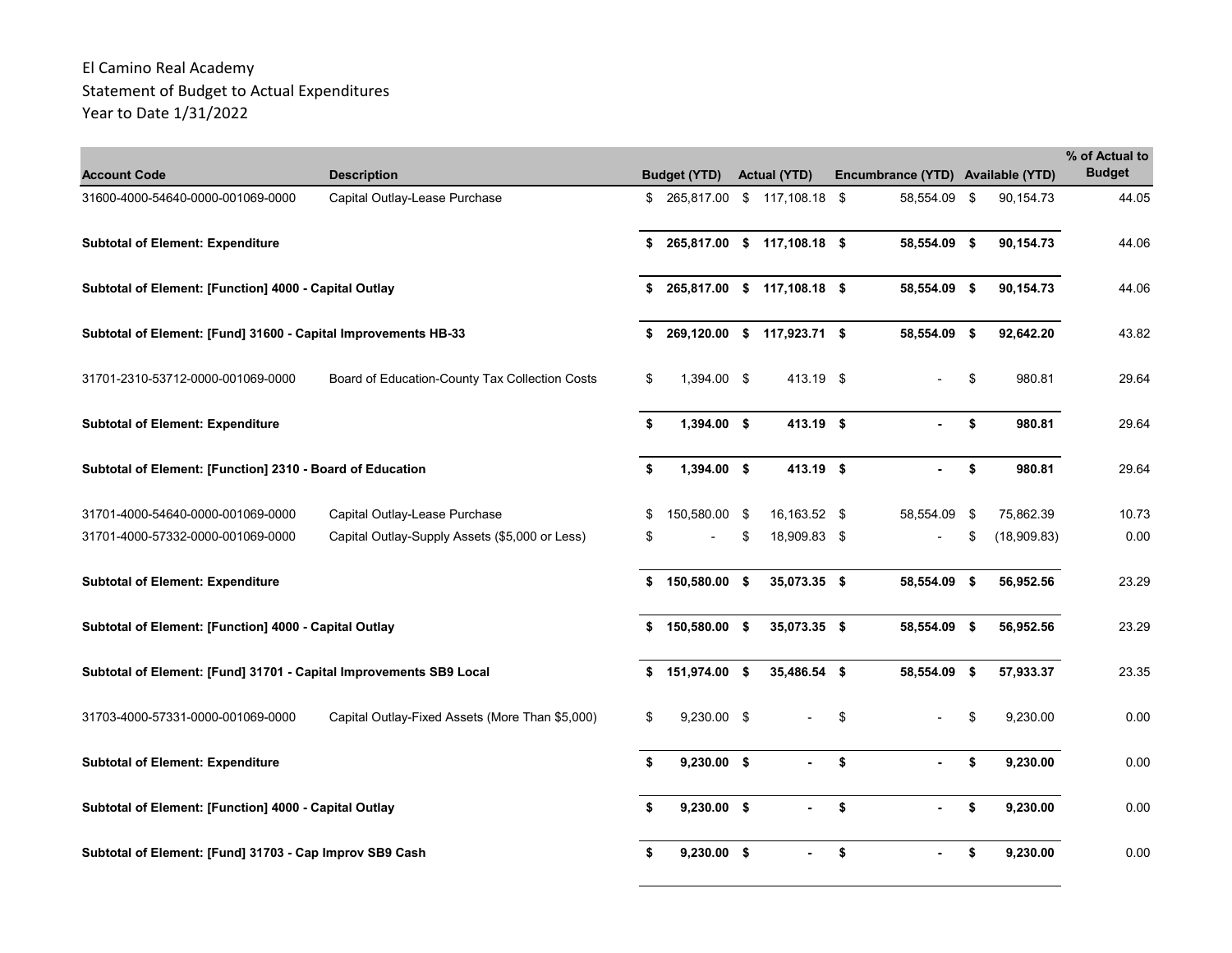| <b>Account Code</b>                                                | <b>Description</b>                              |     | <b>Budget (YTD)</b>         | <b>Actual (YTD)</b>         | Encumbrance (YTD) Available (YTD) |     |             | % of Actual to<br><b>Budget</b> |
|--------------------------------------------------------------------|-------------------------------------------------|-----|-----------------------------|-----------------------------|-----------------------------------|-----|-------------|---------------------------------|
| 31600-4000-54640-0000-001069-0000                                  | Capital Outlay-Lease Purchase                   | \$  | 265,817.00 \$ 117,108.18 \$ |                             | 58,554.09                         | \$  | 90,154.73   | 44.05                           |
| <b>Subtotal of Element: Expenditure</b>                            |                                                 | \$  |                             | 265,817.00 \$ 117,108.18 \$ | 58,554.09 \$                      |     | 90,154.73   | 44.06                           |
| Subtotal of Element: [Function] 4000 - Capital Outlay              |                                                 | \$  |                             | 265,817.00 \$ 117,108.18 \$ | 58,554.09 \$                      |     | 90,154.73   | 44.06                           |
| Subtotal of Element: [Fund] 31600 - Capital Improvements HB-33     |                                                 | \$  |                             | 269,120.00 \$ 117,923.71 \$ | 58,554.09 \$                      |     | 92,642.20   | 43.82                           |
| 31701-2310-53712-0000-001069-0000                                  | Board of Education-County Tax Collection Costs  | \$  | 1,394.00 \$                 | 413.19 \$                   |                                   | \$  | 980.81      | 29.64                           |
| <b>Subtotal of Element: Expenditure</b>                            |                                                 | \$  | $1,394.00$ \$               | 413.19 \$                   |                                   | \$  | 980.81      | 29.64                           |
| Subtotal of Element: [Function] 2310 - Board of Education          |                                                 | \$  | $1,394.00$ \$               | 413.19 \$                   |                                   | \$  | 980.81      | 29.64                           |
| 31701-4000-54640-0000-001069-0000                                  | Capital Outlay-Lease Purchase                   | \$  | 150,580.00 \$               | 16,163.52 \$                | 58,554.09                         | -\$ | 75,862.39   | 10.73                           |
| 31701-4000-57332-0000-001069-0000                                  | Capital Outlay-Supply Assets (\$5,000 or Less)  | \$  |                             | 18,909.83 \$                |                                   | \$  | (18,909.83) | 0.00                            |
| <b>Subtotal of Element: Expenditure</b>                            |                                                 | \$  | 150,580.00 \$               | 35,073.35 \$                | 58,554.09 \$                      |     | 56,952.56   | 23.29                           |
| Subtotal of Element: [Function] 4000 - Capital Outlay              |                                                 | \$  | 150,580.00 \$               | 35,073.35 \$                | 58,554.09 \$                      |     | 56,952.56   | 23.29                           |
| Subtotal of Element: [Fund] 31701 - Capital Improvements SB9 Local |                                                 | \$  | 151,974.00 \$               | 35,486.54 \$                | 58,554.09 \$                      |     | 57,933.37   | 23.35                           |
| 31703-4000-57331-0000-001069-0000                                  | Capital Outlay-Fixed Assets (More Than \$5,000) | \$  | $9,230.00$ \$               |                             | \$                                | \$  | 9,230.00    | 0.00                            |
| <b>Subtotal of Element: Expenditure</b>                            |                                                 | \$  | $9,230.00$ \$               |                             | \$                                | \$  | 9,230.00    | 0.00                            |
| Subtotal of Element: [Function] 4000 - Capital Outlay              |                                                 | \$  | $9,230.00$ \$               |                             | \$                                | \$  | 9,230.00    | 0.00                            |
| Subtotal of Element: [Fund] 31703 - Cap Improv SB9 Cash            |                                                 | \$. | $9,230.00$ \$               |                             | \$                                | \$  | 9,230.00    | 0.00                            |